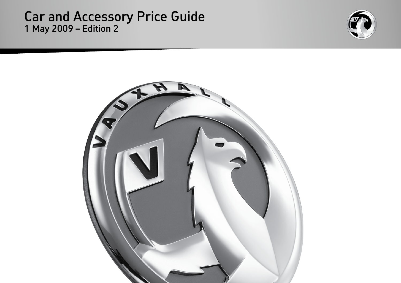### Car and Accessory Price Guide 1 May 2009 – Edition 2



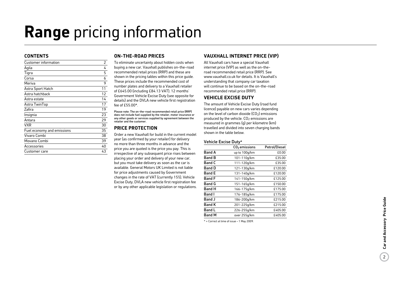## **Range** pricing information

#### **ContentS**

| Customer information       | 2  |
|----------------------------|----|
| Agila                      | 4  |
| Tigra                      | 5  |
| Corsa                      | 6  |
| Meriva                     | 9  |
| Astra Sport Hatch          | 11 |
| Astra hatchback            | 12 |
| Astra estate               | 14 |
| Astra TwinTop              | 17 |
| Zafira                     | 19 |
| Insignia                   | 23 |
| Antara                     | 29 |
| VXR                        | 30 |
| Fuel economy and emissions | 35 |
| Vivaro Combi               | 38 |
| Movano Combi               | 39 |
| Accessories                | 40 |
| Customer care              | 43 |
|                            |    |

#### **ON-THE-ROAD PRICES**

To eliminate uncertainty about hidden costs when buying a new car, Vauxhall publishes on-the-road recommended retail prices (RRP) and these are shown in the pricing tables within this price guide. These prices include the recommended cost of number plates and delivery to a Vauxhall retailer of £645.00 (including £84.13 VAT), 12 months' Government Vehicle Excise Duty (see opposite for details) and the DVLA new vehicle first registration fee of  $f55.00*$ 

Please note: The on-the-road recommended retail price (RRP) does not include fuel supplied by the retailer, motor insurance or any other goods or services supplied by agreement between the retailer and the customer.

#### **PRICE PROTECTION**

Order a new Vauxhall for build in the current model year (as confirmed by your retailer) for delivery no more than three months in advance and the price you are quoted is the price you pay. This is irrespective of any subsequent price rises between placing your order and delivery of your new car, but you must take delivery as soon as the car is available. General Motors UK Limited is not liable for price adjustments caused by Government changes in the rate of VAT (currently 15%), Vehicle Excise Duty, DVLA new vehicle first registration fee or by any other applicable legislation or regulations.

#### **Vauxhall Inte rnet Pr i ce (VIP )**

All Vauxhall cars have a special Vauxhall internet price (VIP) as well as the on-theroad recommended retail price (RRP). See www.vauxhall.co.uk for details. It is Vauxhall's understanding that company car taxation will continue to be based on the on-the-road recommended retail price (RRP).

#### **VEHICLE EXCISE DUTY**

The amount of Vehicle Excise Duty (road fund licence) payable on new cars varies depending on the level of carbon dioxide (CO 2) emissions produced by the vehicle. CO 2 emissions are measured in grammes (g) per kilometre (km) travelled and divided into seven charging bands shown in the table below.

#### Vehicle Excise Duty \*

|               | $CO2$ emissions | Petrol/Diesel |
|---------------|-----------------|---------------|
| <b>Band A</b> | up to 100q/km   | £0.00         |
| <b>Band B</b> | 101-110g/km     | £35.00        |
| <b>Band C</b> | 111-120g/km     | £35.00        |
| <b>Band D</b> | 121-130g/km     | £120.00       |
| <b>Band E</b> | 131-140g/km     | £120.00       |
| <b>Band F</b> | 141-150g/km     | £125.00       |
| <b>Band G</b> | 151-165g/km     | £150.00       |
| <b>Band H</b> | 166-175g/km     | £175.00       |
| <b>Band I</b> | 176-185g/km     | £175.00       |
| <b>Band J</b> | 186-200g/km     | £215.00       |
| <b>Band K</b> | 201-225g/km     | £215.00       |
| <b>Band L</b> | 226-255g/km     | £405.00       |
| <b>Band M</b> | over 255g/km    | £405.00       |

\* = Correct at time of issue – 1 May 2009.

 $\left( 2\right)$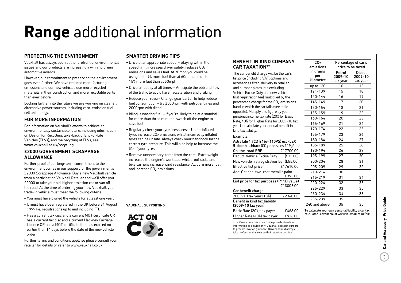# **Range** additional information

#### **Protecting the environment**

Vauxhall has always been at the forefront of environmental issues and our products are increasingly winning green automotive awards.

However, our commitment to preserving the environment goes even further. We have reduced manufacturing emissions and our new vehicles use more recycled materials in their construction and more recyclable parts than ever before.

Looking further into the future we are working on cleaner, alternative power sources, including zero-emission fuel cell technology.

#### **For more information**

For information on Vauxhall's efforts to achieve an environmentally sustainable future, including information on Design for Recycling, take-back of End-of-Life Vehicles (ELVs), and the recycling of ELVs, see www.vauxhall.co.uk/recycling

#### **£2000 Government Scrappage Allowance**

Further proof of our long-term commitment to the environment comes in our support for the government's £2000 Scrappage Allowance. Buy a new Vauxhall vehicle from a participating Vauxhall Retailer and we'll offer you £2000 to take your old, higher emission car or van off the road. At the time of ordering your new Vauxhall, your trade-in vehicle must meet the following criteria:

- You must have owned the vehicle for at least one year.
- It must have been registered in the UK before 31 August 1999 (ie. registrations up to and including 'T').
- Has a current tax disc and a current MOT certificate OR has a current tax disc and a current Hackney Carriage Licence OR has a MOT certificate that has expired no earlier than 14 days before the date of the new vehicle order

Further terms and conditions apply so please consult your retailer for details or refer to www.vauxhall.co.uk

#### **Smarter driving tips**

- •Drive at an appropriate speed: Staying within the speed limit increases driver safety, reduces  $CO<sub>2</sub>$ emissions and saves fuel. At 70mph you could be using up to 9% more fuel than at 60mph and up to 15% more fuel than at 50mph
- •Drive smoothly at all times: Anticipate the ebb and flow of the traffic to avoid harsh acceleration and braking
- Reduce your revs: Change gear earlier to help reduce fuel consumption – try 2500rpm with petrol engines and 2000rpm with diesel
- Idling is wasting fuel: If you're likely to be at a standstill for more than three minutes, switch off the engine to save fuel
- Regularly check your tyre pressures: Under inflated tyres increase  $CO<sub>2</sub>$  emissions whilst incorrectly inflated tyres can be unsafe. Always check your handbook for the correct tyre pressure. This will also help to increase the life of your tyres
- Remove unnecessary items from the car: Extra weight increases the engine's workload, whilst roof racks and bike carriers increase wind resistance. All burn more fuel and increase CO<sub>2</sub> emissions

#### **Vauxhall supporting**



#### **Benefit in kind company car taxation††**

The car benefit charge will be the car's list price (including VAT, options and accessories fitted, delivery to retailer and number plates, but excluding Vehicle Excise Duty and new vehicle first registration fee) multiplied by the percentage charge for the  $CO<sub>2</sub>$  emissions band in which the car falls (see table opposite). Multiply this figure by your personal income tax rate (20% for Basic Rate, 40% for Higher Rate for 2009-10 tax year) to calculate your annual benefit in kind tax liability.

Astra Life 1.7CDTi 16y (110PS) ecoFLEX 5-door hatchback (CO<sub>2</sub> emissions 119q/km) On-the-road RRP £17700.00 Deduct: Vehicle Excise Duty (£35.00) New vehicle first registration fee (£55.00) Effective list price  $$17610.00$ Add: Optional two-coat metallic paint

List price for tax purposes (P11D value)

2009-10 tax year (13%) £2340.00

Basic Rate (20%) tax payer £468.00

Example:

Car benefit charge

Benefit in kind tax liability (2009-10 tax year)

| CO <sub>2</sub><br>emissions | Percentage of car's<br>price to be taxed |                               |  |  |  |
|------------------------------|------------------------------------------|-------------------------------|--|--|--|
| in grams<br>per<br>kilometre | Petrol<br>2009-10<br>tax year            | Diesel<br>2009-10<br>tax year |  |  |  |
| up to 120                    | 10                                       | 13                            |  |  |  |
| 121-139                      | 15                                       | 18                            |  |  |  |
| 140-144                      | 16                                       | 19                            |  |  |  |
| 145-149                      | 17                                       | 20                            |  |  |  |
| 150-154                      | 18                                       | 21                            |  |  |  |
| 155-159                      | 19                                       | 22                            |  |  |  |
| 160-164                      | 20                                       | 23                            |  |  |  |
| 165-169                      | 21                                       | 24                            |  |  |  |
| 170-174                      | 22                                       | 25                            |  |  |  |
| 175-179                      | 23                                       | 26                            |  |  |  |
| 180-184                      | 24                                       | 27                            |  |  |  |
| 185-189                      | 25                                       | 28                            |  |  |  |
| 190-194                      | 26                                       | 29                            |  |  |  |
| 195-199                      | 27                                       | 30                            |  |  |  |
| 200-204                      | 28                                       | 31                            |  |  |  |
| 205-209                      | 29                                       | 32                            |  |  |  |
| 210-214                      | 30                                       | 33                            |  |  |  |
| 215-219                      | 31                                       | 34                            |  |  |  |
| 220-224                      | 32                                       | 35                            |  |  |  |
| 225-229                      | 33                                       | 35                            |  |  |  |
| 230-234                      | 34                                       | 35                            |  |  |  |
| 235-239                      | 35                                       | 35                            |  |  |  |
| 240 and above                | 35                                       | 35                            |  |  |  |

calculator is available at www.vauxhall.co.uk/bik

Higher Rate (40%) tax payer £936.00 †† = Please note this Price Guide provides taxation information as a guide only. Vauxhall does not purport to provide taxation guidance. Drivers should always take professional advice on their own tax position.

£395.00

£18005.00

 $\overline{3}$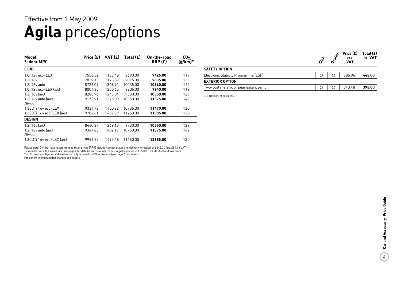### **Agila** prices/options Effective from 1 May 2009

| Model<br>5-door MPC       | Price $(E)$ | VAT(E)  | Total $(E)$ | On-the-road<br>RRP(E) | CO <sub>2</sub><br>(g/km)* |
|---------------------------|-------------|---------|-------------|-----------------------|----------------------------|
| <b>CLUB</b>               |             |         |             |                       |                            |
| 1.0i 12y ecoFLEX          | 7556.52     | 1133.48 | 8690.00     | 9425.00               | 119                        |
| 1.2i 16v                  | 7839.13     | 1175.87 | 9015.00     | 9835.00               | 129                        |
| $1.2i$ 16y auto           | 8726.09     | 1308.91 | 10035.00    | 10860.00              | 142                        |
| 1.0i 12y eco $FLEX$ (a/c) | 8004.35     | 1200.65 | 9205.00     | 9940.00               | 119                        |
| 1.2i $16v$ (a/c)          | 8286.96     | 1243.04 | 9530.00     | 10350.00              | 129                        |
| 1.2i 16y auto $(a/c)$     | 9173.91     | 1376.09 | 10550.00    | 11375.00              | 142                        |
| Diesel                    |             |         |             |                       |                            |
| 1.3CDTi 16y ecoFLEX       | 9334.78     | 1400.22 | 10735.00    | 11470.00              | 120                        |
| 1.3CDTi 16y ecoFLEX (a/c) | 9782.61     | 1467.39 | 11250.00    | 11985.00              | 120                        |
| <b>DESIGN</b>             |             |         |             |                       |                            |
| 1.2i 16y (a/c)            | 8460.87     | 1269.13 | 9730.00     | 10550.00              | 129                        |
| 1.2i 16y auto $(a/c)$     | 9347.83     | 1402.17 | 10750.00    | 11575.00              | 142                        |
| Diesel                    |             |         |             |                       |                            |
| 1.3CDTi 16y ecoFLEX (a/c) | 9956.52     | 1493.48 | 11450.00    | 12185.00              | 120                        |

**SAFETY OPTION** Electronic Stability Programme (ESP) 386.96 **445.00 EXTERIOR OPTION** Two-coat metallic or pearlescent paint 343.48 **395.00**  $C_{\!\!\phi\!\!\phi}^{\!\!\phi\!\!\phi}$ **Designal Strate (E)**<br>  $\phi$ <sup>2</sup> **Price (E)**<br>  $\phi$  **Price (E) exc. VAT Total (£) inc. VAT**

 $\bigcirc$  = Optional at extra cost.

Please note: On-the-road recommended retail prices (RRP) include number plates and delivery to retailer of £645.00 (inc. £84.13 VAT),

12 months' Vehicle Excise Duty (see page 2 for details) and new vehicle first registration fee of £55.00. Excludes fuel and insurance.<br>\* = CO<sub>2</sub> emission figures. Vehicle Excise Duty is based on CO<sub>2</sub> emissions (see page 2

For benefit in kind taxation charges see page 3.

 $\frac{1}{4}$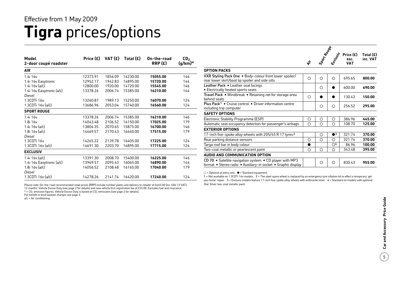### **Tigra** prices/options Effective from 1 May 2009

| Model<br>2-door coupé roadster | Price $(E)$ | VAT (£) | Total $(E)$ | On-the-road<br>RRP(E) | CO <sub>2</sub><br>$(g/km)^*$ |
|--------------------------------|-------------|---------|-------------|-----------------------|-------------------------------|
| <b>AIR</b>                     |             |         |             |                       |                               |
| 1.4i 16v                       | 12373.91    | 1856.09 | 14230.00    | 15055.00              | 146                           |
| 1.4i 16v Easytronic            | 12952.17    | 1942.83 | 14895.00    | 15720.00              | 144                           |
| 1.4i 16v (a/c)                 | 12800.00    | 1920.00 | 14720.00    | 15545.00              | 146                           |
| 1.4i 16v Easytronic (a/c)      | 13378.26    | 2006.74 | 15385.00    | 16210.00              | 144                           |
| Diesel                         |             |         |             |                       |                               |
| 1.3CDTi 16v                    | 13260.87    | 1989.13 | 15250.00    | 16070.00              | 124                           |
| 1.3CDTi 16v (a/c)              | 13686.96    | 2053.04 | 15740.00    | 16560.00              | 124                           |
| <b>SPORT ROUGE</b>             |             |         |             |                       |                               |
| 1.4i 16v                       | 13378.26    | 2006.74 | 15385.00    | 16210.00              | 146                           |
| 1.8i 16v                       | 14043.48    | 2106.52 | 16150.00    | 17025.00              | 179                           |
| 1.4i $16v$ (a/c)               | 13804.35    | 2070.65 | 15875.00    | 16700.00              | 146                           |
| 1.8i 16v (a/c)                 | 14469.57    | 2170.43 | 16640.00    | 17515.00              | 179                           |
| Diesel                         |             |         |             |                       |                               |
| 1.3CDTi 16v                    | 14265.22    | 2139.78 | 16405.00    | 17225.00              | 124                           |
| 1.3CDTi 16v (a/c)              | 14691.30    | 2203.70 | 16895.00    | 17715.00              | 124                           |
| <b>EXCLUSIV</b>                |             |         |             |                       |                               |
| 1.4i 16v (a/c)                 | 13391.30    | 2008.70 | 15400.00    | 16225.00              | 146                           |
| 1.4i 16v Easytronic (a/c)      | 13969.57    | 2095.43 | 16065.00    | 16890.00              | 144                           |
| 1.8i 16v (a/c)                 | 14056.52    | 2108.48 | 16165.00    | 17040.00              | 179                           |
| Diesel                         |             |         |             |                       |                               |
| 1.3CDTi 16v (a/c)              | 14278.26    | 2141.74 | 16420.00    | 17240.00              | 124                           |

Please note: On-the-road recommended retail prices (RRP) include number plates and delivery to retailer of £645.00 (inc. £84.13 VAT), 12 months' Vehicle Excise Duty (see page 2 for details) and new vehicle first registration fee of £55.00. Excludes fuel and insurance.

 $*$  = CO<sub>2</sub> emission figures. Vehicle Excise Duty is based on CO<sub>2</sub> emissions (see page 2 for details).

For benefit in kind taxation charges see page 3.

a/c = Air conditioning.

|                                                                                                                           | 令 | Jport Rouge | clusic                 | Price $(E)$<br>exc.<br><b>VAT</b> | Total (£<br>inc. VA1 |
|---------------------------------------------------------------------------------------------------------------------------|---|-------------|------------------------|-----------------------------------|----------------------|
| <b>OPTION PACKS</b>                                                                                                       |   |             |                        |                                   |                      |
| VXR Styling Pack One . Body-colour front lower spoiler/<br>rear lower skirt/boot lip spoiler and side sills               | ∩ | ◯           | ∩                      | 695.65                            | 800.00               |
| Leather Pack • Leather seat facings<br>• Electrically heated sports seats                                                 |   | ◯           |                        | 600.00                            | 690.00               |
| Travel Pack . Windbreak . Retaining net for storage area<br>behind seats                                                  | ∩ |             |                        | 130.43                            | 150.00               |
| <b>Plus Pack<sup>1</sup> •</b> Cruise control • Driver information centre<br>including trip computer                      |   | O           | $\circ$                | 256.52                            | 295.00               |
| <b>SAFETY OPTIONS</b>                                                                                                     |   |             |                        |                                   |                      |
| Electronic Stability Programme (ESP)                                                                                      | О | $\circ$     | O                      | 386.96                            | 445.00               |
| Automatic seat occupancy detection for passenger's airbags                                                                | ∩ | $\circ$     | О                      | 108.70                            | 125.00               |
| <b>EXTERIOR OPTIONS</b>                                                                                                   |   |             |                        |                                   |                      |
| 17-inch five-spoke alloy wheels with 205/45 R 17 tyres <sup>2</sup>                                                       |   | О           | $\bullet$ <sup>3</sup> | 321.74                            | 370.00               |
| Rear parking distance sensors                                                                                             | Ο | ∩           | Ο                      | 321.74                            | 370.00               |
| Targa roof bar in body colour                                                                                             |   |             | $\bigcirc$ 4           | 86.96                             | 100.00               |
| Two-coat metallic or pearlescent paint                                                                                    | ∩ | ∩           | ∩                      | 343.48                            | 395.00               |
| AUDIO AND COMMUNICATION OPTION                                                                                            |   |             |                        |                                   |                      |
| CD 70 • Satellite navigation system • CD player with MP3<br>format • Stereo radio • Auxiliary-in socket • Graphic display |   | Ο           | Ο                      | 830.43                            | 955.00               |

 $\bigcirc$  = Optional at extra cost.  $\bullet$  = Standard equipment.

1 = Not available on 1.3CDTi 16v models. 2 = The steel spare wheel is replaced by an emergency tyre inflation kit to effect a temporary 'get you home' repair. 3 = Exclusiv models feature 17-inch five-spoke alloy wheels with anthracite inner. 4 = Standard on models with optional Star Silver two-coat metallic paint.

**Total (£) inc. VAT**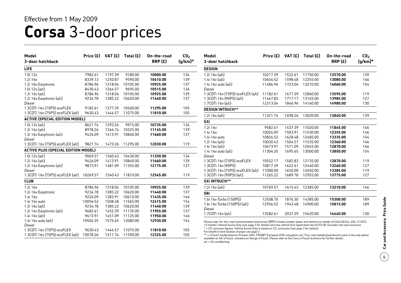## **Corsa** 3-door prices

| Model                                      | Price (£) | VAT(E)  | Total $(E)$ | On-the-road | CO <sub>2</sub> |
|--------------------------------------------|-----------|---------|-------------|-------------|-----------------|
| 3-door hatchback                           |           |         |             | RRP(E)      | $(g/km)^*$      |
| LIFE                                       |           |         |             |             |                 |
| 1.0i 12v                                   | 7982.61   | 1197.39 | 9180.00     | 10000.00    | 134             |
| 1.2i 16v                                   | 8339.13   | 1250.87 | 9590.00     | 10410.00    | 139             |
| 1.2i 16v Easytronic                        | 8786.96   | 1318.04 | 10105.00    | 10925.00    | 137             |
| 1.0i $12v$ (a/c)                           | 8430.43   | 1264.57 | 9695.00     | 10515.00    | 134             |
| $1.2i$ 16 $v$ (a/c)                        | 8786.96   | 1318.04 | 10105.00    | 10925.00    | 139             |
| 1.2i 16v Easytronic (a/c)                  | 9234.78   | 1385.22 | 10620.00    | 11440.00    | 137             |
| <b>Diesel</b>                              |           |         |             |             |                 |
| 1.3CDTi 16v (75PS) ecoFLEX                 | 9182.61   | 1377.39 | 10560.00    | 11295.00    | 105             |
| 1.3CDTi 16v (75PS) ecoFLEX (a/c)           | 9630.43   | 1444.57 | 11075.00    | 11810.00    | 105             |
| <b>ACTIVE (SPECIAL EDITION MODEL)</b>      |           |         |             |             |                 |
| 1.0i $12v$ (a/c)                           | 8621.74   | 1293.26 | 9915.00     | 10735.00    | 134             |
| $1.2i$ 16 $v$ (a/c)                        | 8978.26   | 1346.74 | 10325.00    | 11145.00    | 139             |
| 1.2i 16v Easytronic (a/c)                  | 9426.09   | 1413.91 | 10840.00    | 11660.00    | 137             |
| Diesel                                     |           |         |             |             |                 |
| 1.3CDTi 16v (75PS) ecoFLEX (a/c)           | 9821.74   | 1473.26 | 11295.00    | 12030.00    | 119             |
| <b>ACTIVE PLUS (SPECIAL EDITION MODEL)</b> |           |         |             |             |                 |
| 1.0i 12v (a/c)                             | 9069.57   | 1360.43 | 10430.00    | 11250.00    | 134             |
| $1.2i$ 16 $v$ (a/c)                        | 9426.09   | 1413.91 | 10840.00    | 11660.00    | 139             |
| 1.2i 16v Easytronic (a/c)                  | 9873.91   | 1481.09 | 11355.00    | 12175.00    | 137             |
| Diesel                                     |           |         |             |             |                 |
| 1.3CDTi 16v (75PS) ecoFLEX (a/c)           | 10269.57  | 1540.43 | 11810.00    | 12545.00    | 119             |
| <b>CLUB</b>                                |           |         |             |             |                 |
| 1.2i 16v                                   | 8786.96   | 1318.04 | 10105.00    | 10925.00    | 139             |
| 1.2i 16v Easytronic                        | 9234.78   | 1385.22 | 10620.00    | 11440.00    | 137             |
| 1.4i 16v                                   | 9226.09   | 1383.91 | 10610.00    | 11435.00    | 146             |
| 1.4i 16v auto                              | 10056.52  | 1508.48 | 11565.00    | 12415.00    | 154             |
| 1.2i 16v (a/c)                             | 9234.78   | 1385.22 | 10620.00    | 11440.00    | 139             |
| 1.2i 16v Easytronic (a/c)                  | 9682.61   | 1452.39 | 11135.00    | 11955.00    | 137             |
| 1.4i 16y (a/c)                             | 9673.91   | 1451.09 | 11125.00    | 11950.00    | 146             |
| 1.4i 16v auto (a/c)                        | 10504.35  | 1575.65 | 12080.00    | 12930.00    | 154             |
| <b>Diesel</b>                              |           |         |             |             |                 |
| 1.3CDTi 16v (75PS) ecoFLEX                 | 9630.43   | 1444.57 | 11075.00    | 11810.00    | 105             |
| 1.3CDTi 16v (75PS) ecoFLEX (a/c)           | 10078.26  | 1511.74 | 11590.00    | 12325.00    | 105             |

| Model<br>3-door hatchback        | Price $(E)$ | VAT (£) | Total $(E)$ | On-the-road<br>RRP(E) | CO <sub>2</sub><br>$(g/km)^*$ |
|----------------------------------|-------------|---------|-------------|-----------------------|-------------------------------|
| <b>DESIGN</b>                    |             |         |             |                       |                               |
| 1.2i $16v$ (a/c)                 | 10217.39    | 1532.61 | 11750.00    | 12570.00              | 139                           |
| 1.4i 16 $v$ (a/c)                | 10656.52    | 1598.48 | 12255.00    | 13080.00              | 146                           |
| 1.4i 16 $v$ auto (a/c)           | 11486.96    | 1723.04 | 13210.00    | 14060.00              | 154                           |
| Diesel                           |             |         |             |                       |                               |
| 1.3CDTi 16v (75PS) ecoFLEX (a/c) | 11182.61    | 1677.39 | 12860.00    | 13595.00              | 119                           |
| 1.3CDTi 16v (90PS) (a/c)         | 11447.83    | 1717.17 | 13165.00    | 13985.00              | 127                           |
| 1.7CDTi 16y (a/c)                | 12313.04    | 1846.96 | 14160.00    | 14980.00              | 130                           |
| <b>DESIGN INTOUCH**</b>          |             |         |             |                       |                               |
| $1.2i$ 16 $v$ (a/c)              | 11321.74    | 1698.26 | 13020.00    | 13840.00              | 139                           |
| <b>SXi</b>                       |             |         |             |                       |                               |
| 1.2i 16v                         | 9582.61     | 1437.39 | 11020.00    | 11845.00              | 146                           |
| 1.4i 16v                         | 10026.09    | 1503.91 | 11530.00    | 12355.00              | 146                           |
| 1.4i 16y auto                    | 10856.52    | 1628.48 | 12485.00    | 13335.00              | 154                           |
| 1.2i $16v$ (a/c)                 | 10030.43    | 1504.57 | 11535.00    | 12360.00              | 146                           |
| 1.4i 16 $v$ (a/c)                | 10473.91    | 1571.09 | 12045.00    | 12870.00              | 146                           |
| 1.4i 16 $v$ auto (a/c)           | 11304.35    | 1695.65 | 13000.00    | 13850.00              | 154                           |
| Diesel                           |             |         |             |                       |                               |
| 1.3CDTi 16v (75PS) ecoFLEX       | 10552.17    | 1582.83 | 12135.00    | 12870.00              | 119                           |
| 1.3CDTi 16v (90PS)               | 10817.39    | 1622.61 | 12440.00    | 13260.00              | 127                           |
| 1.3CDTi 16v (75PS) ecoFLEX (a/c) | 11000.00    | 1650.00 | 12650.00    | 13385.00              | 119                           |
| 1.3CDTi 16y (90PS) (a/c)         | 11265.22    | 1689.78 | 12955.00    | 13775.00              | 127                           |
| <b>SXi INTOUCH**</b>             |             |         |             |                       |                               |
| 1.2i $16v$ (a/c)                 | 10769.57    | 1615.43 | 12385.00    | 13210.00              | 146                           |
| <b>SRi</b>                       |             |         |             |                       |                               |
| 1.6i 16v Turbo (150PS)           | 12508.70    | 1876.30 | 14385.00    | 15300.00              | 189                           |
| 1.6i 16y Turbo (150PS) (a/c)     | 12956.52    | 1943.48 | 14900.00    | 15815.00              | 189                           |
| Diesel                           |             |         |             |                       |                               |
| $1.7$ CDTi $16v$ (a/c)           | 13582.61    | 2037.39 | 15620.00    | 16440.00              | 130                           |

Please note: On-the-road recommended retail prices (RRP) include number plates and delivery to retailer of £645.00 (inc. £84.13 VAT), 12 months' Vehicle Excise Duty (see page 2 for details) and new vehicle first registration fee of £55.00. Excludes fuel and insurance.

 $*$  = CO<sub>2</sub> emission figures. Vehicle Excise Duty is based on CO<sub>2</sub> emissions (see page 2 for details).

For benefit in kind taxation charges see page 3.

\*\* = inTouch model features Pioneer AVIC-F900BT European DVD navigation unit. Two-coat metallic/pearlescent paint is the only option<br>available on SXi inTouch, standard on Design inTouch. Please refer to the Corsa inTouch b a/c = Air conditioning.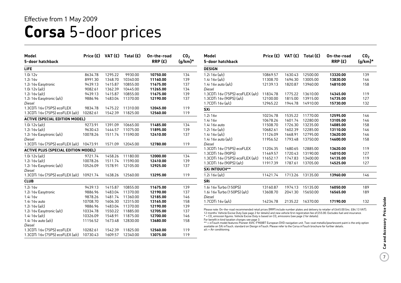# **Corsa** 5-door prices

| <b>Model</b>                               | Price (£) | VAT(E)  | Total $(E)$ | On-the-road | CO <sub>2</sub> |
|--------------------------------------------|-----------|---------|-------------|-------------|-----------------|
| 5-door hatchback                           |           |         |             | RRP(E)      | $(g/km)^*$      |
| <b>LIFE</b>                                |           |         |             |             |                 |
| 1.0i 12v                                   | 8634.78   | 1295.22 | 9930.00     | 10750.00    | 134             |
| 1.2i 16v                                   | 8991.30   | 1348.70 | 10340.00    | 11160.00    | 139             |
| 1.2i 16v Easytronic                        | 9439.13   | 1415.87 | 10855.00    | 11675.00    | 137             |
| 1.0i 12v (a/c)                             | 9082.61   | 1362.39 | 10445.00    | 11265.00    | 134             |
| 1.2i $16v$ (a/c)                           | 9439.13   | 1415.87 | 10855.00    | 11675.00    | 139             |
| 1.2i 16v Easytronic (a/c)                  | 9886.96   | 1483.04 | 11370.00    | 12190.00    | 137             |
| Diesel                                     |           |         |             |             |                 |
| 1.3CDTi 16v (75PS) ecoFLEX                 | 9834.78   | 1475.22 | 11310.00    | 12045.00    | 119             |
| 1.3CDTi 16v (75PS) ecoFLEX (a/c)           | 10282.61  | 1542.39 | 11825.00    | 12560.00    | 119             |
| <b>ACTIVE (SPECIAL EDITION MODEL)</b>      |           |         |             |             |                 |
| 1.0i $12v$ (a/c)                           | 9273.91   | 1391.09 | 10665.00    | 11485.00    | 134             |
| 1.2i $16v$ (a/c)                           | 9630.43   | 1444.57 | 11075.00    | 11895.00    | 139             |
| 1.2i 16v Easytronic (a/c)                  | 10078.26  | 1511.74 | 11590.00    | 12410.00    | 137             |
| Diesel                                     |           |         |             |             |                 |
| 1.3CDTi 16v (75PS) ecoFLEX (a/c)           | 10473.91  | 1571.09 | 12045.00    | 12780.00    | 119             |
| <b>ACTIVE PLUS (SPECIAL EDITION MODEL)</b> |           |         |             |             |                 |
| 1.0i $12v$ (a/c)                           | 9721.74   | 1458.26 | 11180.00    | 12000.00    | 134             |
| 1.2i $16v$ (a/c)                           | 10078.26  | 1511.74 | 11590.00    | 12410.00    | 139             |
| 1.2i 16v Easytronic (a/c)                  | 10526.09  | 1578.91 | 12105.00    | 12925.00    | 137             |
| Diesel                                     |           |         |             |             |                 |
| 1.3CDTi 16v (75PS) ecoFLEX (a/c)           | 10921.74  | 1638.26 | 12560.00    | 13295.00    | 119             |
| <b>CLUB</b>                                |           |         |             |             |                 |
| 1.2i 16v                                   | 9439.13   | 1415.87 | 10855.00    | 11675.00    | 139             |
| 1.2i 16v Easytronic                        | 9886.96   | 1483.04 | 11370.00    | 12190.00    | 137             |
| 1.4i 16v                                   | 9878.26   | 1481.74 | 11360.00    | 12185.00    | 146             |
| 1.4i 16v auto                              | 10708.70  | 1606.30 | 12315.00    | 13165.00    | 158             |
| 1.2i $16v$ (a/c)                           | 9886.96   | 1483.04 | 11370.00    | 12190.00    | 139             |
| 1.2i 16v Easytronic (a/c)                  | 10334.78  | 1550.22 | 11885.00    | 12705.00    | 137             |
| 1.4i 16y (a/c)                             | 10326.09  | 1548.91 | 11875.00    | 12700.00    | 146             |
| 1.4i 16 $v$ auto (a/c)                     | 11156.52  | 1673.48 | 12830.00    | 13680.00    | 158             |
| Diesel                                     |           |         |             |             |                 |
| 1.3CDTi 16v (75PS) ecoFLEX                 | 10282.61  | 1542.39 | 11825.00    | 12560.00    | 119             |
| 1.3CDTi 16v (75PS) ecoFLEX (a/c)           | 10730.43  | 1609.57 | 12340.00    | 13075.00    | 119             |

| Model<br>5-door hatchback        |          |         | Price $(E)$ VAT $(E)$ Total $(E)$ | On-the-road<br>RRP(E) | CO <sub>2</sub><br>(g/km)* |
|----------------------------------|----------|---------|-----------------------------------|-----------------------|----------------------------|
| <b>DESIGN</b>                    |          |         |                                   |                       |                            |
| 1.2i $16v$ (a/c)                 | 10869.57 | 1630.43 | 12500.00                          | 13320.00              | 139                        |
| 1.4i 16 $v$ (a/c)                | 11308.70 | 1696.30 | 13005.00                          | 13830.00              | 146                        |
| 1.4i 16v auto (a/c)              | 12139.13 | 1820.87 | 13960.00                          | 14810.00              | 158                        |
| Diesel                           |          |         |                                   |                       |                            |
| 1.3CDTi 16y (75PS) ecoFLEX (a/c) | 11834.78 | 1775.22 | 13610.00                          | 14345.00              | 119                        |
| 1.3CDTi 16v (90PS) (a/c)         | 12100.00 | 1815.00 | 13915.00                          | 14735.00              | 127                        |
| 1.7CDTi 16y (a/c)                | 12965.22 | 1944.78 | 14910.00                          | 15730.00              | 132                        |
| <b>SXi</b>                       |          |         |                                   |                       |                            |
| 1.2i 16v                         | 10234.78 | 1535.22 | 11770.00                          | 12595.00              | 146                        |
| 1.4i 16v                         | 10678.26 | 1601.74 | 12280.00                          | 13105.00              | 146                        |
| 1.4i 16v auto                    | 11508.70 | 1726.30 | 13235.00                          | 14085.00              | 158                        |
| 1.2i $16v$ (a/c)                 | 10682.61 | 1602.39 | 12285.00                          | 13110.00              | 146                        |
| 1.4i $16v$ (a/c)                 | 11126.09 | 1668.91 | 12795.00                          | 13620.00              | 146                        |
| $1.4i$ 16v auto (a/c)            | 11956.52 | 1793.48 | 13750.00                          | 14600.00              | 158                        |
| Diesel                           |          |         |                                   |                       |                            |
| 1.3CDTi 16v (75PS) ecoFLEX       | 11204.35 | 1680.65 | 12885.00                          | 13620.00              | 119                        |
| 1.3CDTi 16v (90PS)               | 11469.57 | 1720.43 | 13190.00                          | 14010.00              | 127                        |
| 1.3CDTi 16v (75PS) ecoFLEX (a/c) | 11652.17 | 1747.83 | 13400.00                          | 14135.00              | 119                        |
| 1.3CDTi 16v (90PS) (a/c)         | 11917.39 | 1787.61 | 13705.00                          | 14525.00              | 127                        |
| <b>SXi INTOUCH**</b>             |          |         |                                   |                       |                            |
| 1.2i 16v (a/c)                   | 11421.74 | 1713.26 | 13135.00                          | 13960.00              | 146                        |
| SRi                              |          |         |                                   |                       |                            |
| 1.6i 16v Turbo (150PS)           | 13160.87 | 1974.13 | 15135.00                          | 16050.00              | 189                        |
| 1.6i 16v Turbo (150PS) (a/c)     | 13608.70 | 2041.30 | 15650.00                          | 16565.00              | 189                        |
| Diesel                           |          |         |                                   |                       |                            |
| 1.7CDTi 16y (a/c)                | 14234.78 | 2135.22 | 16370.00                          | 17190.00              | 132                        |

ase note: On-the-road recommended retail prices (RRP) include number plates and delivery to retailer of £645.00 (inc. £84.13 VAT), 12 months' Vehicle Excise Duty (see page 2 for details) and new vehicle first registration fee of £55.00. Excludes fuel and insurance. CO<sub>2</sub> emission figures. Vehicle Excise Duty is based on CO<sub>2</sub> emissions (see page 2 for details).

benefit in kind taxation charges see page 3.

= inTouch model features Pioneer AVIC-F900BT European DVD navigation unit. Two-coat metallic/pearlescent paint is the only option ilable on SXi inTouch, standard on Design inTouch. Please refer to the Corsa inTouch brochure for further details.  $=$  Air conditioning.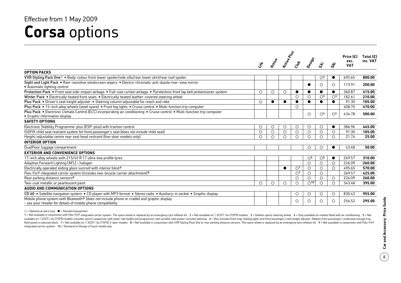### **Corsa** options Effective from 1 May 2009

|                                                                                                                                                              |                                  |                |             |                |                                  | Price (£)               |                                  |                    |                         |
|--------------------------------------------------------------------------------------------------------------------------------------------------------------|----------------------------------|----------------|-------------|----------------|----------------------------------|-------------------------|----------------------------------|--------------------|-------------------------|
|                                                                                                                                                              | $\ddot{\mathbf{x}}^{\mathbf{e}}$ | <b>Prijule</b> | Active Road | Cres           | Design                           | ぶ                       | $\dot{\mathcal{S}}$              | exc.<br><b>VAT</b> | Total $(E)$<br>inc. VAT |
| <b>OPTION PACKS</b>                                                                                                                                          |                                  |                |             |                |                                  |                         |                                  |                    |                         |
| VXR Styling Pack One <sup>1</sup> . Body-colour front lower spoiler/side sills/rear lower skirt/rear roof spoiler                                            |                                  |                |             |                |                                  | O <sup>2</sup>          | $\bullet$                        | 695.65             | 800.00                  |
| Sight and Light Pack • Rain-sensitive windscreen wipers • Electro-chromatic anti-dazzle rear-view mirror<br>• Automatic lighting control                     |                                  |                |             |                | ●                                | O                       | $\circ$                          | 173.91             | 200.00                  |
| Protection Pack • Front seat side-impact airbags • Full-size curtain airbags • Pyrotechnic front lap belt pretensioner system                                | O                                | $\circ$        | O           | $\bullet$      | $\bullet$                        | $\bullet$               | $\bullet$                        | 360.87             | 415.00                  |
| Winter Pack . Electrically heated front seats . Electrically heated leather-covered steering wheel                                                           |                                  |                |             | $\circ$        | $\circ$                          | $\bigcirc$ <sup>3</sup> | $\bigcirc$ <sup>3</sup>          | 182.61             | 210.00                  |
| Plus Pack • Driver's seat height adjuster • Steering column adjustable for reach and rake                                                                    | O                                | $\bullet$      | $\bullet$   | $\bullet$      | $\bullet$                        |                         | $\bullet$                        | 91.30              | 105.00                  |
| Plus Pack . 15-inch alloy wheels (steel spare) . Front fog lights . Cruise control . Multi-function trip computer                                            |                                  |                |             | $\circ$        |                                  |                         |                                  | 408.70             | 470.00                  |
| Plus Pack • Electronic Climate Control (ECC) incorporating air conditioning • Cruise control • Multi-function trip computer<br>• Graphic information display |                                  |                |             |                | $\circ$                          | $\bigcirc$ <sup>4</sup> | $\circlearrowright$ <sup>4</sup> | 434.78             | 500.00                  |
| <b>SAFETY OPTIONS</b>                                                                                                                                        |                                  |                |             |                |                                  |                         |                                  |                    |                         |
| Electronic Stability Programme-plus (ESP-plus) with traction control                                                                                         | O                                | $\circ$        | $\circ$     | $\circ$        | $\circ$                          | $\circ$                 | $\bullet$                        | 386.96             | 445.00                  |
| ISOFIX child seat restraint system for front passenger's seat (does not include child seat)                                                                  | О                                | $\circ$        | O           | $\circ$        | $\circ$                          | $\circ$                 | $\circ$                          | 91.30              | 105.00                  |
| Height-adjustable centre rear seat head restraint (five-door models only)                                                                                    | O                                | $\circ$        | О           | $\circ$        | $\circ$                          | $\circ$                 | $\circ$                          | 21.74              | 25.00                   |
| <b>INTERIOR OPTION</b>                                                                                                                                       |                                  |                |             |                |                                  |                         |                                  |                    |                         |
| DualFloor luggage compartment                                                                                                                                |                                  |                |             |                | $\circ$                          | $\circ$                 | $\bullet$                        | 43.48              | 50.00                   |
| <b>EXTERIOR AND CONVENIENCE OPTIONS</b>                                                                                                                      |                                  |                |             |                |                                  |                         |                                  |                    |                         |
| 17-inch alloy wheels with 215/45 R 17 ultra-low profile tyres                                                                                                |                                  |                |             |                | $\circlearrowright$ <sup>5</sup> | $\circlearrowright$     | $\bullet$                        | 269.57             | 310.00                  |
| Adaptive Forward Lighting (AFL) - halogen                                                                                                                    |                                  |                |             |                | $\circ$                          | $\circ$                 | $\circ$                          | 226.09             | 260.00                  |
| Electrically operated sliding glass sunroof with interior blind <sup>6</sup>                                                                                 |                                  |                |             | O <sup>7</sup> | $\circ$                          | $\circ$                 | $\circ$                          | 495.65             | 570.00                  |
| Flex-Fix® integrated carrier system (includes two-bicycle carrier attachment) 8                                                                              |                                  |                |             | $\bigcirc$     | $\circ$                          | $\circ$                 |                                  | 369.57             | 425.00                  |
| Rear parking distance sensors <sup>9</sup>                                                                                                                   |                                  |                |             | $\circ$        | $\circ$                          | $\circ$                 | $\circ$                          | 226.09             | 260.00                  |
| Two-coat metallic or pearlescent paint                                                                                                                       | O                                | $\circ$        | O           | $\circ$        | O <sup>10</sup>                  | $\circ$                 | $\circ$                          | 343.48             | 395.00                  |
| AUDIO AND COMMUNICATION OPTIONS                                                                                                                              |                                  |                |             |                |                                  |                         |                                  |                    |                         |
| CD 60 • Satellite navigation system • CD player with MP3 format • Stereo radio • Auxiliary-in socket • Graphic display                                       |                                  |                |             | $\circ$        | $\circ$                          | $\circ$                 | $\circ$                          | 830.43             | 955.00                  |
| Mobile phone system with Bluetooth® (does not include phone or cradle) and graphic display<br>- see your retailer for details of mobile phone compatibility  |                                  |                |             | $\circ$        | $\circ$                          | O                       | $\circ$                          | 256.52             | 295.00                  |

 $\bigcirc$  = Optional at extra cost.  $\bigcirc$  = Standard equipment.

1 = Not available in conjunction with Flex-Fix® integrated carrier system. The spare wheel is replaced by an emergency tyre inflation kit. 2 = Not available on 1.3CDTi 16y (75PS) models. 3 = Deletes sports steering wheel. available on 1.3CDTi 16v (75PS) models. Includes sports suspension with lower ride height and progressive-rate variable ratio power-assisted steering. 6 = Also includes front map reading lights and front passenger's seat h Roof panel is coloured black. 7 = Not available on 1.3CDTi 16v (75PS) 3-door models. 8 = Not available in conjunction with VXR Styling Pack One or rear parking distance sensors. The spare wheel is replaced by an emergency integrated carrier system. 10 = Standard on Design inTouch model only.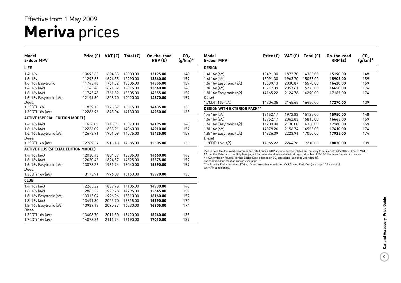## **Meriva** prices Effective from 1 May 2009

| <b>Model</b><br>5-door MPV                 | Price (£) | VAT $(f)$ | Total (£) | On-the-road<br>RRP(E) | CO <sub>2</sub><br>$(g/km)^*$ |
|--------------------------------------------|-----------|-----------|-----------|-----------------------|-------------------------------|
| <b>LIFE</b>                                |           |           |           |                       |                               |
| 1.4i 16v                                   | 10695.65  | 1604.35   | 12300.00  | 13125.00              | 148                           |
| 1.6i 16v                                   | 11295.65  | 1694.35   | 12990.00  | 13840.00              | 159                           |
| 1.6i 16v Easytronic                        | 11743.48  | 1761.52   | 13505.00  | 14355.00              | 159                           |
| 1.4i $16v$ (a/c)                           | 11143.48  | 1671.52   | 12815.00  | 13640.00              | 148                           |
| 1.6i 16v (a/c)                             | 11743.48  | 1761.52   | 13505.00  | 14355.00              | 159                           |
| 1.6i 16v Easytronic (a/c)                  | 12191.30  | 1828.70   | 14020.00  | 14870.00              | 159                           |
| Diesel                                     |           |           |           |                       |                               |
| 1.3CDTi 16v                                | 11839.13  | 1775.87   | 13615.00  | 14435.00              | 135                           |
| 1.3CDTi 16v (a/c)                          | 12286.96  | 1843.04   | 14130.00  | 14950.00              | 135                           |
| <b>ACTIVE (SPECIAL EDITION MODEL)</b>      |           |           |           |                       |                               |
| 1.4i $16v$ (a/c)                           | 11626.09  | 1743.91   | 13370.00  | 14195.00              | 148                           |
| 1.6i 16v (a/c)                             | 12226.09  | 1833.91   | 14060.00  | 14910.00              | 159                           |
| 1.6i 16v Easytronic (a/c)                  | 12673.91  | 1901.09   | 14575.00  | 15425.00              | 159                           |
| <b>Diesel</b>                              |           |           |           |                       |                               |
| 1.3CDTi 16v (a/c)                          | 12769.57  | 1915.43   | 14685.00  | 15505.00              | 135                           |
| <b>ACTIVE PLUS (SPECIAL EDITION MODEL)</b> |           |           |           |                       |                               |
| 1.4i $16v$ (a/c)                           | 12030.43  | 1804.57   | 13835.00  | 14660.00              | 148                           |
| 1.6i $16v$ (a/c)                           | 12630.43  | 1894.57   | 14525.00  | 15375.00              | 159                           |
| 1.6i 16v Easytronic (a/c)                  | 13078.26  | 1961.74   | 15040.00  | 15890.00              | 159                           |
| Diesel                                     |           |           |           |                       |                               |
| 1.3CDTi 16v (a/c)                          | 13173.91  | 1976.09   | 15150.00  | 15970.00              | 135                           |
| <b>CLUB</b>                                |           |           |           |                       |                               |
| 1.4i 16v (a/c)                             | 12265.22  | 1839.78   | 14105.00  | 14930.00              | 148                           |
| 1.6i 16v (a/c)                             | 12865.22  | 1929.78   | 14795.00  | 15645.00              | 159                           |
| 1.6i 16v Easytronic (a/c)                  | 13313.04  | 1996.96   | 15310.00  | 16160.00              | 159                           |
| 1.8i $16v$ (a/c)                           | 13491.30  | 2023.70   | 15515.00  | 16390.00              | 174                           |
| 1.8i 16v Easytronic (a/c)                  | 13939.13  | 2090.87   | 16030.00  | 16905.00              | 174                           |
| Diesel                                     |           |           |           |                       |                               |
| 1.3CDTi 16v (a/c)                          | 13408.70  | 2011.30   | 15420.00  | 16240.00              | 135                           |
| 1.7CDTi 16v (a/c)                          | 14078.26  | 2111.74   | 16190.00  | 17010.00              | 139                           |

| Model<br>5-door MPV                | Price $(E)$ | VAT(E)  | Total $(E)$ | On-the-road<br>RRP(E) | CO <sub>2</sub><br>$(g/km)^*$ |
|------------------------------------|-------------|---------|-------------|-----------------------|-------------------------------|
| <b>DESIGN</b>                      |             |         |             |                       |                               |
| 1.4i 16y (a/c)                     | 12491.30    | 1873.70 | 14365.00    | 15190.00              | 148                           |
| 1.6i 16 $v$ (a/c)                  | 13091.30    | 1963.70 | 15055.00    | 15905.00              | 159                           |
| 1.6i 16v Easytronic (a/c)          | 13539.13    | 2030.87 | 15570.00    | 16420.00              | 159                           |
| 1.8i $16v$ (a/c)                   | 13717.39    | 2057.61 | 15775.00    | 16650.00              | 174                           |
| 1.8i 16v Easytronic (a/c)          | 14165.22    | 2124.78 | 16290.00    | 17165.00              | 174                           |
| Diesel                             |             |         |             |                       |                               |
| 1.7CDTi 16y (a/c)                  | 14304.35    | 2145.65 | 16450.00    | 17270.00              | 139                           |
| <b>DESIGN WITH EXTERIOR PACK**</b> |             |         |             |                       |                               |
| 1.4i 16y (a/c)                     | 13152.17    | 1972.83 | 15125.00    | 15950.00              | 148                           |
| 1.6i 16v (a/c)                     | 13752.17    | 2062.83 | 15815.00    | 16665.00              | 159                           |
| 1.6i 16v Easytronic (a/c)          | 14200.00    | 2130.00 | 16330.00    | 17180.00              | 159                           |
| 1.8i 16v (a/c)                     | 14378.26    | 2156.74 | 16535.00    | 17410.00              | 174                           |
| 1.8i 16v Easytronic (a/c)          | 14826.09    | 2223.91 | 17050.00    | 17925.00              | 174                           |
| Diesel                             |             |         |             |                       |                               |
| $1.7$ CDTi $16v$ (a/c)             | 14965.22    | 2244.78 | 17210.00    | 18030.00              | 139                           |

Please note: On-the-road recommended retail prices (RRP) include number plates and delivery to retailer of £645.00 (inc. £84.13 VAT),<br>12 months' Vehicle Excise Duty (see page 2 for details) and new vehicle first registrati

 $*$  = CO<sub>2</sub> emission figures. Vehicle Excise Duty is based on CO<sub>2</sub> emissions (see page 2 for details).

For benefit in kind taxation charges see page 3. \*\* = Exterior Pack comprises 17-inch five-spoke alloy wheels and VXR Styling Pack One (see page 10 for details). a/c = Air conditioning.

 $\overline{9}$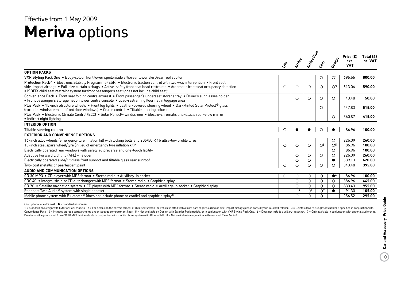### **Meriva** options Effective from 1 May 2009

|                                                                                                                                                                                                                                                                                                                                                                                    | $\ddot{\mathcal{S}}$ | <b>Prizike</b> | Active Plus    | Cras           | Design                           | Price $(E)$<br>exc.<br><b>VAT</b> | Total $(E)$<br>inc. VAT |
|------------------------------------------------------------------------------------------------------------------------------------------------------------------------------------------------------------------------------------------------------------------------------------------------------------------------------------------------------------------------------------|----------------------|----------------|----------------|----------------|----------------------------------|-----------------------------------|-------------------------|
| <b>OPTION PACKS</b>                                                                                                                                                                                                                                                                                                                                                                |                      |                |                |                |                                  |                                   |                         |
| VXR Styling Pack One . Body-colour front lower spoiler/side sills/rear lower skirt/rear roof spoiler                                                                                                                                                                                                                                                                               |                      |                |                | $\circ$        | $\circlearrowright$ <sup>1</sup> | 695.65                            | 800.00                  |
| Protection Pack <sup>2</sup> • Electronic Stability Programme (ESP) • Electronic traction control with two-way intervention • Front seat<br>side-impact airbags • Full-size curtain airbags • Active-safety front seat head restraints • Automatic front seat occupancy detection<br>• ISOFIX child seat restraint system for front passenger's seat (does not include child seat) | O                    | $\circ$        | $\circ$        | $\circ$        | $\bigcirc$ <sup>3</sup>          | 513.04                            | 590.00                  |
| Convenience Pack • Front seat folding centre armrest • Front passenger's underseat storage tray • Driver's sunglasses holder<br>• Front passenger's storage net on lower centre console • Load-restraining floor net in luggage area                                                                                                                                               |                      | ∩              | $\circ$        | $\circ$        | $\circ$                          | 43.48                             | 50.00                   |
| Plus Pack • 15-inch Structure wheels • Front fog lights • Leather-covered steering wheel • Dark-tinted Solar Protect® glass<br>(excludes windscreen and front door windows) • Cruise control • Tiltable steering column                                                                                                                                                            |                      |                |                | ◯              |                                  | 447.83                            | 515.00                  |
| Plus Pack • Electronic Climate Control (ECC) • Solar Reflect <sup>®</sup> windscreen • Electro-chromatic anti-dazzle rear-view mirror<br>• Indirect night lighting                                                                                                                                                                                                                 |                      |                |                |                | ∩                                | 360.87                            | 415.00                  |
| <b>INTERIOR OPTION</b>                                                                                                                                                                                                                                                                                                                                                             |                      |                |                |                |                                  |                                   |                         |
| Tiltable steering column                                                                                                                                                                                                                                                                                                                                                           | $\circ$              |                |                | ∩              |                                  | 86.96                             | 100.00                  |
| <b>EXTERIOR AND CONVENIENCE OPTIONS</b>                                                                                                                                                                                                                                                                                                                                            |                      |                |                |                |                                  |                                   |                         |
| 16-inch alloy wheels (emergency tyre inflation kit) with locking bolts and 205/50 R 16 ultra-low profile tyres                                                                                                                                                                                                                                                                     |                      |                |                |                | $\circ$                          | 226.09                            | 260.00                  |
| 15-inch steel spare wheel/tyre (in lieu of emergency tyre inflation kit) 4                                                                                                                                                                                                                                                                                                         | $\circ$              | $\circ$        | $\circ$        | O <sub>5</sub> | $\circlearrowright$              | 86.96                             | 100.00                  |
| Electrically operated rear windows with safety autoreverse and one-touch facility                                                                                                                                                                                                                                                                                                  |                      |                |                |                | $\circ$                          | 86.96                             | 100.00                  |
| Adaptive Forward Lighting (AFL) - halogen                                                                                                                                                                                                                                                                                                                                          |                      | $\circ$        | $\circ$        | $\circ$        | $\circ$                          | 226.09                            | 260.00                  |
| Electrically operated slide/tilt glass front sunroof and tiltable glass rear sunroof                                                                                                                                                                                                                                                                                               |                      | $\circ$        | $\circ$        |                | $\bullet$                        | 539.13                            | 620.00                  |
| Two-coat metallic or pearlescent paint                                                                                                                                                                                                                                                                                                                                             | $\circ$              | $\circ$        | $\bigcirc$     | $\circ$        | $\bigcirc$                       | 343.48                            | 395.00                  |
| AUDIO AND COMMUNICATION OPTIONS                                                                                                                                                                                                                                                                                                                                                    |                      |                |                |                |                                  |                                   |                         |
| CD 30 MP3 • CD player with MP3 format • Stereo radio • Auxiliary-in socket                                                                                                                                                                                                                                                                                                         | O                    | O              | $\circ$        | $\circ$        | $\bullet$ <sup>6</sup>           | 86.96                             | 100.00                  |
| CDC 40 • Integral six-disc CD autochanger with MP3 format • Stereo radio • Graphic display                                                                                                                                                                                                                                                                                         |                      | $\circ$        | $\circ$        | $\circ$        | $\circ$                          | 386.96                            | 445.00                  |
| CD 70 • Satellite navigation system • CD player with MP3 format • Stereo radio • Auxiliary-in socket • Graphic display                                                                                                                                                                                                                                                             |                      | O              | $\circ$        | $\circ$        | $\circ$                          | 830.43                            | 955.00                  |
| Rear seat Twin Audio <sup>®</sup> system with single headset                                                                                                                                                                                                                                                                                                                       |                      | O <sup>7</sup> | O <sup>7</sup> | O <sup>7</sup> | $\bullet$                        | 91.30                             | 105.00                  |
| Mobile phone system with Bluetooth <sup>®</sup> (does not include phone or cradle) and graphic display <sup>8</sup>                                                                                                                                                                                                                                                                |                      | $\circ$        | O              | ∩              |                                  | 256.52                            | 295.00                  |

 $\bigcirc$  = Optional at extra cost.  $\bigcirc$  = Standard equipment.

1 = Standard on Design with Exterior Pack models. 2 = For details on the correct fitment of child seats when the vehicle is fitted with a front passenger's airbag or side-impact airbags please consult your Vauxhall retaile Convenience Pack. 4 = Includes storage compartments under luggage compartment floor. 5 = Not available on Design with Exterior Pack models, or in conjunction with VXR Styling Pack One. 6 = Does not include auxiliary-in soc Deletes auxiliary-in socket from CD 30 MP3. Not available in conjunction with mobile phone system with Bluetooth®. 8 = Not available in conjunction with rear seat Twin Audio®.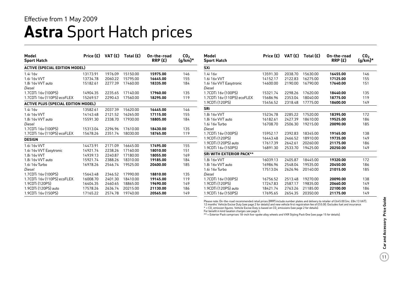### **Astra** Sport Hatch prices Effective from 1 May 2009

| Model<br><b>Sport Hatch</b>                | Price (£) | VAT (£) | Total $(E)$      | On-the-road<br>RRP(E) | CO <sub>2</sub><br>$(g/km)^*$ | <b>Model</b><br><b>Sport Hatch</b> | Price (£) | VAT (£) | Total $(E)$ | On-the-road<br>RRP(E) | CO <sub>2</sub><br>$(g/km)^*$ |
|--------------------------------------------|-----------|---------|------------------|-----------------------|-------------------------------|------------------------------------|-----------|---------|-------------|-----------------------|-------------------------------|
| <b>ACTIVE (SPECIAL EDITION MODEL)</b>      |           |         |                  |                       |                               | <b>SXi</b>                         |           |         |             |                       |                               |
| 1.4i 16v                                   | 13173.91  | 1976.09 | 15150.00         | 15975.00              | 146                           | 1.4i 16v                           | 13591.30  | 2038.70 | 15630.00    | 16455.00              | 146                           |
| 1.6i 16v VVT                               | 13734.78  | 2060.22 | 15795.00         | 16645.00              | 155                           | 1.6i 16v VVT                       | 14152.17  | 2122.83 | 16275.00    | 17125.00              | 155                           |
| 1.8i 16y VVT auto                          | 15182.61  | 2277.39 | 17460.00         | 18335.00              | 184                           | 1.6i 16v VVT Easytronic            | 14600.00  | 2190.00 | 16790.00    | 17640.00              | 151                           |
| Diesel                                     |           |         |                  |                       |                               | Diesel                             |           |         |             |                       |                               |
| 1.7CDTi 16v (100PS)                        | 14904.35  | 2235.65 | 17140.00         | 17960.00              | 135                           | 1.7CDTi 16v (100PS)                | 15321.74  | 2298.26 | 17620.00    | 18440.00              | 135                           |
| 1.7CDTi 16y (110PS) ecoFLEX                | 15269.57  |         | 2290.43 17560.00 | 18295.00              | 119                           | 1.7CDTi 16y (110PS) ecoFLEX        | 15686.96  | 2353.04 | 18040.00    | 18775.00              | 119                           |
| <b>ACTIVE PLUS (SPECIAL EDITION MODEL)</b> |           |         |                  |                       |                               | 1.9CDTi (120PS)                    | 15456.52  | 2318.48 | 17775.00    | 18600.00              | 149                           |
| 1.4i 16v                                   | 13582.61  | 2037.39 | 15620.00         | 16445.00              | 146                           | <b>SRi</b>                         |           |         |             |                       |                               |
| 1.6i 16v VVT                               | 14143.48  | 2121.52 | 16265.00         | 17115.00              | 155                           | 1.8i 16v VVT                       | 15234.78  | 2285.22 | 17520.00    | 18395.00              | 172                           |
| 1.8i 16y VVT auto                          | 15591.30  | 2338.70 | 17930.00         | 18805.00              | 184                           | 1.8i 16y VVT auto                  | 16182.61  | 2427.39 | 18610.00    | 19525.00              | 186                           |
| Diesel                                     |           |         |                  |                       |                               | 1.6i 16v Turbo                     | 16708.70  | 2506.30 | 19215.00    | 20090.00              | 185                           |
| 1.7CDTi 16y (100PS)                        | 15313.04  | 2296.96 | 17610.00         | 18430.00              | 135                           | Diesel                             |           |         |             |                       |                               |
| 1.7CDTi 16v (110PS) ecoFLEX                | 15678.26  | 2351.74 | 18030.00         | 18765.00              | 119                           | 1.7CDTi 16v (100PS)                | 15952.17  | 2392.83 | 18345.00    | 19165.00              | 138                           |
| <b>DESIGN</b>                              |           |         |                  |                       |                               | 1.9CDTi (120PS)                    | 16443.48  | 2466.52 | 18910.00    | 19735.00              | 149                           |
| 1.6i 16v VVT                               | 14473.91  | 2171.09 | 16645.00         | 17495.00              | 155                           | 1.9CDTi (120PS) auto               | 17617.39  | 2642.61 | 20260.00    | 21175.00              | 186                           |
| 1.6i 16v VVT Easytronic                    | 14921.74  | 2238.26 | 17160.00         | 18010.00              | 151                           | 1.9CDTi 16v (150PS)                | 16891.30  | 2533.70 | 19425.00    | 20250.00              | 149                           |
| 1.8i 16v VVT                               | 14939.13  | 2240.87 | 17180.00         | 18055.00              | 169                           | <b>SRI WITH EXTERIOR PACK**</b>    |           |         |             |                       |                               |
| 1.8i 16y VVT auto                          | 15921.74  | 2388.26 | 18310.00         | 19185.00              | 184                           | 1.8i 16v VVT                       | 16039.13  | 2405.87 | 18445.00    | 19320.00              | 172                           |
| 1.6i 16v Turbo                             | 16978.26  | 2546.74 | 19525.00         | 20400.00              | 185                           | 1.8i 16y VVT auto                  | 16986.96  | 2548.04 | 19535.00    | 20450.00              | 186                           |
| Diesel                                     |           |         |                  |                       |                               | 1.6i 16v Turbo                     | 17513.04  | 2626.96 | 20140.00    | 21015.00              | 185                           |
| 1.7CDTi 16y (100PS)                        | 15643.48  | 2346.52 | 17990.00         | 18810.00              | 135                           | Diesel                             |           |         |             |                       |                               |
| 1.7CDTi 16y (110PS) ecoFLEX                | 16008.70  | 2401.30 | 18410.00         | 19145.00              | 119                           | 1.7CDTi 16y (100PS)                | 16756.52  | 2513.48 | 19270.00    | 20090.00              | 138                           |
| 1.9CDTi (120PS)                            | 16404.35  | 2460.65 | 18865.00         | 19690.00              | 149                           | 1.9CDTi (120PS)                    | 17247.83  | 2587.17 | 19835.00    | 20660.00              | 149                           |
| 1.9CDTi (120PS) auto                       | 17578.26  | 2636.74 | 20215.00         | 21130.00              | 186                           | 1.9CDTi (120PS) auto               | 18421.74  | 2763.26 | 21185.00    | 22100.00              | 186                           |
| 1.9CDTi 16y (150PS)                        | 17165.22  |         | 2574.78 19740.00 | 20565.00              | 149                           | 1.9CDTi 16y (150PS)                | 17695.65  | 2654.35 | 20350.00    | 21175.00              | 149                           |

Please note: On-the-road recommended retail prices (RRP) include number plates and delivery to retailer of £645.00 (inc. £84.13 VAT), 12 months' Vehicle Excise Duty (see page 2 for details) and new vehicle first registration fee of £55.00. Excludes fuel and insurance.

\* = CO<sub>2</sub> emission figures. Vehicle Excise Duty is based on CO<sub>2</sub> emissions (see page 2 for details).

For benefit in kind taxation charges see page 3.

\*\* = Exterior Pack comprises 18-inch five-spoke alloy wheels and VXR Styling Pack One (see page 15 for details).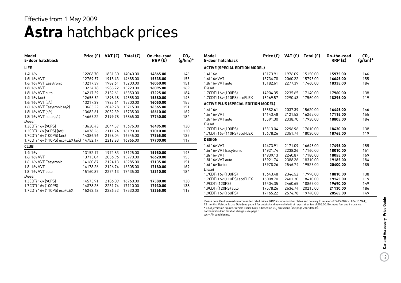### **Astra** hatchback prices Effective from 1 May 2009

| Model<br>5-door hatchback                  | Price (£) | VAT $(E)$ | Total $(E)$ | On-the-road<br>RRP(E) | CO <sub>2</sub><br>$(g/km)$ * |
|--------------------------------------------|-----------|-----------|-------------|-----------------------|-------------------------------|
| <b>LIFE</b>                                |           |           |             |                       |                               |
| 1.4i 16v                                   | 12208.70  | 1831.30   | 14040.00    | 14865.00              | 146                           |
| 1.6i 16v VVT                               | 12769.57  | 1915.43   | 14685.00    | 15535.00              | 155                           |
| 1.6i 16v VVT Easytronic                    | 13217.39  | 1982.61   | 15200.00    | 16050.00              | 151                           |
| 1.8i 16v VVT                               | 13234.78  | 1985.22   | 15220.00    | 16095.00              | 169                           |
| 1.8i 16y VVT auto                          | 14217.39  | 2132.61   | 16350.00    | 17225.00              | 184                           |
| 1.4i $16v$ (a/c)                           | 12656.52  | 1898.48   | 14555.00    | 15380.00              | 146                           |
| 1.6i 16y VVT (a/c)                         | 13217.39  | 1982.61   | 15200.00    | 16050.00              | 155                           |
| 1.6i 16v VVT Easytronic (a/c)              | 13665.22  | 2049.78   | 15715.00    | 16565.00              | 151                           |
| 1.8i 16y VVT (a/c)                         | 13682.61  | 2052.39   | 15735.00    | 16610.00              | 169                           |
| 1.8i $16v$ VVT auto $(a/c)$                | 14665.22  | 2199.78   | 16865.00    | 17740.00              | 184                           |
| Diesel                                     |           |           |             |                       |                               |
| 1.3CDTi 16v (90PS)                         | 13630.43  | 2044.57   | 15675.00    | 16495.00              | 130                           |
| 1.3CDTi 16y (90PS) (a/c)                   | 14078.26  | 2111.74   | 16190.00    | 17010.00              | 130                           |
| 1.7CDTi 16v (100PS) (a/c)                  | 14386.96  | 2158.04   | 16545.00    | 17365.00              | 135                           |
| 1.7CDTi 16v (110PS) ecoFLEX (a/c) 14752.17 |           | 2212.83   | 16965.00    | 17700.00              | 119                           |
| <b>CLUB</b>                                |           |           |             |                       |                               |
| 1.4i 16v                                   | 13152.17  | 1972.83   | 15125.00    | 15950.00              | 146                           |
| 1.6i 16v VVT                               | 13713.04  | 2056.96   | 15770.00    | 16620.00              | 155                           |
| 1.6i 16v VVT Easytronic                    | 14160.87  | 2124.13   | 16285.00    | 17135.00              | 151                           |
| 1.8i 16v VVT                               | 14178.26  | 2126.74   | 16305.00    | 17180.00              | 169                           |
| 1.8i 16y VVT auto                          | 15160.87  | 2274.13   | 17435.00    | 18310.00              | 184                           |
| Diesel                                     |           |           |             |                       |                               |
| 1.3CDTi 16v (90PS)                         | 14573.91  | 2186.09   | 16760.00    | 17580.00              | 130                           |
| 1.7CDTi 16v (100PS)                        | 14878.26  | 2231.74   | 17110.00    | 17930.00              | 138                           |
| 1.7CDTi 16y (110PS) ecoFLEX                | 15243.48  | 2286.52   | 17530.00    | 18265.00              | 119                           |

| Model<br>5-door hatchback                  | Price $(E)$ VAT $(E)$ |         | Total $(E)$ | On-the-road<br>RRP(E) | CO <sub>2</sub><br>$(g/km)^*$ |
|--------------------------------------------|-----------------------|---------|-------------|-----------------------|-------------------------------|
| <b>ACTIVE (SPECIAL EDITION MODEL)</b>      |                       |         |             |                       |                               |
| 1.4i 16 <sub>v</sub>                       | 13173.91              | 1976.09 | 15150.00    | 15975.00              | 146                           |
| 1.6i 16v VVT                               | 13734.78              | 2060.22 | 15795.00    | 16645.00              | 155                           |
| 1.8i 16v VVT auto                          | 15182.61              | 2277.39 | 17460.00    | 18335.00              | 184                           |
| Diesel                                     |                       |         |             |                       |                               |
| 1.7CDTi 16y (100PS)                        | 14904.35              | 2235.65 | 17140.00    | 17960.00              | 138                           |
| 1.7CDTi 16v (110PS) ecoFLEX                | 15269.57              | 2290.43 | 17560.00    | 18295.00              | 119                           |
| <b>ACTIVE PLUS (SPECIAL EDITION MODEL)</b> |                       |         |             |                       |                               |
| 1.4i 16v                                   | 13582.61              | 2037.39 | 15620.00    | 16445.00              | 146                           |
| 1.6i 16v VVT                               | 14143.48              | 2121.52 | 16265.00    | 17115.00              | 155                           |
| 1.8i 16y VVT auto                          | 15591.30              | 2338.70 | 17930.00    | 18805.00              | 184                           |
| Diesel                                     |                       |         |             |                       |                               |
| 1.7CDTi 16v (100PS)                        | 15313.04              | 2296.96 | 17610.00    | 18430.00              | 138                           |
| 1.7CDTi 16v (110PS) ecoFLEX                | 15678.26              | 2351.74 | 18030.00    | 18765.00              | 119                           |
| <b>DESIGN</b>                              |                       |         |             |                       |                               |
| 1.6i 16v VVT                               | 14473.91              | 2171.09 | 16645.00    | 17495.00              | 155                           |
| 1.6i 16v VVT Easytronic                    | 14921.74              | 2238.26 | 17160.00    | 18010.00              | 151                           |
| 1.8i 16v VVT                               | 14939.13              | 2240.87 | 17180.00    | 18055.00              | 169                           |
| 1.8i 16y VVT auto                          | 15921.74              | 2388.26 | 18310.00    | 19185.00              | 184                           |
| 1.6i 16y Turbo                             | 16978.26              | 2546.74 | 19525.00    | 20400.00              | 185                           |
| Diesel                                     |                       |         |             |                       |                               |
| 1.7CDTi 16y (100PS)                        | 15643.48              | 2346.52 | 17990.00    | 18810.00              | 138                           |
| 1.7CDTi 16y (110PS) ecoFLEX                | 16008.70              | 2401.30 | 18410.00    | 19145.00              | 119                           |
| 1.9CDTi (120PS)                            | 16404.35              | 2460.65 | 18865.00    | 19690.00              | 149                           |
| 1.9CDTi (120PS) auto                       | 17578.26              | 2636.74 | 20215.00    | 21130.00              | 186                           |
| 1.9CDTi 16v (150PS)                        | 17165.22              | 2574.78 | 19740.00    | 20565.00              | 149                           |

Please note: On-the-road recommended retail prices (RRP) include number plates and delivery to retailer of £645.00 (inc. £84.13 VAT),<br>12 months' Vehicle Excise Duty (see page 2 for details) and new vehicle first registrati

 $*$  = CO<sub>2</sub> emission figures. Vehicle Excise Duty is based on CO<sub>2</sub> emissions (see page 2 for details).

For benefit in kind taxation charges see page 3.

a/c = Air conditioning.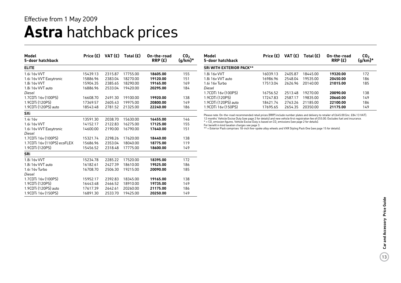### **Astra** hatchback prices Effective from 1 May 2009

| Model<br>5-door hatchback   |          | Price $(E)$ VAT $(E)$ | Total $(E)$ | On-the-road<br>RRP(E) | CO <sub>2</sub><br>$(g/km)^*$ |
|-----------------------------|----------|-----------------------|-------------|-----------------------|-------------------------------|
| <b>ELITE</b>                |          |                       |             |                       |                               |
| 1.6i 16v VVT                | 15439.13 | 2315.87               | 17755.00    | 18605.00              | 155                           |
| 1.6i 16v VVT Easytronic     | 15886.96 | 2383.04               | 18270.00    | 19120.00              | 151                           |
| 1.8i 16v VVT                | 15904.35 | 2385.65               | 18290.00    | 19165.00              | 169                           |
| 1.8i 16v VVT auto<br>Diesel | 16886.96 | 2533.04               | 19420.00    | 20295.00              | 184                           |
| 1.7CDTi 16v (100PS)         | 16608.70 | 2491.30               | 19100.00    | 19920.00              | 138                           |
| 1.9CDTi (120PS)             | 17369.57 | 2605.43               | 19975.00    | 20800.00              | 149                           |
| 1.9CDTi (120PS) auto        | 18543.48 | 2781.52               | 21325.00    | 22240.00              | 186                           |
| <b>SXi</b>                  |          |                       |             |                       |                               |
| 1.4i 16v                    | 13591.30 | 2038.70               | 15630.00    | 16455.00              | 146                           |
| 1.6i 16v VVT                | 14152.17 | 2122.83               | 16275.00    | 17125.00              | 155                           |
| 1.6i 16v VVT Easytronic     | 14600.00 | 2190.00               | 16790.00    | 17640.00              | 151                           |
| Diesel                      |          |                       |             |                       |                               |
| 1.7CDTi 16v (100PS)         | 15321.74 | 2298.26               | 17620.00    | 18440.00              | 138                           |
| 1.7CDTi 16v (110PS) ecoFLEX | 15686.96 | 2353.04               | 18040.00    | 18775.00              | 119                           |
| 1.9CDTi (120PS)             | 15456.52 | 2318.48               | 17775.00    | 18600.00              | 149                           |
| <b>SRi</b>                  |          |                       |             |                       |                               |
| 1.8i 16v VVT                | 15234.78 | 2285.22               | 17520.00    | 18395.00              | 172                           |
| 1.8i 16v VVT auto           | 16182.61 | 2427.39               | 18610.00    | 19525.00              | 186                           |
| 1.6i 16y Turbo              | 16708.70 | 2506.30               | 19215.00    | 20090.00              | 185                           |
| Diesel                      |          |                       |             |                       |                               |
| 1.7CDTi 16v (100PS)         | 15952.17 | 2392.83               | 18345.00    | 19165.00              | 138                           |
| 1.9CDTi (120PS)             | 16443.48 | 2466.52               | 18910.00    | 19735.00              | 149                           |
| 1.9CDTi (120PS) auto        | 17617.39 | 2642.61               | 20260.00    | 21175.00              | 186                           |
| 1.9CDTi 16v (150PS)         | 16891.30 | 2533.70               | 19425.00    | 20250.00              | 149                           |

| Model<br>5-door hatchback       | Price (£) | VAT (£) | Total $(E)$ | On-the-road<br>RRP(E) | CO <sub>2</sub><br>$(q/km)*$ |
|---------------------------------|-----------|---------|-------------|-----------------------|------------------------------|
| <b>SRI WITH EXTERIOR PACK**</b> |           |         |             |                       |                              |
| 1.8i 16v VVT                    | 16039.13  | 2405.87 | 1844500     | 19320.00              | 172                          |
| 1.8i 16y VVT auto               | 16986.96  | 2548.04 | 19535.00    | 20450.00              | 186                          |
| 1.6i 16y Turbo                  | 17513.04  | 2626.96 | 20140.00    | 21015.00              | 185                          |
| Diesel                          |           |         |             |                       |                              |
| 1.7CDTi 16y (100PS)             | 16756.52  | 2513.48 | 19270.00    | 20090.00              | 138                          |
| 1.9CDTi (120PS)                 | 17247.83  | 2587.17 | 1983500     | 20660.00              | 149                          |
| 1.9CDTi (120PS) auto            | 18421.74  | 2763.26 | 2118500     | 22100.00              | 186                          |
| 1.9CDTi 16y (150PS)             | 17695.65  | 2654.35 | 20350.00    | 21175.00              | 149                          |

Please note: On-the-road recommended retail prices (RRP) include number plates and delivery to retailer of £645.00 (inc. £84.13 VAT), 12 months' Vehicle Excise Duty (see page 2 for details) and new vehicle first registration fee of £55.00. Excludes fuel and insurance.  $*$  = CO<sub>2</sub> emission figures. Vehicle Excise Duty is based on CO<sub>2</sub> emissions (see page 2 for details).

For benefit in kind taxation charges see page 3.

\*\* = Exterior Pack comprises 18-inch five-spoke alloy wheels and VXR Styling Pack One (see page 15 for details).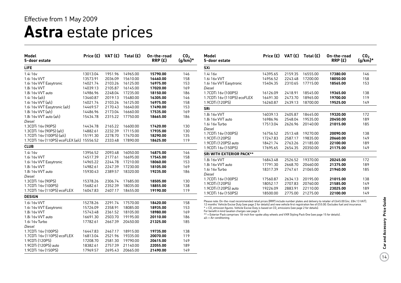## **Astra** estate prices

| Model<br>5-door estate                     |          |         | Price $(E)$ VAT $(E)$ Total $(E)$ | On-the-road<br>RRP(E) | CO <sub>2</sub><br>$(g/km)$ * | Model<br>5-door estate                                                                                                                                                                                                                                                          |                      |                    | Price $(E)$ VAT $(E)$ Total $(E)$ | On-the-road<br>RRP(E) | $CO2$<br>(g/km)* |
|--------------------------------------------|----------|---------|-----------------------------------|-----------------------|-------------------------------|---------------------------------------------------------------------------------------------------------------------------------------------------------------------------------------------------------------------------------------------------------------------------------|----------------------|--------------------|-----------------------------------|-----------------------|------------------|
| <b>LIFE</b>                                |          |         |                                   |                       |                               | <b>SXi</b>                                                                                                                                                                                                                                                                      |                      |                    |                                   |                       |                  |
| 1.4i 16v                                   | 13013.04 | 1951.96 | 14965.00                          | 15790.00              | 146                           | 1.4i 16v                                                                                                                                                                                                                                                                        | 14395.65             | 2159.35            | 16555.00                          | 17380.00              | 146              |
| 1.6i 16v VVT                               | 13573.91 | 2036.09 | 15610.00                          | 16460.00              | 158                           | 1.6i 16v VVT                                                                                                                                                                                                                                                                    | 14956.52             | 2243.48            | 17200.00                          | 18050.00              | 158              |
| 1.6i 16v VVT Easytronic                    | 14021.74 | 2103.26 | 16125.00                          | 16975.00              | 153                           | 1.6i 16v VVT Easytronic                                                                                                                                                                                                                                                         | 15404.35             | 2310.65            | 17715.00                          | 18565.00              | 153              |
| 1.8i 16v VVT                               | 14039.13 | 2105.87 | 16145.00                          | 17020.00              | 169                           | Diesel                                                                                                                                                                                                                                                                          |                      |                    |                                   |                       |                  |
| 1.8i 16v VVT auto                          | 14986.96 | 2248.04 | 17235.00                          | 18150.00              | 186                           | 1.7CDTi 16v (100PS)                                                                                                                                                                                                                                                             | 16126.09             | 2418.91            | 18545.00                          | 19365.00              | 138              |
| 1.4i 16v (a/c)                             | 13460.87 | 2019.13 | 15480.00                          | 16305.00              | 146                           | 1.7CDTi 16v (110PS) ecoFLEX                                                                                                                                                                                                                                                     | 16491.30             | 2473.70            | 18965.00                          | 19700.00              | 119              |
| 1.6i 16y VVT (a/c)                         | 14021.74 | 2103.26 | 16125.00                          | 16975.00              | 158                           | 1.9CDTi (120PS)                                                                                                                                                                                                                                                                 | 16260.87             | 2439.13            | 18700.00                          | 19525.00              | 149              |
| 1.6i 16v VVT Easytronic (a/c)              | 14469.57 | 2170.43 | 16640.00                          | 17490.00              | 153                           | <b>SRi</b>                                                                                                                                                                                                                                                                      |                      |                    |                                   |                       |                  |
| 1.8i 16y VVT (a/c)                         | 14486.96 | 2173.04 | 16660.00                          | 17535.00              | 169                           | 1.8i 16v VVT                                                                                                                                                                                                                                                                    | 16039.13             | 2405.87            | 18445.00                          | 19320.00              | 172              |
| 1.8i $16v$ VVT auto $(a/c)$                | 15434.78 | 2315.22 | 17750.00                          | 18665.00              | 186                           | 1.8i 16v VVT auto                                                                                                                                                                                                                                                               | 16986.96             | 2548.04            | 19535.00                          | 20450.00              | 189              |
| Diesel                                     |          |         |                                   |                       |                               | 1.6i 16v Turbo                                                                                                                                                                                                                                                                  | 17513.04             | 2626.96            | 20140.00                          | 21015.00              | 185              |
| 1.3CDTi 16v (90PS)                         | 14434.78 |         | 2165.22 16600.00                  | 17420.00              | 130                           | Diesel                                                                                                                                                                                                                                                                          |                      |                    |                                   |                       |                  |
| 1.3CDTi 16v (90PS) (a/c)                   | 14882.61 | 2232.39 | 17115.00                          | 17935.00              | 130                           | 1.7CDTi 16v (100PS)                                                                                                                                                                                                                                                             | 16756.52             | 2513.48            | 19270.00                          | 20090.00              | 138              |
| 1.7CDTi 16v (100PS) (a/c)                  | 15191.30 | 2278.70 | 17470.00                          | 18290.00              | 135                           | 1.9CDTi (120PS)                                                                                                                                                                                                                                                                 | 17247.83             | 2587.17            | 19835.00                          | 20660.00              | 149              |
| 1.7CDTi 16v (110PS) ecoFLEX (a/c) 15556.52 |          | 2333.48 | 17890.00                          | 18625.00              | 119                           | 1.9CDTi (120PS) auto                                                                                                                                                                                                                                                            | 18421.74             | 2763.26            | 21185.00                          |                       | 189              |
| <b>CLUB</b>                                |          |         |                                   |                       |                               | 1.9CDTi 16v (150PS)                                                                                                                                                                                                                                                             | 17695.65             |                    | 2654.35 20350.00                  | 22100.00<br>21175.00  | 149              |
| 1.4i 16v                                   | 13956.52 | 2093.48 | 16050.00                          | 16875.00              | 146                           | <b>SRI WITH EXTERIOR PACK**</b>                                                                                                                                                                                                                                                 |                      |                    |                                   |                       |                  |
| 1.6i 16v VVT                               | 14517.39 | 2177.61 | 16695.00                          | 17545.00              | 158                           |                                                                                                                                                                                                                                                                                 |                      |                    |                                   |                       |                  |
| 1.6i 16v VVT Easytronic                    | 14965.22 | 2244.78 | 17210.00                          | 18060.00              | 153                           | 1.8i 16v VVT                                                                                                                                                                                                                                                                    | 16843.48             | 2526.52            | 19370.00                          | 20245.00              | 172              |
| 1.8i 16v VVT                               | 14982.61 | 2247.39 | 17230.00                          | 18105.00              | 169                           | 1.8i 16y VVT auto                                                                                                                                                                                                                                                               | 17791.30<br>18317.39 | 2668.70<br>2747.61 | 20460.00<br>21065.00              | 21375.00              | 189<br>185       |
| 1.8i 16y VVT auto                          | 15930.43 | 2389.57 | 18320.00                          | 19235.00              | 186                           | 1.6i 16v Turbo                                                                                                                                                                                                                                                                  |                      |                    |                                   | 21940.00              |                  |
| Diesel                                     |          |         |                                   |                       |                               | Diesel<br>1.7CDTi 16v (100PS)                                                                                                                                                                                                                                                   |                      |                    |                                   |                       |                  |
| 1.3CDTi 16v (90PS)                         | 15378.26 | 2306.74 | 17685.00                          | 18505.00              | 130                           | 1.9CDTi (120PS)                                                                                                                                                                                                                                                                 | 17560.87             | 2634.13            | 20195.00                          | 21015.00              | 138              |
| 1.7CDTi 16y (100PS)                        | 15682.61 | 2352.39 | 18035.00                          | 18855.00              | 138                           |                                                                                                                                                                                                                                                                                 | 18052.17             | 2707.83<br>2883.91 | 20760.00<br>22110.00              | 21585.00<br>23025.00  | 149<br>189       |
| 1.7CDTi 16v (110PS) ecoFLEX                | 16047.83 | 2407.17 | 18455.00                          | 19190.00              | 119                           | 1.9CDTi (120PS) auto<br>1.9CDTi 16v (150PS)                                                                                                                                                                                                                                     | 19226.09<br>18500.00 | 2775.00            | 21275.00                          | 22100.00              | 149              |
| <b>DESIGN</b>                              |          |         |                                   |                       |                               |                                                                                                                                                                                                                                                                                 |                      |                    |                                   |                       |                  |
| 1.6i 16v VVT                               | 15278.26 | 2291.74 | 17570.00                          | 18420.00              | 158                           | Please note: On-the-road recommended retail prices (RRP) include number plates and delivery to retailer of £645.00 (inc. £84.13 VAT).<br>12 months' Vehicle Excise Duty (see page 2 for details) and new vehicle first registration fee of £55.00. Excludes fuel and insurance. |                      |                    |                                   |                       |                  |
| 1.6i 16v VVT Easytronic                    | 15726.09 | 2358.91 | 18085.00                          | 18935.00              | 153                           | * = CO <sub>2</sub> emission figures. Vehicle Excise Duty is based on CO <sub>2</sub> emissions (see page 2 for details).                                                                                                                                                       |                      |                    |                                   |                       |                  |
| 1.8i 16v VVT                               | 15743.48 | 2361.52 | 18105.00                          | 18980.00              | 169                           | For benefit in kind taxation charges see page 3.                                                                                                                                                                                                                                |                      |                    |                                   |                       |                  |
| 1.8i 16v VVT auto                          | 16691.30 | 2503.70 | 19195.00                          | 20110.00              | 186                           | ** = Exterior Pack comprises 18-inch five-spoke alloy wheels and VXR Styling Pack One (see page 15 for details).<br>$a/c = Air$ conditioning.                                                                                                                                   |                      |                    |                                   |                       |                  |
| 1.6i 16v Turbo                             | 17782.61 | 2667.39 | 20450.00                          | 21325.00              | 185                           |                                                                                                                                                                                                                                                                                 |                      |                    |                                   |                       |                  |
| Diesel                                     |          |         |                                   |                       |                               |                                                                                                                                                                                                                                                                                 |                      |                    |                                   |                       |                  |
| 1.7CDTi 16y (100PS)                        | 16447.83 | 2467.17 | 18915.00                          | 19735.00              | 138                           |                                                                                                                                                                                                                                                                                 |                      |                    |                                   |                       |                  |
| 1.7CDTi 16v (110PS) ecoFLEX                | 16813.04 | 2521.96 | 19335.00                          | 20070.00              | 119                           |                                                                                                                                                                                                                                                                                 |                      |                    |                                   |                       |                  |
| 1.9CDTi (120PS)                            | 17208.70 | 2581.30 | 19790.00                          | 20615.00              | 149                           |                                                                                                                                                                                                                                                                                 |                      |                    |                                   |                       |                  |
| 1.9CDTi (120PS) auto                       | 18382.61 | 2757.39 | 21140.00                          | 22055.00              | 189                           |                                                                                                                                                                                                                                                                                 |                      |                    |                                   |                       |                  |
| 1.9CDTi 16v (150PS)                        | 17969.57 |         | 2695.43 20665.00                  | 21490.00              | 149                           |                                                                                                                                                                                                                                                                                 |                      |                    |                                   |                       |                  |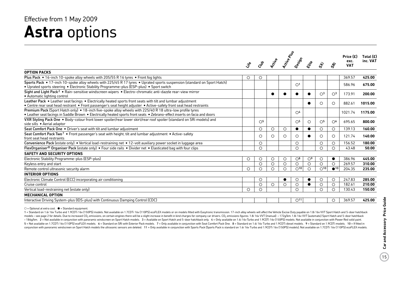### **Astra** options Effective from 1 May 2009

|                                                                                                                                                                                                                                           | Life    | Club                    | <b>Pccityle</b> | Active Plus | Design                  | Eife           | ぶ                       | $\dot{\mathcal{S}}$     | Price $(E)$<br>exc.<br><b>VAT</b> | Total $(E)$<br>inc. VAT |
|-------------------------------------------------------------------------------------------------------------------------------------------------------------------------------------------------------------------------------------------|---------|-------------------------|-----------------|-------------|-------------------------|----------------|-------------------------|-------------------------|-----------------------------------|-------------------------|
| <b>OPTION PACKS</b>                                                                                                                                                                                                                       |         |                         |                 |             |                         |                |                         |                         |                                   |                         |
| Plus Pack • 16-inch 10-spoke alloy wheels with 205/55 R 16 tyres • Front fog lights                                                                                                                                                       | $\circ$ | O                       |                 |             |                         |                |                         |                         | 369.57                            | 425.00                  |
| Sports Pack • 17-inch 10-spoke alloy wheels with 225/45 R 17 tyres • Uprated sports suspension (standard on Sport Hatch)<br>• Uprated sports steering • Electronic Stability Programme-plus (ESP-plus) • Sport switch                     |         |                         |                 |             | $\bigcirc$ <sup>1</sup> |                |                         |                         | 586.96                            | 675.00                  |
| Sight and Light Pack <sup>2</sup> • Rain-sensitive windscreen wipers • Electro-chromatic anti-dazzle rear-view mirror<br>• Automatic lighting control                                                                                     |         |                         | $\bullet$       |             |                         |                | $\bigcirc$ <sup>3</sup> | $\bigcirc$ <sup>3</sup> | 173.91                            | 200.00                  |
| Leather Pack • Leather seat facings • Electrically heated sports front seats with tilt and lumbar adjustment<br>• Centre rear seat head restraint • Front passenger's seat height adjuster • Active-safety front seat head restraints     |         |                         |                 |             |                         | $\bullet$      | ∩                       | $\bigcirc$              | 882.61                            | 1015.00                 |
| Premium Pack (Sport Hatch only) ● 18-inch five-spoke alloy wheels with 225/40 R 18 ultra-low profile tyres<br>• Leather seat facings in Saddle Brown • Electrically heated sports front seats • Zebrano-effect inserts on facia and doors |         |                         |                 |             | $\bigcirc$ <sup>4</sup> |                |                         |                         | 1021.74                           | 1175.00                 |
| VXR Styling Pack One . Body-colour front lower spoiler/rear lower skirt/rear roof spoiler (standard on SRi models) and<br>side sills • Aerial adaptor                                                                                     |         | $\bigcirc$ <sup>5</sup> |                 |             | $\circ$ <sup>5</sup>    | $\circ$        | $\circlearrowright$     | $\circ$ <sup>6</sup>    | 695.65                            | 800.00                  |
| Seat Comfort Pack One . Driver's seat with tilt and lumbar adjustment                                                                                                                                                                     |         | O                       | $\circ$         | $\circ$     | ●                       | $\bullet$      | $\circ$                 | $\circ$                 | 139.13                            | 160.00                  |
| Seat Comfort Pack Two <sup>7</sup> • Front passenger's seat with height, tilt and lumbar adjustment • Active-safety<br>front seat head restraints                                                                                         |         | O                       | $\circ$         | $\circ$     | O                       | $\bullet$      | $\circ$                 | $\circ$                 | 121.74                            | 140.00                  |
| Convenience Pack (estate only) • Vertical load-restraining net • 12-volt auxiliary power socket in luggage area                                                                                                                           |         | O                       |                 |             | O                       |                | $\circ$                 | $\circ$                 | 156.52                            | 180.00                  |
| FlexOrganiser <sup>®</sup> Organiser Pack (estate only) • Four side rails • Divider net • Elasticated bag with four clips                                                                                                                 |         | $\circ$                 |                 |             | $\circ$                 |                | $\circ$                 | $\circ$                 | 43.48                             | 50.00                   |
| <b>SAFETY AND SECURITY OPTIONS</b>                                                                                                                                                                                                        |         |                         |                 |             |                         |                |                         |                         |                                   |                         |
| Electronic Stability Programme-plus (ESP-plus)                                                                                                                                                                                            | О       | O                       | $\circ$         | O           | $\bigcirc$ <sup>8</sup> | O <sup>9</sup> | $\circ$                 | $\bullet$               | 386.96                            | 445.00                  |
| Keyless entry and start                                                                                                                                                                                                                   |         | O                       | $\circ$         | O           | O                       | $\circ$        | $\circ$                 | $\circ$                 | 269.57                            | 310.00                  |
| Remote control ultrasonic security alarm                                                                                                                                                                                                  | $\circ$ | $\circ$                 | $\circ$         | $\circ$     | O <sup>10</sup>         | $\circ$        | O <sup>10</sup>         | $\bigcirc$ 10           | 204.35                            | 235.00                  |
| <b>INTERIOR OPTIONS</b>                                                                                                                                                                                                                   |         |                         |                 |             |                         |                |                         |                         |                                   |                         |
| Electronic Climate Control (ECC) incorporating air conditioning                                                                                                                                                                           |         | O                       |                 | $\bullet$   | O                       | $\bullet$      | $\circ$                 | $\circ$                 | 247.83                            | 285.00                  |
| Cruise control                                                                                                                                                                                                                            |         | $\circ$                 | $\circ$         | $\circ$     | $\circ$                 | $\bullet$      | $\circ$                 | $\circ$                 | 182.61                            | 210.00                  |
| Vertical load-restraining net (estate only)                                                                                                                                                                                               | Ο       | O                       |                 |             | $\bigcirc$              |                | $\bigcirc$              | $\bigcirc$              | 130.43                            | 150.00                  |
| <b>MECHANICAL OPTION</b>                                                                                                                                                                                                                  |         |                         |                 |             |                         |                |                         |                         |                                   |                         |
| Interactive Driving System-plus (IDS-plus) with Continuous Damping Control (CDC)                                                                                                                                                          |         |                         |                 |             | O <sup>11</sup>         |                |                         | $\circ$                 | 369.57                            | 425.00                  |

 $\bigcirc$  = Optional at extra cost.  $\bigcirc$  = Standard equipment.

1 = Standard on 1.6i 16y Turbo and 1.9CDTi 16y (150PS) models. Not available on 1.7CDTi 16y (110PS) ecoFLEX models or on models fitted with Easytronic transmission. 17-inch alloy wheels will affect the Vehicle Excise Duty models - see page 2 for details. Due to increased CO<sub>2</sub> emissions, on certain engines there will be a slight increase in benefit in kind charges for company car drivers. CO<sub>2</sub> emissions figures: 1.8i 16v VVT (manual) - 172 - 186g/km. 2 = Not available in conjunction with panoramic windscreen on Sport Hatch models. 3 = Available on Sport Hatch and 5-door hatchback only. 4 = Only available on 1.6i 16v Turbo and 1.9CDTi 16v (150PS) models. Not 5 = Not available on 1.7CDTi 16v (110PS) ecoFLEX models. 6 = Standard on SRi with Exterior Pack models. 7 = Only available in conjunction with Seat Comfort Pack One. 8 = Standard on 1.6i 16v Turbo and 1.9CDTi diesel models conjunction with panoramic windscreen on Sport Hatch models the ultrasonic sensors are deleted. 11 = Only available in conjunction with Sports Pack (Sports Pack (Sports Pack is standard on 1.6i 16v Turbo and 1.9CDTi 16v (1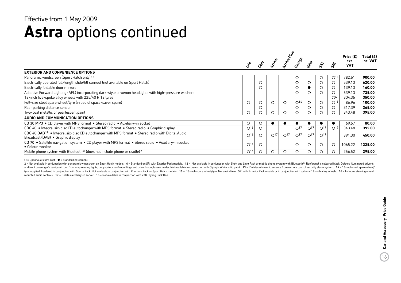### **Astra** options continued Effective from 1 May 2009

|                                                                                                                                                    |                          | Active River |              |               |                 |                 |               |                          | Price (£)          | Total (£) |
|----------------------------------------------------------------------------------------------------------------------------------------------------|--------------------------|--------------|--------------|---------------|-----------------|-----------------|---------------|--------------------------|--------------------|-----------|
|                                                                                                                                                    |                          |              | Richie       |               |                 | Eife            | ぶ             |                          | exc.<br><b>VAT</b> | inc. VAT  |
| <b>EXTERIOR AND CONVENIENCE OPTIONS</b>                                                                                                            |                          |              |              |               |                 |                 |               |                          |                    |           |
| Panoramic windscreen (Sport Hatch only) <sup>12</sup>                                                                                              |                          |              |              |               | Ő               |                 |               | $\bigcirc$ 13            | 782.61             | 900.00    |
| Electrically operated full-length slide/tilt sunroof (not available on Sport Hatch)                                                                |                          | $\circ$      |              |               |                 | $\circ$         |               |                          | 539.13             | 620.00    |
| Electrically foldable door mirrors                                                                                                                 |                          | $\circ$      |              |               | $\circ$         |                 |               |                          | 139.13             | 160.00    |
| Adaptive Forward Lighting (AFL) incorporating dark-style bi-xenon headlights with high-pressure washers                                            |                          |              |              |               | ◯               | ◯               |               |                          | 639.13             | 735.00    |
| 18-inch five-spoke alloy wheels with 225/40 R 18 tyres                                                                                             |                          |              |              |               |                 |                 |               | $\bigcirc$ 6             | 304.35             | 350.00    |
| Full-size steel spare wheel/tyre (in lieu of space-saver spare)                                                                                    | $\circ$                  | $\circ$      | $\circ$      | $\circ$       | O <sup>14</sup> | $\circ$         | ◡             | $\bigcirc$ <sup>15</sup> | 86.96              | 100.00    |
| Rear parking distance sensor                                                                                                                       |                          | $\bigcirc$   |              |               |                 |                 |               |                          | 317.39             | 365.00    |
| Two-coat metallic or pearlescent paint                                                                                                             | О                        | ◯            | ∩            | O             |                 |                 |               |                          | 343.48             | 395.00    |
| AUDIO AND COMMUNICATION OPTIONS                                                                                                                    |                          |              |              |               |                 |                 |               |                          |                    |           |
| CD 30 MP3 • CD player with MP3 format • Stereo radio • Auxiliary-in socket                                                                         | $\circ$                  | $\circ$      |              |               |                 |                 |               |                          | 69.57              | 80.00     |
| CDC 40 • Integral six-disc CD autochanger with MP3 format • Stereo radio • Graphic display                                                         | $\bigcirc$ <sup>16</sup> | $\circ$      |              |               | $\bigcirc$ 17   | O <sup>17</sup> | $\bigcirc$ 17 | $\bigcirc$ 17            | 343.48             | 395.00    |
| CDC 40 DAB <sup>18</sup> • Integral six-disc CD autochanger with MP3 format • Stereo radio with Digital Audio<br>Broadcast (DAB) . Graphic display | $\bigcirc$ <sup>16</sup> | $\bigcirc$   | $\bigcap$ 17 | $\bigcirc$ 17 | $\bigcap$ 17    | $\bigcirc$ 17   | $\bigcirc$ 17 |                          | 391.30             | 450.00    |
| CD 70 • Satellite navigation system • CD player with MP3 format • Stereo radio • Auxiliary-in socket<br>• Colour monitor                           | $\bigcirc$ <sup>16</sup> | $\circ$      |              |               | $\circ$         | $\circ$         | $\cdot$ )     | $\circ$                  | 1065.22            | 1225.00   |
| Mobile phone system with Bluetooth <sup>®</sup> (does not include phone or cradle) <sup>2</sup>                                                    | $\bigcirc$ <sup>16</sup> | $\circ$      | О            | O             |                 | $\circ$         |               |                          | 256.52             | 295.00    |

 $\bigcirc$  = Optional at extra cost.  $\bullet$  = Standard equipment.

2 = Not available in conjunction with panoramic windscreen on Sport Hatch models. 6 = Standard on SRi with Exterior Pack models. 12 = Not available in conjunction with Sight and Light Pack or mobile phone system with Bluet and front passenger's vanity mirrors, front map reading lights, body-colour roof mouldings and driver's sunglasses holder. Not available in conjunction with Olympic White solid paint. 13 = Deletes ultrasonic sensors from r tyre supplied if ordered in conjunction with Sports Pack. Not available in conjunction with Premium Pack on Sport Hatch models. 15 = 16-inch spare wheel/tyre. Not available on SRi with Exterior Pack models or in conjunctio mounted audio controls. 17 = Deletes auxiliary-in socket. 18 = Not available in conjunction with VXR Styling Pack One.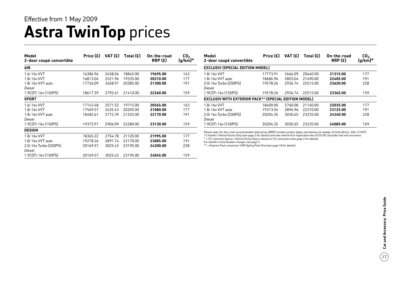### **Astra TwinTop** prices Effective from 1 May 2009

| Model<br>2-door coupé convertible | Price (£) | VAT (£) | Total $(E)$ | On-the-road<br>RRP(E) | CO <sub>2</sub><br>$(g/km)^*$ |
|-----------------------------------|-----------|---------|-------------|-----------------------|-------------------------------|
| <b>AIR</b>                        |           |         |             |                       |                               |
| 1.6i 16y VVT                      | 16386.96  | 2458.04 | 18845.00    | 19695.00              | 163                           |
| 1.8i 16v VVT                      | 16813.04  | 2521.96 | 19335.00    | 20210.00              | 177                           |
| 1.8i 16y VVT auto                 | 17726.09  | 2658.91 | 20385.00    | 21300.00              | 191                           |
| Diesel                            |           |         |             |                       |                               |
| 1.9CDTi 16v (150PS)               | 18617.39  | 2792.61 | 21410.00    | 22260.00              | 159                           |
| <b>SPORT</b>                      |           |         |             |                       |                               |
| 1.6i 16v VVT                      | 17143.48  | 2571.52 | 19715.00    | 20565.00              | 163                           |
| 1.8i 16v VVT                      | 17569.57  | 2635.43 | 20205.00    | 21080.00              | 177                           |
| 1.8i 16y VVT auto                 | 18482.61  | 2772.39 | 21255.00    | 22170.00              | 191                           |
| Diesel                            |           |         |             |                       |                               |
| 1.9CDTi 16y (150PS)               | 19373.91  | 2906.09 | 22280.00    | 23130.00              | 159                           |
| <b>DESIGN</b>                     |           |         |             |                       |                               |
| 1.8i 16v VVT                      | 18365.22  | 2754.78 | 21120.00    | 21995.00              | 177                           |
| 1.8i 16v VVT auto                 | 19278.26  | 2891.74 | 22170.00    | 23085.00              | 191                           |
| 2.0i 16y Turbo (200PS)            | 20169.57  | 3025.43 | 23195.00    | 24300.00              | 228                           |
| Diesel                            |           |         |             |                       |                               |
| 1.9CDTi 16v (150PS)               | 20169.57  | 3025.43 | 23195.00    | 24045.00              | 159                           |

| Model<br>2-door coupé convertible                     | Price $(E)$ | VAT (£) | Total $(E)$ | On-the-road<br>RRP(E) | CO <sub>2</sub><br>$(g/km)^*$ |  |  |  |  |
|-------------------------------------------------------|-------------|---------|-------------|-----------------------|-------------------------------|--|--|--|--|
| <b>EXCLUSIV (SPECIAL EDITION MODEL)</b>               |             |         |             |                       |                               |  |  |  |  |
| 1.8i 16v VVT                                          | 17773.91    | 2666.09 | 20440.00    | 21315.00              | 177                           |  |  |  |  |
| 1.8i 16y VVT auto                                     | 18686.96    | 2803.04 | 21490.00    | 22405.00              | 191                           |  |  |  |  |
| 2.0i 16v Turbo (200PS)                                | 19578.26    | 2936.74 | 22515.00    | 23620.00              | 228                           |  |  |  |  |
| Diesel                                                |             |         |             |                       |                               |  |  |  |  |
| 1.9CDTi 16v (150PS)                                   | 19578.26    | 2936.74 | 22515.00    | 23365.00              | 159                           |  |  |  |  |
| EXCLUSIV WITH EXTERIOR PACK** (SPECIAL EDITION MODEL) |             |         |             |                       |                               |  |  |  |  |
| 1.8i 16v VVT                                          | 18400.00    | 2760.00 | 21160.00    | 22035.00              | 177                           |  |  |  |  |
| 1.8i 16y VVT auto                                     | 19313.04    | 2896.96 | 22210.00    | 23125.00              | 191                           |  |  |  |  |
| 2.0i 16v Turbo (200PS)<br>Diesel                      | 20204.35    | 3030.65 | 23235.00    | 24340.00              | 228                           |  |  |  |  |
| 1.9CDTi 16v (150PS)                                   | 20204.35    | 3030.65 | 23235.00    | 24085.00              | 159                           |  |  |  |  |

Please note: On-the-road recommended retail prices (RRP) include number plates and delivery to retailer of £645.00 (inc. £84.13 VAT),<br>12 months' Vehicle Excise Duty (see page 2 for details) and new vehicle first registrati

 $*$  = CO<sub>2</sub> emission figures. Vehicle Excise Duty is based on CO<sub>2</sub> emissions (see page 2 for details).

For benefit in kind taxation charges see page 3. \*\* = Exterior Pack comprises VXR Styling Pack One (see page 18 for details).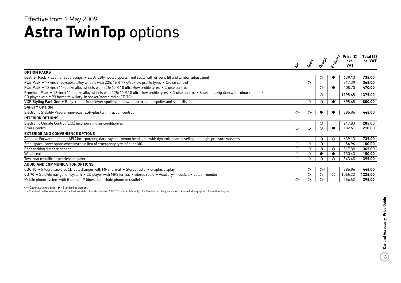### **Astra TwinTop** options Effective from 1 May 2009

|                                                                                                                                                                                                                          | ❖            | SPOCK                   | Oesish                  | Exclusive  | Price $(E)$<br>exc.<br><b>VAT</b> | Total $(E)$<br>inc. VAT |
|--------------------------------------------------------------------------------------------------------------------------------------------------------------------------------------------------------------------------|--------------|-------------------------|-------------------------|------------|-----------------------------------|-------------------------|
| <b>OPTION PACKS</b>                                                                                                                                                                                                      |              |                         |                         |            |                                   |                         |
| Leather Pack . Leather seat facings . Electrically heated sports front seats with driver's tilt and lumbar adjustment                                                                                                    |              |                         | O                       |            | 639.13                            | 735.00                  |
| Plus Pack $\bullet$ 17-inch five-spoke alloy wheels with 225/45 R 17 ultra-low profile tyres $\bullet$ Cruise control                                                                                                    |              | $\circ$                 |                         |            | 317.39                            | 365.00                  |
| Plus Pack • 18-inch 11-spoke alloy wheels with 225/40 R 18 ultra-low profile tyres • Cruise control                                                                                                                      |              |                         | $\circ$                 |            | 408.70                            | 470.00                  |
| Premium Pack • 18-inch 11-spoke alloy wheels with 225/40 R 18 ultra-low profile tyres • Cruise control • Satellite navigation with colour monitor/<br>CD player with MP3 format/auxiliary-in socket/stereo radio (CD 70) |              |                         | $\circ$                 |            | 1195.65                           | 1375.00                 |
| VXR Styling Pack One . Body-colour front lower spoiler/rear lower skirt/rear lip spoiler and side sills                                                                                                                  |              | $\circ$                 | $\circ$                 |            | 695.65                            | 800.00                  |
| <b>SAFETY OPTION</b>                                                                                                                                                                                                     |              |                         |                         |            |                                   |                         |
| Electronic Stability Programme-plus (ESP-plus) with traction control                                                                                                                                                     | $\bigcirc^2$ | O <sup>2</sup>          |                         |            | 386.96                            | 445.00                  |
| <b>INTERIOR OPTIONS</b>                                                                                                                                                                                                  |              |                         |                         |            |                                   |                         |
| Electronic Climate Control (ECC) incorporating air conditioning                                                                                                                                                          |              |                         | O                       |            | 247.83                            | 285.00                  |
| Cruise control                                                                                                                                                                                                           | Ο            | $\bigcirc$              |                         |            | 182.61                            | 210.00                  |
| <b>EXTERIOR AND CONVENIENCE OPTIONS</b>                                                                                                                                                                                  |              |                         |                         |            |                                   |                         |
| Adaptive Forward Lighting (AFL) incorporating dark-style bi-xenon headlights with dynamic beam levelling and high-pressure washers                                                                                       |              |                         | $\circ$                 | $\circ$    | 639.13                            | 735.00                  |
| Steel space-saver spare wheel/tyre (in lieu of emergency tyre inflation kit)                                                                                                                                             | O            | $\circ$                 | $\circ$                 |            | 86.96                             | 100.00                  |
| Rear parking distance sensor                                                                                                                                                                                             | Ο            | $\circ$                 | O                       | $\circ$    | 317.39                            | 365.00                  |
| Windbreak                                                                                                                                                                                                                | О            | $\circ$                 |                         |            | 130.43                            | 150.00                  |
| Two-coat metallic or pearlescent paint                                                                                                                                                                                   | О            | $\circ$                 | ∩                       |            | 343.48                            | 395.00                  |
| AUDIO AND COMMUNICATION OPTIONS                                                                                                                                                                                          |              |                         |                         |            |                                   |                         |
| CDC 40 • Integral six-disc CD autochanger with MP3 format • Stereo radio • Graphic display                                                                                                                               |              | $\bigcirc$ <sup>3</sup> | $\bigcirc$ <sup>3</sup> |            | 386.96                            | 445.00                  |
| CD 70 • Satellite navigation system • CD player with MP3 format • Stereo radio • Auxiliary-in socket • Colour monitor                                                                                                    |              | $\circ$                 | $\circ$                 | $\bigcirc$ | 1065.22                           | 1225.00                 |
| Mobile phone system with Bluetooth® (does not include phone or cradle) <sup>4</sup>                                                                                                                                      | О            | $\circ$                 |                         |            | 256.52                            | 295.00                  |

 $O =$  Optional at extra cost.  $\bullet =$  Standard equipment.

1 = Standard on Exclusiv with Exterior Pack models. 2 = Standard on 1.9CDTi 16v models only. 3 = Deletes auxiliary-in socket. 4 = Includes graphic information display.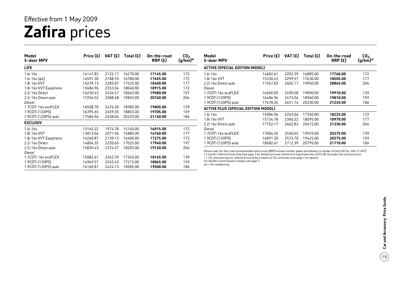## **Zafira** prices Effective from 1 May 2009

| Model<br>5-door MPV     | Price (£) | VAT (£) | Total $(E)$ | On-the-road<br>RRP(E) | CO <sub>2</sub><br>$(g/km)$ * | Model<br>5-door MPV                                                                                                                                                                                                                         | Price (£) | VAT (£) | Total $(E)$ | On-the-road<br>RRP(E) | CO <sub>2</sub><br>$(g/km)^*$ |
|-------------------------|-----------|---------|-------------|-----------------------|-------------------------------|---------------------------------------------------------------------------------------------------------------------------------------------------------------------------------------------------------------------------------------------|-----------|---------|-------------|-----------------------|-------------------------------|
| LIFE.                   |           |         |             |                       |                               | ACTIVE (SPECIAL EDITION MODEL)                                                                                                                                                                                                              |           |         |             |                       |                               |
| 1.6i 16v                | 14147.83  | 2122.17 | 16270.00    | 17145.00              | 172                           | 1.6i 16v                                                                                                                                                                                                                                    | 14682.61  | 2202.39 | 16885.00    | 17760.00              | 172                           |
| 1.6i $16v$ (a/c)        | 14591.30  | 2188.70 | 16780.00    | 17655.00              | 172                           | 1.8i 16v VVT                                                                                                                                                                                                                                | 15330.43  | 2299.57 | 17630.00    | 18505.00              | 177                           |
| 1.8i 16v VVT            | 15239.13  | 2285.87 | 17525.00    | 18400.00              | 177                           | 2.2i 16y Direct auto                                                                                                                                                                                                                        | 17347.83  | 2602.17 | 19950.00    | 20865.00              | 204                           |
| 1.8i 16v VVT Easytronic | 15686.96  | 2353.04 | 18040.00    | 18915.00              | 172                           | Diesel                                                                                                                                                                                                                                      |           |         |             |                       |                               |
| 2.2i 16y Direct         | 16230.43  | 2434.57 | 18665.00    | 19580.00              | 197                           | 1.7CDTi 16v ecoFLEX                                                                                                                                                                                                                         | 16600.00  | 2490.00 | 19090.00    | 19910.00              | 139                           |
| 2.2i 16y Direct auto    | 17256.52  | 2588.48 | 19845.00    | 20760.00              | 204                           | 1.9CDTi (120PS)                                                                                                                                                                                                                             | 16486.96  | 2473.04 | 18960.00    | 19810.00              | 159                           |
| Diesel                  |           |         |             |                       |                               | 1.9CDTi (120PS) auto                                                                                                                                                                                                                        | 17678.26  | 2651.74 | 20330.00    | 21245.00              | 186                           |
| 1.7CDTi 16y ecoFLEX     | 16508.70  | 2476.30 | 18985.00    | 19805.00              | 139                           | <b>ACTIVE PLUS (SPECIAL EDITION MODEL)</b>                                                                                                                                                                                                  |           |         |             |                       |                               |
| 1.9CDTi (120PS)         | 16395.65  | 2459.35 | 18855.00    | 19705.00              | 159                           |                                                                                                                                                                                                                                             |           |         |             |                       |                               |
| 1.9CDTi (120PS) auto    | 17586.96  | 2638.04 | 20225.00    | 21140.00              | 186                           | 1.6i 16v                                                                                                                                                                                                                                    | 15086.96  | 2263.04 | 17350.00    | 18225.00              | 172                           |
| <b>EXCLUSIV</b>         |           |         |             |                       |                               | 1.8i 16v VVT                                                                                                                                                                                                                                | 15734.78  | 2360.22 | 18095.00    | 18970.00              | 177                           |
|                         |           |         |             |                       |                               | 2.2i 16y Direct auto                                                                                                                                                                                                                        | 17752.17  | 2662.83 | 20415.00    | 21330.00              | 204                           |
| 1.6i 16v                | 13165.22  | 1974.78 | 15140.00    | 16015.00              | 172                           | Diesel                                                                                                                                                                                                                                      |           |         |             |                       |                               |
| 1.8i 16v VVT            | 13813.04  | 2071.96 | 15885.00    | 16760.00              | 177                           | 1.7CDTi 16v ecoFLEX                                                                                                                                                                                                                         | 17004.35  | 2550.65 | 19555.00    | 20375.00              | 139                           |
| 1.8i 16y VVT Easytronic | 14260.87  | 2139.13 | 16400.00    | 17275.00              | 172                           | 1.9CDTi (120PS)                                                                                                                                                                                                                             | 16891.30  | 2533.70 | 19425.00    | 20275.00              | 159                           |
| 2.2i 16y Direct         | 14804.35  | 2220.65 | 17025.00    | 17940.00              | 197                           | 1.9CDTi (120PS) auto                                                                                                                                                                                                                        | 18082.61  | 2712.39 | 20795.00    | 21710.00              | 186                           |
| 2.2i 16y Direct auto    | 15830.43  | 2374.57 | 18205.00    | 19120.00              | 204                           |                                                                                                                                                                                                                                             |           |         |             |                       |                               |
| Diesel                  |           |         |             |                       |                               | Please note: On-the-road recommended retail prices (RRP) include number plates and delivery to retailer of £645.00 (inc. £84.13 VAT),                                                                                                       |           |         |             |                       |                               |
| 1.7CDTi 16v ecoFLEX     | 15082.61  | 2262.39 | 17345.00    | 18165.00              | 139                           | 12 months' Vehicle Excise Duty (see page 2 for details) and new vehicle first registration fee of £55.00. Excludes fuel and insurance.<br>* = CO, emission figures. Vehicle Excise Duty is based on CO, emissions (see page 2 for details). |           |         |             |                       |                               |
| 1.9CDTi (120PS)         | 14969.57  | 2245.43 | 17215.00    | 18065.00              | 159                           | For benefit in kind taxation charges see page 3.                                                                                                                                                                                            |           |         |             |                       |                               |
| 1.9CDTi (120PS) auto    | 16160.87  | 2424.13 | 18585.00    | 19500.00              | 186                           | $a/c = Air$ conditioning.                                                                                                                                                                                                                   |           |         |             |                       |                               |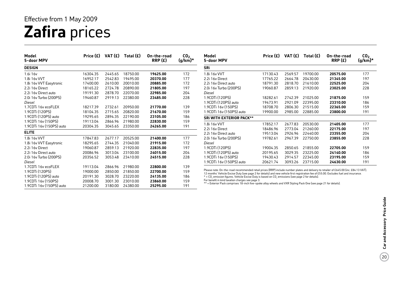## **Zafira** prices Effective from 1 May 2009

| Model<br>5-door MPV              | Price $(E)$ | VAT $(E)$ | Total $(E)$ | On-the-road<br>RRP(E) | CO <sub>2</sub><br>(g/km)* | Model<br>5-door l                 |
|----------------------------------|-------------|-----------|-------------|-----------------------|----------------------------|-----------------------------------|
| <b>DESIGN</b>                    |             |           |             |                       |                            | <b>SRi</b>                        |
| 1.6i 16v                         | 16304.35    | 2445.65   | 18750.00    | 19625.00              | 172                        | 1.8i 16v \                        |
| 1.8i 16v VVT                     | 16952.17    | 2542.83   | 19495.00    | 20370.00              | 177                        | 2.2i 16v D                        |
| 1.8i 16v VVT Easytronic          | 17400.00    | 2610.00   | 20010.00    | 20885.00              | 172                        | 2.2i 16v D                        |
| 2.2i 16y Direct                  | 18165.22    | 2724.78   | 20890.00    | 21805.00              | 197                        | 2.0i 16v T                        |
| 2.2i 16y Direct auto             | 19191.30    | 2878.70   | 22070.00    | 22985.00              | 204                        | Diesel                            |
| 2.0i 16y Turbo (200PS)<br>Diesel | 19460.87    | 2919.13   | 22380.00    | 23485.00              | 228                        | 1.9CDTi (<br>1.9CDTi (            |
| 1.7CDTi 16v ecoFLEX              | 18217.39    | 2732.61   | 20950.00    | 21770.00              | 139                        | 1.9CDTi 1                         |
| 1.9CDTi (120PS)                  | 18104.35    | 2715.65   | 20820.00    | 21670.00              | 159                        | 1.9CDTi 1                         |
| 1.9CDTi (120PS) auto             | 19295.65    | 2894.35   | 22190.00    | 23105.00              | 186                        | <b>SRi WITH</b>                   |
| 1.9CDTi 16v (150PS)              | 19113.04    | 2866.96   | 21980.00    | 22830.00              | 159                        | 1.8i 16v \                        |
| 1.9CDTi 16v (150PS) auto         | 20304.35    | 3045.65   | 23350.00    | 24265.00              | 191                        | 2.2i 16y D                        |
| <b>ELITE</b>                     |             |           |             |                       |                            | 2.2i 16v D                        |
| 1.8i 16v VVT                     | 17847.83    | 2677.17   | 20525.00    | 21400.00              | 177                        | 2.0i 16v T                        |
| 1.8i 16v VVT Easytronic          | 18295.65    | 2744.35   | 21040.00    | 21915.00              | 172                        | Diesel                            |
| 2.2i 16y Direct                  | 19060.87    | 2859.13   | 21920.00    | 22835.00              | 197                        | 1.9CDTi (                         |
| 2.2i 16y Direct auto             | 20086.96    | 3013.04   | 23100.00    | 24015.00              | 204                        | 1.9CDTi (                         |
| 2.0i 16y Turbo (200PS)           | 20356.52    | 3053.48   | 23410.00    | 24515.00              | 228                        | 1.9CDTi1                          |
| Diesel                           |             |           |             |                       |                            | 1.9CDTi1                          |
| 1.7CDTi 16v ecoFLEX              | 19113.04    | 2866.96   | 21980.00    | 22800.00              | 139                        |                                   |
| 1.9CDTi (120PS)                  | 19000.00    | 2850.00   | 21850.00    | 22700.00              | 159                        | Please note:<br>12 months'        |
| 1.9CDTi (120PS) auto             | 20191.30    | 3028.70   | 23220.00    | 24135.00              | 186                        | $*$ = $CO$ , emis                 |
| 1.9CDTi 16v (150PS)              | 20008.70    | 3001.30   | 23010.00    | 23860.00              | 159                        | For benefit in<br>$**$ = Exterior |
| 1.9CDTi 16v (150PS) auto         | 21200.00    | 3180.00   | 24380.00    | 25295.00              | 191                        |                                   |

| Model<br>5-door MPV             | Price (£) | VAT (£) | Total $(E)$ | On-the-road<br>RRP(E) | CO <sub>2</sub><br>(g/km)* |
|---------------------------------|-----------|---------|-------------|-----------------------|----------------------------|
| <b>SRi</b>                      |           |         |             |                       |                            |
| 1 8i 1 6y VVT                   | 17130.43  | 2569.57 | 19700.00    | 20575.00              | 177                        |
| 2.2i 16y Direct                 | 17765.22  | 2664.78 | 20430.00    | 21345.00              | 197                        |
| 2.2i 16y Direct auto            | 18791.30  | 2818.70 | 21610.00    | 22525.00              | 204                        |
| 2.0i 16y Turbo (200PS)          | 19060.87  | 2859.13 | 21920.00    | 23025.00              | 228                        |
| Diesel                          |           |         |             |                       |                            |
| 1.9CDTi (120PS)                 | 18282.61  | 2742.39 | 21025.00    | 21875.00              | 159                        |
| 1.9CDTi (120PS) auto            | 19473.91  | 2921.09 | 22395.00    | 23310.00              | 186                        |
| 1.9CDTi 16v (150PS)             | 18708.70  | 2806.30 | 21515.00    | 22365.00              | 159                        |
| 1.9CDTi 16v (150PS) auto        | 19900.00  | 2985.00 | 22885.00    | 23800.00              | 191                        |
| <b>SRI WITH EXTERIOR PACK**</b> |           |         |             |                       |                            |
| 1.8i 16v VVT                    | 17852.17  | 2677.83 | 20530.00    | 21405.00              | 177                        |
| 2.2i 16y Direct                 | 18486.96  | 2773.04 | 21260.00    | 22175.00              | 197                        |
| 2.2i 16y Direct auto            | 19513.04  | 2926.96 | 22440.00    | 23355.00              | 204                        |
| 2.0i 16v Turbo (200PS)          | 19782.61  | 2967.39 | 22750.00    | 23855.00              | 228                        |
| Diesel                          |           |         |             |                       |                            |
| 1.9CDTi (120PS)                 | 19004.35  | 2850.65 | 2185500     | 22705.00              | 159                        |
| 1.9CDTi (120PS) auto            | 20195.65  | 3029.35 | 23225.00    | 24140.00              | 186                        |
| 1.9CDTi 16v (150PS)             | 19430.43  | 2914.57 | 22345.00    | 23195.00              | 159                        |
| 1.9CDTi 16v (150PS) auto        | 20621.74  | 3093.26 | 23715.00    | 24630.00              | 191                        |

Dn-the-road recommended retail prices (RRP) include number plates and delivery to retailer of £645.00 (inc. £84.13 VAT), 12 months' Vehicle Excise Duty (see page 2 for details) and new vehicle first registration fee of £55.00. Excludes fuel and insurance.

\* = CO2 emission figures. Vehicle Excise Duty is based on CO2 emissions (see page 2 for details).

For benefit in kind taxation charges see page 3.

 $\sf r$  Pack comprises 18-inch five-spoke alloy wheels and VXR Styling Pack One (see page 21 for details).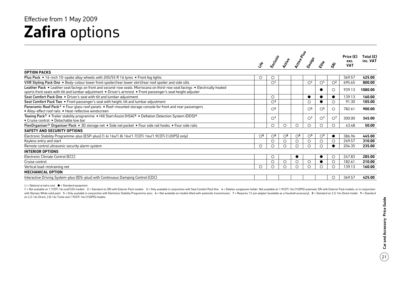## **Zafira** options Effective from 1 May 2009

|                                                                                                                                                                                                                                                |                         | Erclassi                | <b>Prickle</b>          | Active Plus             | Design         | Elise          | $\dot{\mathcal{S}}$     | Price $(E)$<br>exc.<br><b>VAT</b> | Total $(E)$<br>inc. VAT |
|------------------------------------------------------------------------------------------------------------------------------------------------------------------------------------------------------------------------------------------------|-------------------------|-------------------------|-------------------------|-------------------------|----------------|----------------|-------------------------|-----------------------------------|-------------------------|
| <b>OPTION PACKS</b>                                                                                                                                                                                                                            |                         |                         |                         |                         |                |                |                         |                                   |                         |
| Plus Pack • 16-inch 10-spoke alloy wheels with 205/55 R 16 tyres • Front fog lights                                                                                                                                                            | O                       | О                       |                         |                         |                |                |                         | 369.57                            | 425.00                  |
| VXR Styling Pack One . Body-colour lower front spoiler/rear lower skirt/rear roof spoiler and side sills                                                                                                                                       |                         | $\bigcirc$ <sup>1</sup> |                         |                         | O <sup>1</sup> | O <sup>1</sup> | O <sup>2</sup>          | 695.65                            | 800.00                  |
| Leather Pack . Leather seat facings on front and second-row seats, Morrocana on third-row seat facings . Electrically heated<br>sports front seats with tilt and lumbar adjustment . Driver's armrest . Front passenger's seat height adjuster |                         |                         |                         |                         |                |                | $\circ$                 | 939.13                            | 1080.00                 |
| Seat Comfort Pack One . Driver's seat with tilt and lumbar adjustment                                                                                                                                                                          |                         | $\circ$                 |                         |                         | $\bullet$      |                | $\bullet$               | 139.13                            | 160.00                  |
| Seat Comfort Pack Two • Front passenger's seat with height, tilt and lumbar adjustment                                                                                                                                                         |                         | $\bigcirc$ <sup>3</sup> |                         |                         | $\circ$        |                |                         | 91.30                             | 105.00                  |
| Panoramic Roof Pack <sup>4</sup> • Four glass roof panels • Roof-mounted storage console for front and rear passengers<br>• Alloy-effect roof rails • Heat-reflective windscreen                                                               |                         | $\bigcirc$              |                         |                         | $\bigcirc$     | $\bigcirc$     | $\bigcirc$              | 782.61                            | 900.00                  |
| Towing Pack <sup>5</sup> . Trailer stability programme . Hill Start Assist (HSA) <sup>6</sup> . Deflation Detection System (DDS) <sup>6</sup><br>• Cruise control • Detachable tow bar                                                         |                         | $\bigcirc$              |                         |                         | O <sup>7</sup> | $\bigcirc$     | $\bigcirc$ <sup>7</sup> | 300.00                            | 345.00                  |
| FlexOrganiser <sup>®</sup> Organiser Pack • 3D storage net • Side net pocket • Four side rail hooks • Four side rails                                                                                                                          |                         | $\circ$                 | Ω                       | ∩                       | $\bigcirc$     | ◯              | ∩                       | 43.48                             | 50.00                   |
| <b>SAFETY AND SECURITY OPTIONS</b>                                                                                                                                                                                                             |                         |                         |                         |                         |                |                |                         |                                   |                         |
| Electronic Stability Programme-plus (ESP-plus) (1.6i 16v/1.8i 16v/1.7CDTi 16v/1.9CDTi (120PS) only)                                                                                                                                            | $\bigcirc$ <sup>8</sup> | $\bigcirc$ <sup>8</sup> | $\bigcirc$ <sup>8</sup> | $\bigcirc$ <sup>8</sup> | O <sup>9</sup> | O <sup>9</sup> |                         | 386.96                            | 445.00                  |
| Keyless entry and start                                                                                                                                                                                                                        |                         | $\circ$                 | O                       | O                       | $\circ$        | $\circ$        | $\circ$                 | 269.57                            | 310.00                  |
| Remote control ultrasonic security alarm system                                                                                                                                                                                                | О                       | ∩                       | Ω                       | O                       | $\bigcirc$     | $\bigcap$      | $\bullet$               | 204.35                            | 235.00                  |
| <b>INTERIOR OPTIONS</b>                                                                                                                                                                                                                        |                         |                         |                         |                         |                |                |                         |                                   |                         |
| Electronic Climate Control (ECC)                                                                                                                                                                                                               |                         | $\circ$                 |                         |                         |                |                | $\circ$                 | 247.83                            | 285.00                  |
| Cruise control                                                                                                                                                                                                                                 |                         | $\circ$                 | O                       | O                       | $\circ$        |                | $\circ$                 | 182.61                            | 210.00                  |
| Vertical load-restraining net                                                                                                                                                                                                                  | О                       | $\circ$                 | О                       | O                       | $\circ$        | $\bigcirc$     |                         | 139.13                            | 160.00                  |
| <b>MECHANICAL OPTION</b>                                                                                                                                                                                                                       |                         |                         |                         |                         |                |                |                         |                                   |                         |
| Interactive Driving System-plus (IDS-plus) with Continuous Damping Control (CDC)                                                                                                                                                               |                         |                         |                         |                         |                |                |                         | 369.57                            | 425.00                  |

 $\bigcirc$  = Optional at extra cost.  $\bullet$  = Standard equipment.

1 = Not available on 1.7CDTi 16v ecoFLEX models. 2 = Standard on SRi with Exterior Pack models. 3 = Only available in conjunction with Seat Comfort Pack One. 4 = Deletes sunglasses holder. Not available on 1.9CDTi 16v (150 with Olympic White solid paint. 5 = Only available in conjunction with Electronic Stability Programme-plus. 6 = Not available on models fitted with automatic transmission. 7 = Requires 13-pin adaptor (available as a Vauxha on 2.2i 16v Direct, 2.0i 16v Turbo and 1.9CDTi 16v (150PS) models.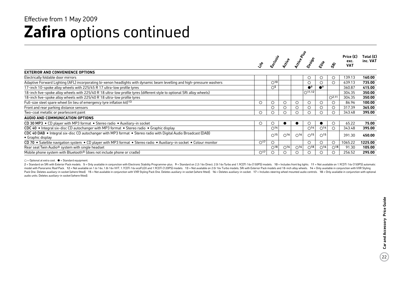### **Zafira** options continued Effective from 1 May 2009

|                                                                                                                                              |                 |                          |                          | Active Report            |                          |                          |                          | Price $(E)$        | Total $(E)$ |
|----------------------------------------------------------------------------------------------------------------------------------------------|-----------------|--------------------------|--------------------------|--------------------------|--------------------------|--------------------------|--------------------------|--------------------|-------------|
|                                                                                                                                              |                 | Erclassi                 |                          |                          | Design                   | Elfe                     |                          | exc.<br><b>VAT</b> | inc. VAT    |
| <b>EXTERIOR AND CONVENIENCE OPTIONS</b>                                                                                                      |                 |                          |                          |                          |                          |                          |                          |                    |             |
| Electrically foldable door mirrors                                                                                                           |                 |                          |                          |                          | $\circ$                  | ∩                        | $\cup$                   | 139.13             | 160.00      |
| Adaptive Forward Lighting (AFL) incorporating bi-xenon headlights with dynamic beam levelling and high-pressure washers                      |                 | $\bigcirc$ 10            |                          |                          | $\circ$                  |                          | $\bigcirc$               | 639.13             | 735.00      |
| 17-inch 10-spoke alloy wheels with 225/45 R 17 ultra-low profile tyres                                                                       |                 | $\circ$ <sup>5</sup>     |                          |                          | $^{\bullet}$             | $^{\bullet}$             |                          | 360.87             | 415.00      |
| 18-inch five-spoke alloy wheels with 225/40 R 18 ultra-low profile tyres (different style to optional SRi alloy wheels)                      |                 |                          |                          |                          | $\bigcap 11,12$          |                          |                          | 304.35             | 350.00      |
| 18-inch five-spoke alloy wheels with 225/40 R 18 ultra-low profile tyres                                                                     |                 |                          |                          |                          |                          |                          | $O^{2,11}$               | 304.35             | 350.00      |
| Full-size steel spare wheel (in lieu of emergency tyre inflation kit) 13                                                                     | O               | $\circ$                  | О                        | O                        | $\circ$                  |                          |                          | 86.96              | 100.00      |
| Front and rear parking distance sensors                                                                                                      |                 | $\circ$                  | О                        | O                        | $\circ$                  |                          | $\circ$                  | 317.39             | 365.00      |
| Two-coat metallic or pearlescent paint                                                                                                       | $\circ$         | ◯                        | ◯                        |                          | $\bigcirc$               |                          | ∩                        | 343.48             | 395.00      |
| AUDIO AND COMMUNICATION OPTIONS                                                                                                              |                 |                          |                          |                          |                          |                          |                          |                    |             |
| CD 30 MP3 • CD player with MP3 format • Stereo radio • Auxiliary-in socket                                                                   | O               | O                        |                          |                          | $\circ$                  |                          |                          | 65.22              | 75.00       |
| CDC 40 • Integral six-disc CD autochanger with MP3 format • Stereo radio • Graphic display                                                   |                 | $\bigcirc$ <sup>14</sup> |                          |                          | $\bigcirc$ <sup>14</sup> | O <sup>14</sup>          |                          | 343.48             | 395.00      |
| CDC 40 DAB • Integral six-disc CD autochanger with MP3 format • Stereo radio with Digital Audio Broadcast (DAB)<br>$\bullet$ Graphic display |                 | $\bigcap$ 15             | $\bigcirc$ <sup>16</sup> | $\bigcap_{16}$           | $\bigcap$ 15             | $\bigcap$ 15             |                          | 391.30             | 450.00      |
| CD 70 • Satellite navigation system • CD player with MP3 format • Stereo radio • Auxiliary-in socket • Colour monitor                        | O <sup>17</sup> | $\circ$                  |                          |                          | $\circ$                  | $\circ$                  | $\circ$                  | 1065.22            | 1225.00     |
| Rear seat Twin Audio <sup>®</sup> system with single headset                                                                                 |                 | $\bigcap$ 18             | $\bigcirc$ <sup>16</sup> | $\bigcirc$ <sup>16</sup> | $\bigcirc$ <sup>18</sup> | $\bigcirc$ <sup>16</sup> | $\bigcirc$ <sup>18</sup> | 91.30              | 105.00      |
| Mobile phone system with Bluetooth <sup>®</sup> (does not include phone or cradle)                                                           | O <sup>17</sup> |                          |                          |                          | O                        |                          |                          | 256.52             | 295.00      |

 $\bigcirc$  = Optional at extra cost.  $\bigcirc$  = Standard equipment.

2 = Standard on SRi with Exterior Pack models. 5 = Only available in conjunction with Electronic Stability Programme-plus. 9 = Standard on 2.2i 16y Direct. 2.0i 16y Turbo and 1.9CDTi 16y (150PS) models. 10 = Includes front model with Panoramic Roof Pack. 12 = Not available on 1.6i 16v, 1.8i 16v VVT, 1.7CDTi 16v ecoFLEX and 1.9CDTi (120PS) models. 13 = Not available on 2.0i 16v VTurbo models, SRi with Exterior Pack models and 18-inch alloy wh Pack One. Deletes auxiliary-in socket (where fitted). 15 = Not available in conjunction with VXR Styling Pack One. Deletes auxiliary-in socket (where fitted). 16 = Deletes auxiliary-in socket. 17 = Includes steering wheel audio units. Deletes auxiliary-in socket (where fitted).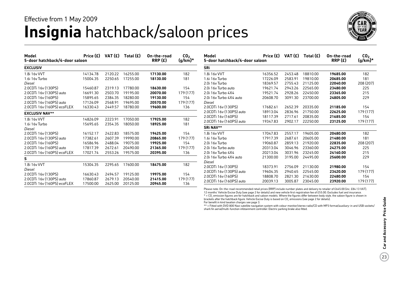### **Insignia** hatchback/saloon prices Effective from 1 May 2009



| Model                                                                                                                                                                                                                                                                                                                                                                                                                                                                                                                                                                                                                                                                                                                                                                                                                                                                                                                                                 |     |              | Total (£)                | On-the-road<br>RRP(E) | CO <sub>2</sub><br>$(g/km)^*$ | Model<br>5-door hatchback/4-door saloon         | Price        |
|-------------------------------------------------------------------------------------------------------------------------------------------------------------------------------------------------------------------------------------------------------------------------------------------------------------------------------------------------------------------------------------------------------------------------------------------------------------------------------------------------------------------------------------------------------------------------------------------------------------------------------------------------------------------------------------------------------------------------------------------------------------------------------------------------------------------------------------------------------------------------------------------------------------------------------------------------------|-----|--------------|--------------------------|-----------------------|-------------------------------|-------------------------------------------------|--------------|
| <b>EXCLUSIV</b>                                                                                                                                                                                                                                                                                                                                                                                                                                                                                                                                                                                                                                                                                                                                                                                                                                                                                                                                       |     |              |                          |                       |                               | <b>SRi</b>                                      |              |
| Price $(E)$ VAT $(E)$<br>5-door hatchback/4-door saloon<br>1.8i 16v VVT<br>14134.78<br>2120.22<br>16255.00<br>17130.00<br>15004.35<br>2250.65<br>17255.00<br>18130.00<br>15460.87<br>17780.00<br>18630.00<br>2319.13<br>19195.00<br>16691.30<br>2503.70<br>20070.00<br>18280.00<br>15895.65<br>2384.35<br>19130.00<br>17126.09<br>19695.00<br>2568.91<br>20570.00<br>18780.00<br>16330.43<br>2449.57<br>19600.00<br>17925.00<br>14826.09<br>2223.91<br>17050.00<br>15695.65<br>2354.35<br>18050.00<br>18925.00<br>16152.17<br>18575.00<br>19425.00<br>2422.83<br>17382.61<br>2607.39<br>19990.00<br>20865.00<br>16586.96<br>19075.00<br>19925.00<br>2488.04<br>17817.39<br>2672.61<br>20490.00<br>21365.00<br>17021.74<br>2553.26<br>19575.00<br>20395.00<br>15304.35<br>2295.65<br>17600.00<br>18475.00<br>16630.43<br>19125.00<br>19975.00<br>2494.57<br>17860.87<br>21415.00<br>2679.13<br>20540.00<br>2625.00<br>20125.00<br>17500.00<br>20945.00 | 182 | 1.8i 16v VVT | 1635                     |                       |                               |                                                 |              |
| 1.6i 16y Turbo                                                                                                                                                                                                                                                                                                                                                                                                                                                                                                                                                                                                                                                                                                                                                                                                                                                                                                                                        |     |              |                          |                       | 181                           | 1.6i 16y Turbo                                  | 1722         |
| Diesel                                                                                                                                                                                                                                                                                                                                                                                                                                                                                                                                                                                                                                                                                                                                                                                                                                                                                                                                                |     |              |                          |                       |                               | 2.0i 16y Turbo                                  | 1836         |
| 2.0CDTi 16v (130PS)                                                                                                                                                                                                                                                                                                                                                                                                                                                                                                                                                                                                                                                                                                                                                                                                                                                                                                                                   |     |              |                          |                       | 154                           | 2.0i 16y Turbo auto                             | 1962         |
| 2.0CDTi 16v (130PS) auto                                                                                                                                                                                                                                                                                                                                                                                                                                                                                                                                                                                                                                                                                                                                                                                                                                                                                                                              |     |              |                          |                       | 179 (177)                     | 2.0i 16y Turbo 4X4                              | 1952         |
| 2.0CDTi 16v (160PS)                                                                                                                                                                                                                                                                                                                                                                                                                                                                                                                                                                                                                                                                                                                                                                                                                                                                                                                                   |     |              |                          |                       | 154                           | 2.0i 16y Turbo 4X4 auto                         | 2060         |
| 2.0CDTi 16v (160PS) auto                                                                                                                                                                                                                                                                                                                                                                                                                                                                                                                                                                                                                                                                                                                                                                                                                                                                                                                              |     |              |                          |                       | 179 (177)                     | Diesel                                          |              |
| 2.0CDTi 16v (160PS) ecoFLEX                                                                                                                                                                                                                                                                                                                                                                                                                                                                                                                                                                                                                                                                                                                                                                                                                                                                                                                           |     |              |                          |                       | 136                           | 2.0CDTi 16v (130PS)                             | 1768         |
| <b>EXCLUSIV NAV**</b>                                                                                                                                                                                                                                                                                                                                                                                                                                                                                                                                                                                                                                                                                                                                                                                                                                                                                                                                 |     |              | 2.0CDTi 16v (130PS) auto | 1891                  |                               |                                                 |              |
| 1.8i 16v VVT                                                                                                                                                                                                                                                                                                                                                                                                                                                                                                                                                                                                                                                                                                                                                                                                                                                                                                                                          |     |              |                          |                       | 182                           | 2.0CDTi 16y (160PS)<br>2.0CDTi 16v (160PS) auto | 1811<br>1934 |
| 1.6i 16v Turbo                                                                                                                                                                                                                                                                                                                                                                                                                                                                                                                                                                                                                                                                                                                                                                                                                                                                                                                                        |     |              |                          |                       | 181                           |                                                 |              |
| Diesel                                                                                                                                                                                                                                                                                                                                                                                                                                                                                                                                                                                                                                                                                                                                                                                                                                                                                                                                                |     |              |                          |                       |                               | <b>SRi NAV**</b>                                |              |
| 2.0CDTi 16v (130PS)                                                                                                                                                                                                                                                                                                                                                                                                                                                                                                                                                                                                                                                                                                                                                                                                                                                                                                                                   |     |              |                          |                       | 154                           | 1.8i 16v VVT                                    | 1704         |
| 2.0CDTi 16v (130PS) auto                                                                                                                                                                                                                                                                                                                                                                                                                                                                                                                                                                                                                                                                                                                                                                                                                                                                                                                              |     |              |                          |                       | 179 (177)                     | 1.6i 16y Turbo                                  | 1791         |
| 2.0CDTi 16v (160PS)                                                                                                                                                                                                                                                                                                                                                                                                                                                                                                                                                                                                                                                                                                                                                                                                                                                                                                                                   |     |              |                          |                       | 154                           | 2.0i 16y Turbo                                  | 1906         |
| 2.0CDTi 16v (160PS) auto                                                                                                                                                                                                                                                                                                                                                                                                                                                                                                                                                                                                                                                                                                                                                                                                                                                                                                                              |     |              |                          |                       | 179 (177)                     | 2.0i 16y Turbo auto                             | 2031         |
| 2.0CDTi 16v (160PS) ecoFLEX                                                                                                                                                                                                                                                                                                                                                                                                                                                                                                                                                                                                                                                                                                                                                                                                                                                                                                                           |     |              |                          |                       | 136                           | 2.0i 16y Turbo 4X4                              | 2021         |
| S                                                                                                                                                                                                                                                                                                                                                                                                                                                                                                                                                                                                                                                                                                                                                                                                                                                                                                                                                     |     |              |                          |                       |                               | 2.0i 16y Turbo 4X4 auto                         | 2130         |
| 1.8i 16v VVT                                                                                                                                                                                                                                                                                                                                                                                                                                                                                                                                                                                                                                                                                                                                                                                                                                                                                                                                          |     |              |                          |                       | 182                           | Diesel<br>2.0CDTi 16v (130PS)                   | 1837         |
| Diesel                                                                                                                                                                                                                                                                                                                                                                                                                                                                                                                                                                                                                                                                                                                                                                                                                                                                                                                                                |     |              |                          |                       |                               |                                                 | 1960         |
| 2.0CDTi 16v (130PS)                                                                                                                                                                                                                                                                                                                                                                                                                                                                                                                                                                                                                                                                                                                                                                                                                                                                                                                                   |     |              |                          |                       | 154                           | 2.0CDTi 16v (130PS) auto                        |              |
| 2.0CDTi 16v (130PS) auto                                                                                                                                                                                                                                                                                                                                                                                                                                                                                                                                                                                                                                                                                                                                                                                                                                                                                                                              |     |              |                          |                       | 179 (177)                     | 2.0CDTi 16v (160PS)<br>2.0CDTi 16v (160PS) auto | 1880<br>2003 |
| 2.0CDTi 16v (160PS) ecoFLEX                                                                                                                                                                                                                                                                                                                                                                                                                                                                                                                                                                                                                                                                                                                                                                                                                                                                                                                           |     |              |                          |                       | 136                           |                                                 |              |

| Model<br>5-door hatchback/4-door saloon | Price (£) | VAT (£) | Total $(E)$ | On-the-road<br>RRP(E) | CO <sub>2</sub><br>$(g/km)^*$ |
|-----------------------------------------|-----------|---------|-------------|-----------------------|-------------------------------|
| SRi                                     |           |         |             |                       |                               |
| 1.8i 16v VVT                            | 16356.52  | 2453.48 | 18810.00    | 19685.00              | 182                           |
| 1.6i 16v Turbo                          | 17226.09  | 2583.91 | 19810.00    | 20685.00              | 181                           |
| 2.0i 16v Turbo                          | 18369.57  | 2755.43 | 21125.00    | 22040.00              | 208 (207)                     |
| 2.0i 16y Turbo auto                     | 19621.74  | 2943.26 | 22565.00    | 23480.00              | 225                           |
| 2.0i 16y Turbo 4X4                      | 19521.74  | 2928.26 | 22450.00    | 23365.00              | 215                           |
| 2.0i 16y Turbo 4X4 auto                 | 20608.70  | 3091.30 | 23700.00    | 24805.00              | 229                           |
| Diesel                                  |           |         |             |                       |                               |
| 2.0CDTi 16v (130PS)                     | 17682.61  | 2652.39 | 20335.00    | 21185.00              | 154                           |
| 2.0CDTi 16v (130PS) auto                | 18913.04  | 2836.96 | 21750.00    | 22625.00              | 179 (177)                     |
| 2.0CDTi 16v (160PS)                     | 18117.39  | 2717.61 | 20835.00    | 21685.00              | 154                           |
| 2.0CDTi 16v (160PS) auto                | 19347.83  | 2902.17 | 22250.00    | 23125.00              | 179 (177)                     |
| <b>SRI NAV**</b>                        |           |         |             |                       |                               |
| 1.8i 16v VVT                            | 17047.83  | 2557.17 | 19605.00    | 20480.00              | 182                           |
| 1.6i 16v Turbo                          | 17917.39  | 2687.61 | 20605.00    | 21480.00              | 181                           |
| 2.0i 16y Turbo                          | 19060.87  | 2859.13 | 21920.00    | 22835.00              | 208 (207)                     |
| 2.0i 16y Turbo auto                     | 20313.04  | 3046.96 | 23360.00    | 24275.00              | 225                           |
| 2.0i 16v Turbo 4X4                      | 20213.04  | 3031.96 | 23245.00    | 24160.00              | 215                           |
| 2.0i 16y Turbo 4X4 auto                 | 21300.00  | 3195.00 | 24495.00    | 25600.00              | 229                           |
| Diesel                                  |           |         |             |                       |                               |
| 2.0CDTi 16v (130PS)                     | 18373.91  | 2756.09 | 21130.00    | 21980.00              | 154                           |
| 2.0CDTi 16v (130PS) auto                | 19604.35  | 2940.65 | 22545.00    | 23420.00              | 179 (177)                     |
| 2.0CDTi 16v (160PS)                     | 18808.70  | 2821.30 | 21630.00    | 22480.00              | 154                           |
| 2.0CDTi 16v (160PS) auto                | 20039.13  | 3005.87 | 23045.00    | 23920.00              | 179 (177)                     |

Please note: On-the-road recommended retail prices (RRP) include number plates and delivery to retailer of £645.00 (inc. £84.13 VAT), 12 months' Vehicle Excise Duty (see page 2 for details) and new vehicle first registration fee of £55.00. Excludes fuel and insurance.

\* = CO2 emission figures are for hatchback and saloon models. Where the figures differ between body style, the saloon figure is shown in brackets after the hatchback figure. Vehicle Excise Duty is based on CO<sub>2</sub> emissions (see page 2 for details).

For benefit in kind taxation charges see page 3.

\*\* = Fitted with DVD 800 Navi satellite navigation system with colour monitor/stereo radio/CD with MP3 format/auxiliary-in and USB sockets/ shark fin aerial/multi-function infotainment controller. Electric parking brake also fitted.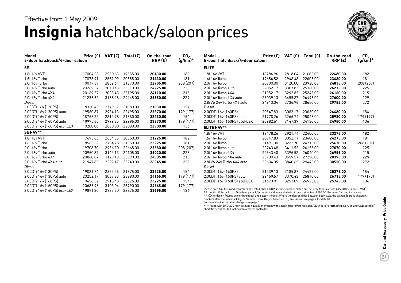### **Insignia** hatchback/saloon prices Effective from 1 May 2009



| Model<br>5-door hatchback/4-door saloon | Price $(E)$ VAT $(E)$ |         | Total $(E)$ | On-the-road<br>RRP(E) | CO <sub>2</sub><br>$(g/km)^*$ | Model<br>5-door hatc                     |
|-----------------------------------------|-----------------------|---------|-------------|-----------------------|-------------------------------|------------------------------------------|
| <b>SE</b>                               |                       |         |             |                       |                               | <b>ELITE</b>                             |
| 1.8i 16v VVT                            | 17004.35              | 2550.65 | 19555.00    | 20430.00              | 182                           | 1.8i 16v VVT                             |
| 1.6i 16v Turbo                          | 17873.91              | 2681.09 | 20555.00    | 21430.00              | 181                           | 1.6i 16v Turbo                           |
| 2.0i 16v Turbo                          | 19017.39              | 2852.61 | 21870.00    | 22785.00              | 208 (207)                     | 2.0i 16v Turbo                           |
| 2.0i 16y Turbo auto                     | 20269.57              | 3040.43 | 23310.00    | 24225.00              | 225                           | 2.0i 16v Turbo                           |
| 2.0i 16y Turbo 4X4                      | 20169.57              | 3025.43 | 23195.00    | 24110.00              | 215                           | 2.0i 16v Turbo                           |
| 2.0i 16y Turbo 4X4 auto                 | 21256.52              | 3188.48 | 24445.00    | 25550.00              | 229                           | 2.0i 16v Turbo                           |
| Diesel                                  |                       |         |             |                       |                               | 2.8i V6 24v Tu                           |
| 2.0CDTi 16v (130PS)                     | 18330.43              | 2749.57 | 21080.00    | 21930.00              | 154                           | Diesel                                   |
| 2.0CDTi 16v (130PS) auto                | 19560.87              | 2934.13 | 22495.00    | 23370.00              | 179 (177)                     | 2.0CDTi 16v (                            |
| 2.0CDTi 16v (160PS)                     | 18765.22              | 2814.78 | 21580.00    | 22430.00              | 154                           | 2.0CDTi 16v (                            |
| 2.0CDTi 16v (160PS) auto                | 19995.65              | 2999.35 | 22995.00    | 23870.00              | 179 (177)                     | 2.0CDTi 16v (                            |
| 2.0CDTi 16v (160PS) ecoFLEX             | 19200.00              | 2880.00 | 22080.00    | 22900.00              | 136                           | <b>ELITE NAV**</b>                       |
| SE NAV**                                |                       |         |             |                       |                               | 1.8i 16v VVT                             |
| 1.8i 16v VVT                            | 17695.65              | 2654.35 | 20350.00    | 21225.00              | 182                           | 1.6i 16y Turbo                           |
| 1.6i 16v Turbo                          | 18565.22              | 2784.78 | 21350.00    | 22225.00              | 181                           | 2.0i 16v Turbo                           |
| 2.0i 16y Turbo                          | 19708.70              | 2956.30 | 22665.00    | 23580.00              | 208 (207)                     | 2.0i 16v Turbo                           |
| 2.0i 16y Turbo auto                     | 20960.87              | 3144.13 | 24105.00    | 25020.00              | 225                           | 2.0i 16v Turbo                           |
| 2.0i 16v Turbo 4X4                      | 20860.87              | 3129.13 | 23990.00    | 24905.00              | 215                           | 2.0i 16v Turbo                           |
| 2.0i 16y Turbo 4X4 auto                 | 21947.83              | 3292.17 | 25240.00    | 26345.00              | 229                           | 2.8i V6 24v Tu                           |
| Diesel                                  |                       |         |             |                       |                               | Diesel                                   |
| 2.0CDTi 16v (130PS)                     | 19021.74              | 2853.26 | 21875.00    | 22725.00              | 154                           | 2.0CDTi 16v (                            |
| 2.0CDTi 16y (130PS) auto                | 20252.17              | 3037.83 | 23290.00    | 24165.00              | 179 (177)                     | 2.0CDTi 16v (                            |
| 2.0CDTi 16y (160PS)                     | 19456.52              | 2918.48 | 22375.00    | 23225.00              | 154                           | 2.0CDTi 16v (                            |
| 2.0CDTi 16v (160PS) auto                | 20686.96              | 3103.04 | 23790.00    | 24665.00              | 179 (177)                     |                                          |
| 2.0CDTi 16y (160PS) ecoFLEX             | 19891.30              | 2983.70 | 22875.00    | 23695.00              | 136                           | Please note: On-th<br>12 months' Vehicle |

| Model<br>5-door hatchback/4-door saloon                 | Price $(E)$          | VAT (£)            | Total $(E)$          | On-the-road<br>RRP(E) | CO <sub>2</sub><br>$(g/km)^*$ |
|---------------------------------------------------------|----------------------|--------------------|----------------------|-----------------------|-------------------------------|
| <b>ELITE</b>                                            |                      |                    |                      |                       |                               |
| 1.8i 16v VVT                                            | 18786.96             | 2818.04            | 21605.00             | 22480.00              | 182                           |
| 1.6i 16y Turbo                                          | 19656.52             | 2948.48            | 22605.00             | 23480.00              | 181                           |
| 2.0i 16y Turbo                                          | 20800.00             | 3120.00            | 23920.00             | 24835.00              | 208 (207)                     |
| 2.0i 16y Turbo auto                                     | 22052.17             | 3307.83            | 25360.00             | 26275.00              | 225                           |
| 2.0i 16y Turbo 4X4                                      | 21952.17             | 3292.83            | 25245.00             | 26160.00              | 215                           |
| 2.0i 16y Turbo 4X4 auto                                 | 23039.13             | 3455.87            | 26495.00             | 27600.00              | 229                           |
| 2.8i V6 24y Turbo 4X4 auto<br>Diesel                    | 24913.04             | 3736.96            | 28650.00             | 29755.00              | 272                           |
| 2.0CDTi 16v (160PS)                                     | 20547.83             | 3082.17            | 23630.00             | 24480.00              | 154                           |
| 2.0CDTi 16v (160PS) auto                                | 21778.26             | 3266.74            | 25045.00             | 25920.00              | 179 (177)                     |
| 2.0CDTi 16v (160PS) ecoFLEX                             | 20982.61             | 3147.39            | 24130.00             | 24950.00              | 136                           |
| <b>ELITE NAV**</b>                                      |                      |                    |                      |                       |                               |
| 1.8i 16v VVT                                            | 19478.26             | 2921.74            | 22400.00             | 23275.00              | 182                           |
| 1.6i 16y Turbo                                          | 20347.83             | 3052.17            | 23400.00             | 24275.00              | 181                           |
| 2.0i 16y Turbo                                          | 21491.30             | 3223.70            | 24715.00             | 25630.00              | 208 (207)                     |
| 2.0i 16y Turbo auto                                     | 22743.48             | 3411.52            | 26155.00             | 27070.00              | 225                           |
| 2.0i 16y Turbo 4X4                                      | 22643.48             | 3396.52            | 26040.00             | 26955.00              | 215                           |
| 2.0i 16y Turbo 4X4 auto                                 | 23730.43             | 3559.57            | 27290.00             | 28395.00              | 229                           |
| 2.8i V6 24y Turbo 4X4 auto<br>Diesel                    | 25604.35             | 3840.65            | 29445.00             | 30550.00              | 272                           |
| 2.0CDTi 16v (160PS)                                     | 21239.13             | 3185.87            | 24425.00             | 25275.00              | 154                           |
| 2.0CDTi 16v (160PS) auto<br>2.0CDTi 16v (160PS) ecoFLEX | 22469.57<br>21673.91 | 3370.43<br>3251.09 | 25840.00<br>24925.00 | 26715.00<br>25745.00  | 179 (177)<br>136              |

he-road recommended retail prices (RRP) include number plates and delivery to retailer of £645.00 (inc. £84.13 VAT), 12 months' Vehicle Excise Duty (see page 2 for details) and new vehicle first registration fee of £55.00. Excludes fuel and insurance.

\* = CO2 emission figures are for hatchback and saloon models. Where the figures differ between body style, the saloon figure is shown in brackets after the hatchback figure. Vehicle Excise Duty is based on CO<sub>2</sub> emissions (see page 2 for details).

For benefit in kind taxation charges see page 3.

\*\* = Fitted with DVD 800 Navi satellite navigation system with colour monitor/stereo radio/CD with MP3 format/auxiliary-in and USB sockets/ shark fin aerial/multi-function infotainment controller.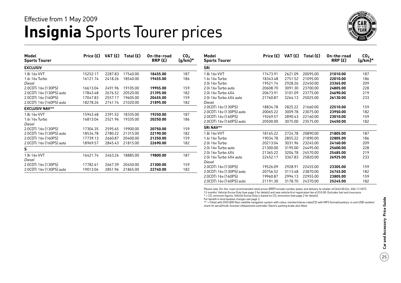### **Insignia** Sports Tourer prices Effective from 1 May 2009



| Model<br><b>Sports Tourer</b> | Price (£) | VAT (£) | Total $(E)$ | On-the-road<br>RRP(E) | CO <sub>2</sub><br>$(g/km)^*$ | Model<br><b>Sports Tourer</b> | Price $(E)$ | VAT (£) | Total $(E)$ | On-the-road<br>RRP(E) | CO <sub>2</sub><br>$(g/km)^*$ |
|-------------------------------|-----------|---------|-------------|-----------------------|-------------------------------|-------------------------------|-------------|---------|-------------|-----------------------|-------------------------------|
| <b>EXCLUSIV</b>               |           |         |             |                       |                               | <b>SRi</b>                    |             |         |             |                       |                               |
| 1.8i 16v VVT                  | 15252.17  | 2287.83 | 17540.00    | 18455.00              | 187                           | 1.8i 16v VVT                  | 17473.91    | 2621.09 | 20095.00    | 21010.00              | 187                           |
| 1.6i 16v Turbo                | 16121.74  | 2418.26 | 18540.00    | 19455.00              | 186                           | 1.6i 16v Turbo                | 18343.48    | 2751.52 | 21095.00    | 22010.00              | 186                           |
| Diesel                        |           |         |             |                       |                               | 2.0i 16v Turbo                | 19521.74    | 2928.26 | 22450.00    | 23365.00              | 209                           |
| 2.0CDTi 16y (130PS)           | 16613.04  | 2491.96 | 19105.00    | 19955.00              | 159                           | 2.0i 16y Turbo auto           | 20608.70    | 3091.30 | 23700.00    | 24805.00              | 228                           |
| 2.0CDTi 16v (130PS) auto      | 17843.48  | 2676.52 | 20520.00    | 21395.00              | 182                           | 2.0i 16y Turbo 4X4            | 20673.91    | 3101.09 | 23775.00    | 24690.00              | 219                           |
| 2.0CDTi 16y (160PS)           | 17047.83  | 2557.17 | 19605.00    | 20455.00              | 159                           | 2.0i 16y Turbo 4X4 auto       | 21760.87    | 3264.13 | 25025.00    | 26130.00              | 233                           |
| 2.0CDTi 16v (160PS) auto      | 18278.26  | 2741.74 | 21020.00    | 21895.00              | 182                           | Diesel                        |             |         |             |                       |                               |
| <b>EXCLUSIV NAV**</b>         |           |         |             |                       |                               | 2.0CDTi 16v (130PS)           | 18834.78    | 2825.22 | 21660.00    | 22510.00              | 159                           |
| 1.8i 16v VVT                  | 15943.48  | 2391.52 | 18335.00    | 19250.00              | 187                           | 2.0CDTi 16y (130PS) auto      | 20065.22    | 3009.78 | 23075.00    | 23950.00              | 182                           |
| 1.6i 16v Turbo                | 16813.04  | 2521.96 | 19335.00    | 20250.00              | 186                           | 2.0CDTi 16y (160PS)           | 19269.57    | 2890.43 | 22160.00    | 23010.00              | 159                           |
| Diesel                        |           |         |             |                       |                               | 2.0CDTi 16v (160PS) auto      | 20500.00    | 3075.00 | 23575.00    | 24450.00              | 182                           |
| 2.0CDTi 16v (130PS)           | 17304.35  | 2595.65 | 19900.00    | 20750.00              | 159                           | <b>SRi NAV**</b>              |             |         |             |                       |                               |
| 2.0CDTi 16v (130PS) auto      | 18534.78  | 2780.22 | 21315.00    | 22190.00              | 182                           | 1.8i 16v VVT                  | 18165.22    | 2724.78 | 20890.00    | 21805.00              | 187                           |
| 2.0CDTi 16v (160PS)           | 17739.13  | 2660.87 | 20400.00    | 21250.00              | 159                           | 1.6i 16v Turbo                | 19034.78    | 2855.22 | 21890.00    | 22805.00              | 186                           |
| 2.0CDTi 16y (160PS) auto      | 18969.57  | 2845.43 | 21815.00    | 22690.00              | 182                           | 2.0i 16y Turbo                | 20213.04    | 3031.96 | 23245.00    | 24160.00              | 209                           |
|                               |           |         |             |                       |                               | 2.0i 16y Turbo auto           | 21300.00    | 3195.00 | 24495.00    | 25600.00              | 228                           |
|                               |           |         |             |                       |                               | 2.0i 16v Turbo 4X4            | 21365.22    | 3204.78 | 24570.00    | 25485.00              | 219                           |
| 1.8i 16v VVT                  | 16421.74  | 2463.26 | 18885.00    | 19800.00              | 187                           | 2.0i 16y Turbo 4X4 auto       | 22452.17    | 3367.83 | 25820.00    | 26925.00              | 233                           |
| Diesel                        |           |         |             |                       |                               | Diesel                        |             |         |             |                       |                               |
| 2.0CDTi 16v (130PS)           | 17782.61  | 2667.39 | 20450.00    | 21300.00              | 159                           | 2.0CDTi 16y (130PS)           | 19526.09    | 2928.91 | 22455.00    | 23305.00              | 159                           |
| 2.0CDTi 16v (130PS) auto      | 19013.04  | 2851.96 | 21865.00    | 22740.00              | 182                           | 2.0CDTi 16v (130PS) auto      | 20756.52    | 3113.48 | 23870.00    | 24745.00              | 182                           |

Please note: On-the-road recommended retail prices (RRP) include number plates and delivery to retailer of £645.00 (inc. £84.13 VAT), 12 months' Vehicle Excise Duty (see page 2 for details) and new vehicle first registration fee of £55.00. Excludes fuel and insurance.

2.0CDTi 16v (160PS) 19960.87 2994.13 22955.00 **23805.00** 159 2.0CDTi 16v (160PS) auto 21191.30 3178.70 24370.00 **25245.00** 182

 $*$  = CO<sub>2</sub> emission figures. Vehicle Excise Duty is based on CO<sub>2</sub> emissions (see page 2 for details).

For benefit in kind taxation charges see page 3.

\*\* = Fitted with DVD 800 Navi satellite navigation system with colour monitor/stereo radio/CD with MP3 format/auxiliary-in and USB sockets/ shark fin aerial/multi-function infotainment controller. Electric parking brake also fitted.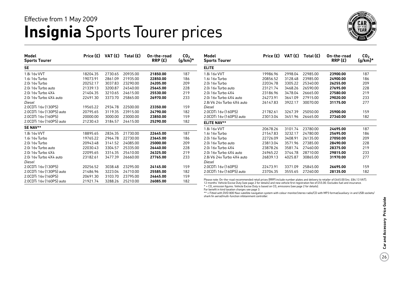### **Insignia** Sports Tourer prices Effective from 1 May 2009



| Model<br><b>Sports Tourer</b> | Price (£) | VAT (£) | Total $(E)$ | On-the-road<br>RRP(E) | CO <sub>2</sub><br>$(g/km)^*$ | Model<br><b>Sports Tourer</b>                                                                                                                                                                                                                                                  | Price (£) | VAT (£) | Total $(E)$ | On-the-road<br>RRP(E) | CO <sub>2</sub><br>$(g/km)^*$ |
|-------------------------------|-----------|---------|-------------|-----------------------|-------------------------------|--------------------------------------------------------------------------------------------------------------------------------------------------------------------------------------------------------------------------------------------------------------------------------|-----------|---------|-------------|-----------------------|-------------------------------|
| SE                            |           |         |             |                       |                               | <b>ELITE</b>                                                                                                                                                                                                                                                                   |           |         |             |                       |                               |
| 1.8i 16v VVT                  | 18204.35  | 2730.65 | 20935.00    | 21850.00              | 187                           | 1.8i 16v VVT                                                                                                                                                                                                                                                                   | 19986.96  | 2998.04 | 22985.00    | 23900.00              | 187                           |
| 1.6i 16y Turbo                | 19073.91  | 2861.09 | 21935.00    | 22850.00              | 186                           | 1.6i 16y Turbo                                                                                                                                                                                                                                                                 | 20856.52  | 3128.48 | 23985.00    | 24900.00              | 186                           |
| 2.0i 16y Turbo                | 20252.17  | 3037.83 | 23290.00    | 24205.00              | 209                           | 2.0i 16y Turbo                                                                                                                                                                                                                                                                 | 22034.78  | 3305.22 | 25340.00    | 26255.00              | 209                           |
| 2.0i 16y Turbo auto           | 21339.13  | 3200.87 | 24540.00    | 25645.00              | 228                           | 2.0i 16y Turbo auto                                                                                                                                                                                                                                                            | 23121.74  | 3468.26 | 26590.00    | 27695.00              | 228                           |
| 2.0i 16y Turbo 4X4            | 21404.35  | 3210.65 | 24615.00    | 25530.00              | 219                           | 2.0i 16y Turbo 4X4                                                                                                                                                                                                                                                             | 23186.96  | 3478.04 | 26665.00    | 27580.00              | 219                           |
| 2.0i 16y Turbo 4X4 auto       | 22491.30  | 3373.70 | 25865.00    | 26970.00              | 233                           | 2.0i 16y Turbo 4X4 auto                                                                                                                                                                                                                                                        | 24273.91  | 3641.09 | 27915.00    | 29020.00              | 233                           |
| Diesel                        |           |         |             |                       |                               | 2.8i V6 24y Turbo 4X4 auto                                                                                                                                                                                                                                                     | 26147.83  | 3922.17 | 30070.00    | 31175.00              | 277                           |
| 2.0CDTi 16v (130PS)           | 19565.22  | 2934.78 | 22500.00    | 23350.00              | 159                           | Diesel                                                                                                                                                                                                                                                                         |           |         |             |                       |                               |
| 2.0CDTi 16v (130PS) auto      | 20795.65  | 3119.35 | 23915.00    | 24790.00              | 182                           | 2.0CDTi 16y (160PS)                                                                                                                                                                                                                                                            | 21782.61  | 3267.39 | 25050.00    | 25900.00              | 159                           |
| 2.0CDTi 16v (160PS)           | 20000.00  | 3000.00 | 23000.00    | 23850.00              | 159                           | 2.0CDTi 16y (160PS) auto                                                                                                                                                                                                                                                       | 23013.04  | 3451.96 | 26465.00    | 27340.00              | 182                           |
| 2.0CDTi 16v (160PS) auto      | 21230.43  | 3184.57 | 24415.00    | 25290.00              | 182                           | <b>ELITE NAV**</b>                                                                                                                                                                                                                                                             |           |         |             |                       |                               |
| <b>SE NAV**</b>               |           |         |             |                       |                               | 1.8i 16v VVT                                                                                                                                                                                                                                                                   | 20678.26  | 3101.74 | 23780.00    | 24695.00              | 187                           |
| 1.8i 16v VVT                  | 18895.65  | 2834.35 | 21730.00    | 22645.00              | 187                           | 1.6i 16y Turbo                                                                                                                                                                                                                                                                 | 21547.83  | 3232.17 | 24780.00    | 25695.00              | 186                           |
| 1.6i 16v Turbo                | 19765.22  | 2964.78 | 22730.00    | 23645.00              | 186                           | 2.0i 16v Turbo                                                                                                                                                                                                                                                                 | 22726.09  | 3408.91 | 26135.00    | 27050.00              | 209                           |
| 2.0i 16y Turbo                | 20943.48  | 3141.52 | 24085.00    | 25000.00              | 209                           | 2.0i 16y Turbo auto                                                                                                                                                                                                                                                            | 23813.04  | 3571.96 | 27385.00    | 28490.00              | 228                           |
| 2.0i 16y Turbo auto           | 22030.43  | 3304.57 | 25335.00    | 26440.00              | 228                           | 2.0i 16y Turbo 4X4                                                                                                                                                                                                                                                             | 23878.26  | 3581.74 | 27460.00    | 28375.00              | 219                           |
| 2.0i 16y Turbo 4X4            | 22095.65  | 3314.35 | 25410.00    | 26325.00              | 219                           | 2.0i 16y Turbo 4X4 auto                                                                                                                                                                                                                                                        | 24965.22  | 3744.78 | 28710.00    | 29815.00              | 233                           |
| 2.0i 16y Turbo 4X4 auto       | 23182.61  | 3477.39 | 26660.00    | 27765.00              | 233                           | 2.8i V6 24y Turbo 4X4 auto                                                                                                                                                                                                                                                     | 26839.13  | 4025.87 | 30865.00    | 31970.00              | 277                           |
| Diesel                        |           |         |             |                       |                               | Diesel                                                                                                                                                                                                                                                                         |           |         |             |                       |                               |
| 2.0CDTi 16v (130PS)           | 20256.52  | 3038.48 | 23295.00    | 24145.00              | 159                           | 2.0CDTi 16v (160PS)                                                                                                                                                                                                                                                            | 22473.91  | 3371.09 | 25845.00    | 26695.00              | 159                           |
| 2.0CDTi 16y (130PS) auto      | 21486.96  | 3223.04 | 24710.00    | 25585.00              | 182                           | 2.0CDTi 16y (160PS) auto                                                                                                                                                                                                                                                       | 23704.35  | 3555.65 | 27260.00    | 28135.00              | 182                           |
| 2.0CDTi 16y (160PS)           | 20691.30  | 3103.70 | 23795.00    | 24645.00              | 159                           |                                                                                                                                                                                                                                                                                |           |         |             |                       |                               |
| 2.0CDTi 16v (160PS) auto      | 21921.74  | 3288.26 | 25210.00    | 26085.00              | 182                           | Please note: On-the-road recommended retail prices (RRP) include number plates and delivery to retailer of £645.00 (inc. £84.13 VAT),<br>12 months' Vabiela Eveisa Duty (see nasa 2 fee details) and now vabiele first registration foo of CEE 00. Eveludes fuel and insurance |           |         |             |                       |                               |

Please note: On-the-road recommended retail prices (RRP) include number plates and delivery to retailer of £645.00 (inc. £84.13 VAT),<br>12 months' Vehicle Excise Duty (see page 2 for details) and new vehicle first registrati

 $*$  = CO<sub>2</sub> emission figures. Vehicle Excise Duty is based on CO<sub>2</sub> emissions (see page 2 for details).

For benefit in kind taxation charges see page 3.

\*\* = Fitted with DVD 800 Navi satellite navigation system with colour monitor/stereo radio/CD with MP3 format/auxiliary-in and USB sockets/ shark fin aerial/multi-function infotainment controller.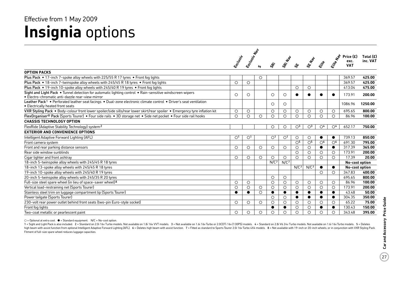## **Insignia** options Effective from 1 May 2009

|                                                                                                                                                               | Exclusiv                | Erclasive Map           | ທ       | $\dot{\mathcal{S}}$     | SRI. Nat         |                         | SENSED                  | Eite                             | Elite Nav            | Price (£)<br>exc.<br><b>VAT</b> | Total $(E)$<br>inc. VAT |
|---------------------------------------------------------------------------------------------------------------------------------------------------------------|-------------------------|-------------------------|---------|-------------------------|------------------|-------------------------|-------------------------|----------------------------------|----------------------|---------------------------------|-------------------------|
| <b>OPTION PACKS</b>                                                                                                                                           |                         |                         |         |                         |                  |                         |                         |                                  |                      |                                 |                         |
| Plus Pack . 17-inch 7-spoke alloy wheels with 225/55 R 17 tyres . Front fog lights                                                                            |                         |                         | $\circ$ |                         |                  |                         |                         |                                  |                      | 369.57                          | 425.00                  |
| Plus Pack • 18-inch 7-twinspoke alloy wheels with 245/45 R 18 tyres • Front fog lights                                                                        | $\circ$                 | $\circ$                 |         |                         |                  |                         |                         |                                  |                      | 369.57                          | 425.00                  |
| Plus Pack • 19-inch 10-spoke alloy wheels with 245/40 R 19 tyres • Front fog lights                                                                           |                         |                         |         |                         |                  | $\circ$                 | $\circ$                 |                                  |                      | 413.04                          | 475.00                  |
| Sight and Light Pack . Tunnel detection for automatic lighting control . Rain-sensitive windscreen wipers<br>• Electro-chromatic anti-dazzle rear-view mirror | $\circ$                 | $\circ$                 |         | $\circ$                 | $\circ$          |                         |                         |                                  | $\bullet$            | 173.91                          | 200.00                  |
| Leather Pack1 . Perforated leather seat facings . Dual-zone electronic climate control . Driver's seat ventilation<br>• Electrically heated front seats       |                         |                         |         | $\circ$                 | $\circ$          |                         |                         |                                  |                      | 1086.96                         | 1250.00                 |
| VXR Styling Pack . Body-colour front lower spoiler/side sills/rear lower skirt/rear spoiler . Emergency tyre inflation kit                                    | $\circ$                 | $\circ$                 |         | $\circ$                 | $\circ$          | $\circ$                 | $\circ$                 | $\circ$                          | $\circ$              | 695.65                          | 800.00                  |
| FlexOrganiser <sup>®</sup> Pack (Sports Tourer) • Four side rails • 3D storage net • Side net pocket • Four side rail hooks                                   | $\circ$                 | $\circ$                 | $\circ$ | $\circ$                 | $\circ$          | $\circ$                 | $\circ$                 | $\circ$                          | $\circ$              | 86.96                           | 100.00                  |
| <b>CHASSIS TECHNOLOGY OPTION</b>                                                                                                                              |                         |                         |         |                         |                  |                         |                         |                                  |                      |                                 |                         |
| FlexRide (Adaptive Stability Technology) system <sup>2</sup>                                                                                                  |                         |                         |         | $\circ$                 | О                | $\bigcirc$ <sup>3</sup> | $\bigcirc$ <sup>3</sup> | $\circlearrowright$ <sup>4</sup> | $\circ$ <sup>4</sup> | 652.17                          | 750.00                  |
| <b>EXTERIOR AND CONVENIENCE OPTIONS</b>                                                                                                                       |                         |                         |         |                         |                  |                         |                         |                                  |                      |                                 |                         |
| Intelligent Adaptive Forward Lighting (AFL)                                                                                                                   | $\bigcirc$ <sup>1</sup> | $\bigcirc$ <sup>1</sup> |         | $\bigcirc$ <sup>1</sup> | O <sup>1</sup>   | $\circ$                 | $\circ$                 |                                  | $\bullet$            | 739.13                          | 850.00                  |
| Front camera system                                                                                                                                           |                         |                         |         |                         |                  | O <sub>5</sub>          | $\overline{O^5}$        | $\overline{O^6}$                 | $\circ$ <sup>6</sup> | 691.30                          | 795.00                  |
| Front and rear parking distance sensors                                                                                                                       | $\circ$                 | $\circ$                 | $\circ$ | $\circ$                 | $\circ$          | $\circ$                 | $\circ$                 |                                  | $\bullet$            | 317.39                          | 365.00                  |
| Rear side window sunblinds                                                                                                                                    |                         |                         |         |                         |                  | $\circ$                 | $\circ$                 | $\circ$                          | $\circ$              | 173.91                          | 200.00                  |
| Cigar lighter and front ashtray                                                                                                                               | $\circ$                 | $\circ$                 | $\circ$ | $\circ$                 | $\circ$          | $\circ$                 | $\circ$                 | $\circ$                          | $\circ$              | 17.39                           | 20.00                   |
| 18-inch 5-twinspoke alloy wheels with 245/45 R 18 tyres                                                                                                       |                         |                         |         | N/C <sub>7</sub>        | N/C <sub>7</sub> |                         |                         |                                  |                      | No-cost option                  |                         |
| 18-inch 13-spoke alloy wheels with 245/45 R 18 tyres                                                                                                          |                         |                         |         |                         |                  | N/C <sub>7</sub>        | N/C <sup>7</sup>        |                                  | $\bullet$            | No-cost option                  |                         |
| 19-inch 10-spoke alloy wheels with 245/40 R 19 tyres                                                                                                          |                         |                         |         |                         |                  |                         |                         | $\circ$                          | $\circ$              | 347.83                          | 400.00                  |
| 20-inch 5-twinspoke alloy wheels with 245/35 R 20 tyres                                                                                                       |                         |                         |         | $\circ$                 | $\circ$          |                         |                         |                                  |                      | 695.65                          | 800.00                  |
| Full-size steel spare wheel (in lieu of space-saver wheel) <sup>8</sup>                                                                                       | $\circ$                 | $\circ$                 |         | $\circ$                 | $\circ$          | $\circ$                 | $\circ$                 | $\circ$                          | $\circ$              | 86.96                           | 100.00                  |
| Vertical load-restraining net (Sports Tourer)                                                                                                                 | $\circ$                 | $\circ$                 | $\circ$ | $\circ$                 | $\circ$          | $\circ$                 | $\circ$                 | $\circ$                          | $\circ$              | 173.91                          | 200.00                  |
| Stainless steel trim on luggage compartment lip (Sports Tourer)                                                                                               | ●                       | $\bullet$               | $\circ$ | $\bullet$               | $\bullet$        | $\bullet$               | $\bullet$               | ●                                | $\bullet$            | 43.48                           | 50.00                   |
| Power tailgate (Sports Tourer)                                                                                                                                |                         |                         |         | $\circ$                 | O                | $\bullet$               | $\bullet$               |                                  | $\bullet$            | 304.35                          | 350.00                  |
| 230-volt rear power outlet behind front seats (two-pin Euro-style socket)                                                                                     | $\circ$                 | $\circ$                 | $\circ$ | $\circ$                 | $\circ$          | $\circ$                 | $\circ$                 | $\circ$                          | $\circ$              | 65.22                           | 75.00                   |
| Front fog lights                                                                                                                                              |                         |                         |         | $\bullet$               | $\bullet$        | O                       | $\circ$                 |                                  | $\bullet$            | 130.43                          | 150.00                  |
| Two-coat metallic or pearlescent paint                                                                                                                        | $\circ$                 | $\circ$                 | $\circ$ | $\circ$                 | $\circ$          | $\circ$                 | $\circ$                 | $\circ$                          | $\circ$              | 343.48                          | 395.00                  |

 $O =$  Optional at extra cost.  $\bullet =$  Standard equipment. N/C = No-cost option.

1 = Sight and Light Pack is also included. 2 = Standard on 2.0i 16v Turbo models. Not available on 1.8i 16v VVT models. 3 = Not available on 1.6i 16v Turbo or 2.0CDTi 16v (130PS) models. 4 = Standard on 2.8i V6 24v Turbo m high beam with assist function from optional Intelligent Adaptive Forward Lighting (AFL). 6 = Deletes high beam with assist function. 7 = Fitted as standard to Sports Tourer 2.0i 16v Turbo 4X4 models. 8 = Not available wit Fitment of full-size spare wheel reduces luggage capacities.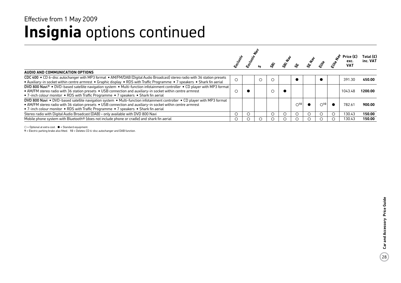### **Insignia** options continued Effective from 1 May 2009

|                                                                                                                                                                                                                                                                                                                                               |            |         |   |   |                          |            |               | exc.<br><b>VAT</b> | Total (£)<br>inc. VAT |
|-----------------------------------------------------------------------------------------------------------------------------------------------------------------------------------------------------------------------------------------------------------------------------------------------------------------------------------------------|------------|---------|---|---|--------------------------|------------|---------------|--------------------|-----------------------|
| AUDIO AND COMMUNICATION OPTIONS                                                                                                                                                                                                                                                                                                               |            |         |   |   |                          |            |               |                    |                       |
| CDC 400 . CD 6-disc autochanger with MP3 format . AM/FM/DAB (Digital Audio Broadcast) stereo radio with 36 station presets<br>• Auxiliary-in socket within centre armrest • Graphic display • RDS with Traffic Programme • 7 speakers • Shark fin aerial                                                                                      | $\bigcirc$ | $\circ$ | C |   |                          |            |               | 391.30             | 450.00                |
| DVD 800 Navi <sup>9</sup> • DVD-based satellite navigation system • Multi-function infotainment controller • CD player with MP3 format<br>• AM/FM stereo radio with 36 station presets • USB connection and auxiliary-in socket within centre armrest<br>• 7-inch colour monitor • RDS with Traffic Programme • 7 speakers • Shark fin aerial |            |         | C |   |                          |            |               | 1043.48            | 1200.00               |
| DVD 800 Navi . DVD-based satellite navigation system . Multi-function infotainment controller . CD player with MP3 format<br>• AM/FM stereo radio with 36 station presets • USB connection and auxiliary-in socket within centre armrest<br>• 7-inch colour monitor • RDS with Traffic Programme • 7 speakers • Shark fin aerial              |            |         |   |   | $\bigcirc$ <sup>10</sup> |            | $\bigcirc$ 10 | 782.61             | 900.00                |
| Stereo radio with Digital Audio Broadcast (DAB) - only available with DVD 800 Navi                                                                                                                                                                                                                                                            |            |         | ◯ | ◯ | $\left( \quad \right)$   | $\bigcirc$ |               | 130.43             | 150.00                |
| Mobile phone system with Bluetooth <sup>®</sup> (does not include phone or cradle) and shark fin aerial                                                                                                                                                                                                                                       |            |         |   |   |                          |            |               | 130.43             | 150.00                |

 $\bigcirc$  = Optional at extra cost.  $\bullet$  = Standard equipment.

9 = Electric parking brake also fitted. 10 = Deletes CD 6-disc autochanger and DAB function.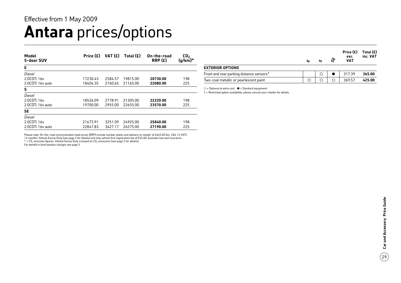## **Antara** prices/options

| Model<br>5-door SUV | Price $(E)$ | VAT $(f)$ | Total $(E)$ | On-the-road<br>RRP(E) | CO <sub>2</sub><br>(g/km)* |
|---------------------|-------------|-----------|-------------|-----------------------|----------------------------|
| Е                   |             |           |             |                       |                            |
| Diesel              |             |           |             |                       |                            |
| 2.0CDTi 16y         | 17230.43    | 2584.57   | 19815.00    | 20730.00              | 198                        |
| 2.0CDTi 16y auto    | 18404.35    | 2760.65   | 21165.00    | 22080.00              | 225                        |
| S                   |             |           |             |                       |                            |
| Diesel              |             |           |             |                       |                            |
| 2.0CDTi 16y         | 18526.09    | 2778.91   | 21305.00    | 22220.00              | 198                        |
| 2.0CDTi 16y auto    | 19700.00    | 2955.00   | 22655.00    | 23570.00              | 225                        |
| <b>SE</b>           |             |           |             |                       |                            |
| Diesel              |             |           |             |                       |                            |
| 2.0CDTi 16y         | 21673.91    | 3251.09   | 24925.00    | 25840.00              | 198                        |
| 2.0CDTi 16y auto    | 22847.83    | 3427.17   | 26275.00    | 27190.00              | 225                        |

Please note: On-the-road recommended retail prices (RRP) include number plates and delivery to retailer of £645.00 (inc. £84.13 VAT), 12 months' Vehicle Excise Duty (see page 2 for details) and new vehicle first registration fee of £55.00. Excludes fuel and insurance.

 $*$  = CO<sub>2</sub> emission figures. Vehicle Excise Duty is based on CO<sub>2</sub> emissions (see page 2 for details).

For benefit in kind taxation charges see page 3.

|    |   | ఊ | Price $(E)$ Total $(E)$<br>exc. | inc. VAT |
|----|---|---|---------------------------------|----------|
| ų, | n |   | <b>VAT</b>                      |          |

#### **Exterior options**

| ------------------                                   |  |        |        |
|------------------------------------------------------|--|--------|--------|
| Front and rear parking distance sensors <sup>1</sup> |  | 317.39 | 365.00 |
| Two-coat metallic or pearlescent paint               |  | 369.57 | 425.00 |

 $O =$  Optional at extra cost.  $\bullet =$  Standard equipment.

1 = Restricted option availability, please consult your retailer for details.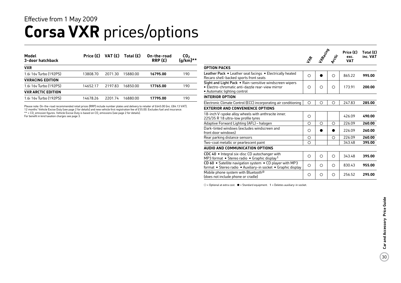### **Corsa VXR** prices/options Effective from 1 May 2009

| Model<br>3-door hatchback | Price $(E)$ | VAT $(E)$ | Total $(E)$ | On-the-road<br>RRP(E) | CO <sub>2</sub><br>$(g/km)**$ |
|---------------------------|-------------|-----------|-------------|-----------------------|-------------------------------|
| <b>VXR</b>                |             |           |             |                       |                               |
| 1.6i 16y Turbo (192PS)    | 13808.70    | 2071.30   | 15880.00    | 16795.00              | 190                           |
| <b>VXRACING EDITION</b>   |             |           |             |                       |                               |
| 1.6i 16y Turbo (192PS)    | 14652.17    | 2197.83   | 16850.00    | 17765.00              | 190                           |
| <b>VXR ARCTIC EDITION</b> |             |           |             |                       |                               |
| 1.6i 16y Turbo (192PS)    | 14678.26    | 220174    | 16880.00    | 17795.00              | 190                           |
|                           |             |           |             |                       |                               |

Please note: On-the-road recommended retail prices (RRP) include number plates and delivery to retailer of £645.00 (inc. £84.13 VAT), 12 months' Vehicle Excise Duty (see page 2 for details) and new vehicle first registration fee of £55.00. Excludes fuel and insurance.  $**$  = CO<sub>2</sub> emission figures. Vehicle Excise Duty is based on CO<sub>2</sub> emissions (see page 2 for details).

For benefit in kind taxation charges see page 3.

|                                                                                                                                             | 4e | TRación | Arctic     | Price $(E)$<br>exc.<br><b>VAT</b> | Total (£)<br>inc. VAT |
|---------------------------------------------------------------------------------------------------------------------------------------------|----|---------|------------|-----------------------------------|-----------------------|
| <b>OPTION PACKS</b>                                                                                                                         |    |         |            |                                   |                       |
| Leather Pack • Leather seat facings • Electrically heated<br>Recaro shell-backed sports front seats                                         | О  |         | O          | 865.22                            | 995.00                |
| Sight and Light Pack . Rain-sensitive windscreen wipers<br>• Electro-chromatic anti-dazzle rear-view mirror<br>• Automatic lighting control | O  | O       | O          | 173.91                            | 200.00                |
| <b>INTERIOR OPTION</b>                                                                                                                      |    |         |            |                                   |                       |
| Electronic Climate Control (ECC) incorporating air conditioning                                                                             | Ω  | ∩       | Ω          | 247.83                            | 285.00                |
| <b>EXTERIOR AND CONVENIENCE OPTIONS</b>                                                                                                     |    |         |            |                                   |                       |
| 18-inch V-spoke alloy wheels with anthracite inner,<br>225/35 R 18 ultra-low profile tyres                                                  | О  |         |            | 426.09                            | 490.00                |
| Adaptive Forward Lighting (AFL) - halogen                                                                                                   | O  | $\circ$ | $\bigcirc$ | 226.09                            | 260.00                |
| Dark-tinted windows (excludes windscreen and<br>front door windows)                                                                         | Ω  |         |            | 226.09                            | 260.00                |
| Rear parking distance sensors                                                                                                               | Ο  |         | Ο          | 226.09                            | 260.00                |
| Two-coat metallic or pearlescent paint                                                                                                      | Ο  |         |            | 343.48                            | 395.00                |
| AUDIO AND COMMUNICATION OPTIONS                                                                                                             |    |         |            |                                   |                       |
| CDC 40 • Integral six-disc CD autochanger with<br>MP3 format • Stereo radio • Graphic display <sup>1</sup>                                  | O  | $\circ$ | $\circ$    | 343.48                            | 395.00                |
| CD 60 • Satellite navigation system • CD player with MP3<br>format • Stereo radio • Auxiliary-in socket • Graphic display                   | Ω  | Ω       | Ω          | 830.43                            | 955.00                |
| Mobile phone system with Bluetooth <sup>®</sup><br>(does not include phone or cradle)                                                       | O  | О       | O          | 256.52                            | 295.00                |

 $O =$  Optional at extra cost.  $\bullet =$  Standard equipment. 1 = Deletes auxiliary-in socket.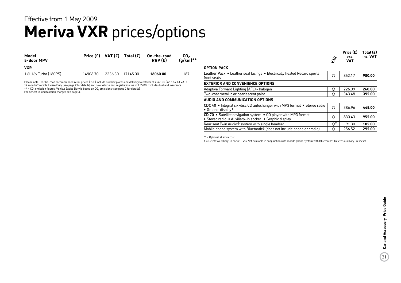### **Meriva VXR** prices/options Effective from 1 May 2009

| Model<br>5-door MPV    |          | Price $(E)$ VAT $(E)$ Total $(E)$ | On-the-road<br>RRP(E) | CO <sub>2</sub><br>$(q/km)**$ |
|------------------------|----------|-----------------------------------|-----------------------|-------------------------------|
| <b>VXR</b>             |          |                                   |                       |                               |
| 1.6i 16y Turbo (180PS) | 14908.70 | 2236.30 17145.00                  | 18060.00              | 187                           |

Please note: On-the-road recommended retail prices (RRP) include number plates and delivery to retailer of £645.00 (inc. £84.13 VAT),<br>12 months' Vehicle Excise Duty (see page 2 for details) and new vehicle first registrati \*\* = CO, emission figures. Vehicle Excise Duty is based on CO, emissions (see page 2 for details). For benefit in kind taxation charges see page 3.

**Option pack** Leather Pack • Leather seat facings • Electrically heated Recaro sports front seats 852.17 **980.00 Exterior and convenience options** Adaptive Forward Lighting (AFL) – halogen 260.00 **260.00** Two-coat metallic or pearlescent paint 343.48 **395.00 Audio and communication options** CDC 40 • Integral six-disc CD autochanger with MP3 format • Stereo radio • Graphic display<sup>1</sup> 386.96 **445.00** CD 70 • Satellite navigation system • CD player with MP3 format • Stereo radio • Auxiliary-in socket • Graphic display 830.43 **955.00** Rear seat Twin Audio<sup>®</sup> system with single headset  $\begin{array}{|c|c|c|c|c|c|} \hline \circ^2 & 91.30 & \textbf{105.00} \ \hline \end{array}$ Mobile phone system with Bluetooth® (does not include phone or cradle) 256.52 **295.00**  $z^2$ **Price (£) Total (£) exc. VAT inc. VAT**

 $O =$  Optional at extra cost.

1 = Deletes auxiliary-in socket. 2 = Not available in conjunction with mobile phone system with Bluetooth®. Deletes auxiliary-in socket.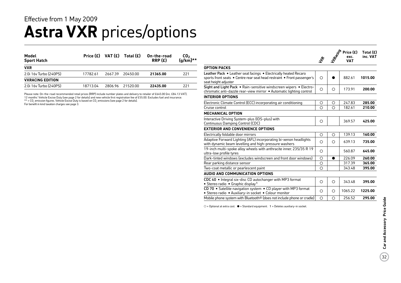### **Astra VXR** prices/options Effective from 1 May 2009

| Model<br><b>Sport Hatch</b> |          |         | Price $(E)$ VAT $(E)$ Total $(E)$ | On-the-road<br>RRP(E) | CO <sub>2</sub><br>$(g/km)**$ |
|-----------------------------|----------|---------|-----------------------------------|-----------------------|-------------------------------|
| <b>VXR</b>                  |          |         |                                   |                       |                               |
| 2.0i 16v Turbo (240PS)      | 17782.61 | 2667.39 | 20450.00                          | 21365.00              | 221                           |
| <b>VXRACING EDITION</b>     |          |         |                                   |                       |                               |
| 2.0i 16y Turbo (240PS)      | 18713.04 | 2806.96 | 21520.00                          | 22435.00              | 221                           |

Please note: On-the-road recommended retail prices (RRP) include number plates and delivery to retailer of £645.00 (inc. £84.13 VAT), 12 months' Vehicle Excise Duty (see page 2 for details) and new vehicle first registration fee of £55.00. Excludes fuel and insurance.  $^{\star\star}$  = CO<sub>2</sub> emission figures. Vehicle Excise Duty is based on CO<sub>2</sub> emissions (see page 2 for details).

For benefit in kind taxation charges see page 3.

|                                                                                                                                                                      | $\boldsymbol{\hat{z}}$ | <b>Wrecister</b> | Price $(E)$<br>exc.<br><b>VAT</b> | Total (£)<br>inc. VAT |
|----------------------------------------------------------------------------------------------------------------------------------------------------------------------|------------------------|------------------|-----------------------------------|-----------------------|
| <b>OPTION PACKS</b>                                                                                                                                                  |                        |                  |                                   |                       |
| Leather Pack . Leather seat facings . Electrically heated Recaro<br>sports front seats • Centre rear seat head restraint • Front passenger's<br>seat height adjuster | ◯                      |                  | 882.61                            | 1015.00               |
| Sight and Light Pack . Rain-sensitive windscreen wipers . Electro-<br>chromatic anti-dazzle rear-view mirror • Automatic lighting control                            | O                      | $\circ$          | 173.91                            | 200.00                |
| <b>INTERIOR OPTIONS</b>                                                                                                                                              |                        |                  |                                   |                       |
| Electronic Climate Control (ECC) incorporating air conditioning                                                                                                      | O                      | О                | 247.83                            | 285.00                |
| Cruise control                                                                                                                                                       | O                      | O                | 182.61                            | 210.00                |
| <b>MECHANICAL OPTION</b>                                                                                                                                             |                        |                  |                                   |                       |
| Interactive Driving System-plus (IDS-plus) with<br>Continuous Damping Control (CDC)                                                                                  | О                      |                  | 369.57                            | 425.00                |
| <b>EXTERIOR AND CONVENIENCE OPTIONS</b>                                                                                                                              |                        |                  |                                   |                       |
| Electrically foldable door mirrors                                                                                                                                   | O                      | Ω                | 139.13                            | 160.00                |
| Adaptive Forward Lighting (AFL) incorporating bi-xenon headlights<br>with dynamic beam levelling and high-pressure washers                                           | $\bigcirc$             | $\bigcirc$       | 639.13                            | 735.00                |
| 19-inch multi-spoke alloy wheels with anthracite inner, 235/35 R 19<br>ultra-low profile tyres                                                                       | Ω                      |                  | 560.87                            | 645.00                |
| Dark-tinted windows (excludes windscreen and front door windows)                                                                                                     | $\bigcirc$             |                  | 226.09                            | 260.00                |
| Rear parking distance sensor                                                                                                                                         | O                      |                  | 317.39                            | 365.00                |
| Two-coat metallic or pearlescent paint                                                                                                                               | $\bigcirc$             |                  | 343.48                            | 395.00                |
| <b>AUDIO AND COMMUNICATION OPTIONS</b>                                                                                                                               |                        |                  |                                   |                       |
| CDC 40 • Integral six-disc CD autochanger with MP3 format<br>• Stereo radio • Graphic display <sup>1</sup>                                                           | O                      | $\bigcirc$       | 343.48                            | 395.00                |
| CD 70 • Satellite navigation system • CD player with MP3 format<br>· Stereo radio · Auxiliary-in socket · Colour monitor                                             | O                      | $\bigcirc$       | 1065.22                           | 1225.00               |
| Mobile phone system with Bluetooth <sup>®</sup> (does not include phone or cradle)                                                                                   | $\bigcirc$             | O                | 256.52                            | 295.00                |

 $\bigcirc$  = Optional at extra cost.  $\bigcirc$  = Standard equipment. 1 = Deletes auxiliary-in socket.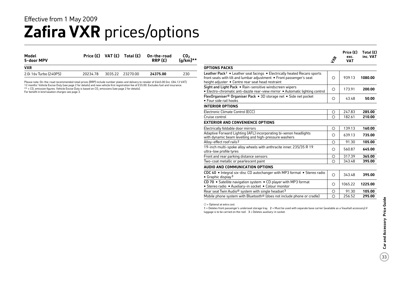### **Zafira VXR** prices/options Effective from 1 May 2009

| Model<br>5-door MPV    |          | Price $(E)$ VAT $(E)$ Total $(E)$ |                 | On-the-road<br>RRP(E) | CO <sub>2</sub><br>$(g/km)**$ |
|------------------------|----------|-----------------------------------|-----------------|-----------------------|-------------------------------|
| <b>VXR</b>             |          |                                   |                 |                       |                               |
| 2.0i 16y Turbo (240PS) | 20234.78 |                                   | 303522 23270.00 | 24375.00              | 230                           |

12 months' Vehicle Excise Duty (see page 2 for details) and new vehicle first registration fee of £55.00. Excludes fuel and insurance.<br>\*\* = CO<sub>2</sub> emission figures. Vehicle Excise Duty is based on CO<sub>2</sub> emissions (see page

For benefit in kind taxation charges see page 3.

|                                                                                                                                                                                                                   | $z_{\phi}$ | Price $(E)$<br>exc.<br><b>VAT</b> | Total $(E)$<br>inc. VAT |
|-------------------------------------------------------------------------------------------------------------------------------------------------------------------------------------------------------------------|------------|-----------------------------------|-------------------------|
| <b>OPTIONS PACKS</b>                                                                                                                                                                                              |            |                                   |                         |
| Leather Pack <sup>1</sup> • Leather seat facings • Electrically heated Recaro sports<br>front seats with tilt and lumbar adjustment . Front passenger's seat<br>height adjuster . Centre rear seat head restraint | ◯          | 939.13                            | 1080.00                 |
| Sight and Light Pack . Rain-sensitive windscreen wipers<br>· Electro-chromatic anti-dazzle rear-view mirror · Automatic lighting control                                                                          | ◯          | 173.91                            | 200.00                  |
| FlexOrganiser <sup>®</sup> Organiser Pack • 3D storage net • Side net pocket<br>$\bullet$ Four side rail hooks                                                                                                    | O          | 43.48                             | 50.00                   |
| <b>INTERIOR OPTIONS</b>                                                                                                                                                                                           |            |                                   |                         |
| Electronic Climate Control (ECC)                                                                                                                                                                                  | O          | 247.83                            | 285.00                  |
| Cruise control                                                                                                                                                                                                    | ◯          | 182.61                            | 210.00                  |
| <b>EXTERIOR AND CONVENIENCE OPTIONS</b>                                                                                                                                                                           |            |                                   |                         |
| Electrically foldable door mirrors                                                                                                                                                                                | $\circ$    | 139.13                            | 160.00                  |
| Adaptive Forward Lighting (AFL) incorporating bi-xenon headlights<br>with dynamic beam levelling and high-pressure washers                                                                                        | ◯          | 639.13                            | 735.00                  |
| Alloy-effect roof rails <sup>2</sup>                                                                                                                                                                              | ◯          | 91.30                             | 105.00                  |
| 19-inch multi-spoke alloy wheels with anthracite inner, 235/35 R 19<br>ultra-low profile tyres                                                                                                                    | O          | 560.87                            | 645.00                  |
| Front and rear parking distance sensors                                                                                                                                                                           | О          | 317.39                            | 365.00                  |
| Two-coat metallic or pearlescent paint                                                                                                                                                                            | ∩          | 343.48                            | 395.00                  |
| AUDIO AND COMMUNICATION OPTIONS                                                                                                                                                                                   |            |                                   |                         |
| CDC 40 • Integral six-disc CD autochanger with MP3 format • Stereo radio<br>• Graphic display <sup>3</sup>                                                                                                        | $\bigcirc$ | 343.48                            | 395.00                  |
| CD 70 • Satellite navigation system • CD player with MP3 format<br>· Stereo radio · Auxiliary-in socket · Colour monitor                                                                                          | O          | 1065.22                           | 1225.00                 |
| Rear seat Twin Audio <sup>®</sup> system with single headset <sup>3</sup>                                                                                                                                         | O          | 91.30                             | 105.00                  |

 $O =$  Optional at extra cost.

1 = Deletes front passenger's underseat storage tray. 2 = Must be used with separate base carrier (available as a Vauxhall accessory) if luggage is to be carried on the roof.  $3$  = Deletes auxiliary-in socket.

Mobile phone system with Bluetooth® (does not include phone or cradle) 256.52 **295.00**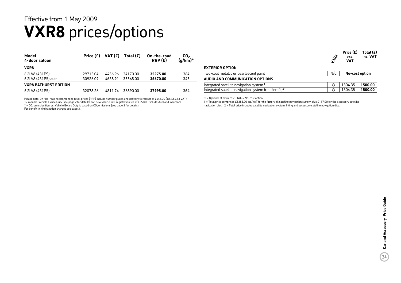### **VXR8** prices/options Effective from 1 May 2009

| Model<br>4-door saloon       | Price $(E)$ | VAT (£) | Total $(E)$ | On-the-road<br>RRP(E) | CO <sub>2</sub><br>$(g/km)^*$ |
|------------------------------|-------------|---------|-------------|-----------------------|-------------------------------|
| VXR8                         |             |         |             |                       |                               |
| 6.2i V8 (431PS)              | 29713.04    | 4456.96 | 34170.00    | 35275.00              | 364                           |
| 6.2i V8 (431PS) auto         | 30926.09    | 4638.91 | 35565.00    | 36670.00              | 345                           |
| <b>VXR8 BATHURST EDITION</b> |             |         |             |                       |                               |
| 6.2i V8 (431PS)              | 32078.26    | 4811.74 | 36890.00    | 37995.00              | 364                           |

Please note: On-the-road recommended retail prices (RRP) include number plates and delivery to retailer of £645.00 (inc. £84.13 VAT), 12 months' Vehicle Excise Duty (see page 2 for details) and new vehicle first registration fee of £55.00. Excludes fuel and insurance.  $*$  = CO, emission figures. Vehicle Excise Duty is based on CO<sub>2</sub> emissions (see page 2 for details).

For benefit in kind taxation charges see page 3.

|                                                                    | <b>TR8</b> | Price (£)<br>exc.<br><b>VAT</b> | Total (£)<br>inc. VAT |
|--------------------------------------------------------------------|------------|---------------------------------|-----------------------|
| <b>EXTERIOR OPTION</b>                                             |            |                                 |                       |
| Two-coat metallic or pearlescent paint                             | N/C        | No-cost option                  |                       |
| AUDIO AND COMMUNICATION OPTIONS                                    |            |                                 |                       |
| Integrated satellite navigation system <sup>1</sup>                |            | 1304.35                         | 1500.00               |
| Integrated satellite navigation system (retailer-fit) <sup>2</sup> | О          | 1304.35                         | 1500.00               |

 $O =$  Optional at extra cost.  $N/C = No$ -cost option.

1 = Total price comprises £1383.00 inc. VAT for the factory-fit satellite navigation system plus £117.00 for the accessory satellite navigation disc. 2 = Total price includes satellite navigation system, fitting and accessory satellite navigation disc.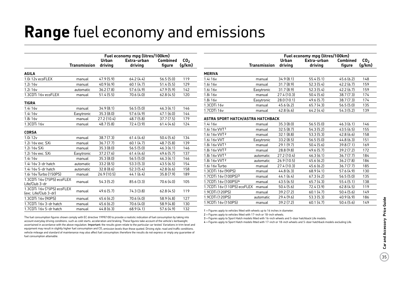## **Range** fuel economy and emissions

|                                                     |                     |             | Fuel economy mpg (litres/100km) |                 |                 |
|-----------------------------------------------------|---------------------|-------------|---------------------------------|-----------------|-----------------|
|                                                     |                     | Urban       | Extra-urban                     | <b>Combined</b> | CO <sub>2</sub> |
|                                                     | <b>Transmission</b> | driving     | driving                         | figure          | (g/km)          |
| <b>AGILA</b>                                        |                     |             |                                 |                 |                 |
| 1.0i 12y ecoFLEX                                    | manual              | 47.9 (5.9)  | 64.2(4.4)                       | 56.5(5.0)       | 119             |
| 1.2i 16v                                            | manual              | 40.9(6.9)   | 60.1(4.7)                       | 51.4 (5.5)      | 129             |
| 1.2i 16v                                            | automatic           | 36.2(7.8)   | 57.6 (4.9)                      | 47.9(5.9)       | 142             |
| 1.3CDTi 16v ecoFLEX                                 | manual              | 51.4 (5.5)  | 70.6 (4.0)                      | 62.8(4.5)       | 120             |
| <b>TIGRA</b>                                        |                     |             |                                 |                 |                 |
| 1.4i 16v                                            | manual              | 34.9(8.1)   | 56.5(5.0)                       | 46.3(6.1)       | 146             |
| 1.4i 16v                                            | Easytronic          | 35.3(8.0)   | 57.6 (4.9)                      | 47.1(6.0)       | 144             |
| 1.8i 16v                                            | manual              | 27.2 (10.4) | 48.7(5.8)                       | 37.7(7.5)       | 179             |
| 1.3CDTi 16v                                         | manual              | 48.7 (5.8)  | 72.4 (3.9)                      | 61.4(4.6)       | 124             |
| <b>CORSA</b>                                        |                     |             |                                 |                 |                 |
| 1.0i 12v                                            | manual              | 38.7(7.3)   | 61.4(4.6)                       | 50.4(5.6)       | 134             |
| 1.2i 16v exc. SXi                                   | manual              | 36.7(7.7)   | 60.1(4.7)                       | 48.7 (5.8)      | 139             |
| 1.2i 16y SXi                                        | manual              | 35.3(8.0)   | 56.5(5.0)                       | 46.3(6.1)       | 146             |
| 1.2i 16y exc. SXi                                   | Easytronic          | 37.2 (7.6)  | 61.4(4.6)                       | 49.6 (5.7)      | 137             |
| 1.4i 16v                                            | manual              | 35.3(8.0)   | 56.5(5.0)                       | 46.3(6.1)       | 146             |
| 1.4i 16y 3-dr hatch                                 | automatic           | 33.2(8.5)   | 53.3(5.3)                       | 43.5(6.5)       | 154             |
| 1.4i 16y 5-dr hatch                                 | automatic           | 32.8(8.6)   | 52.3(5.4)                       | 42.8(6.6)       | 158             |
| 1.6i 16v Turbo (150PS)                              | manual              | 26.9 (10.5) | 44.1(6.4)                       | 35.8(7.9)       | 189             |
| 1.3CDTi 16v (75PS) ecoFLEX<br>Life/Club 3-dr        | manual              | 54.3(5.2)   | 85.6(3.3)                       | 70.6 (4.0)      | 105             |
| 1.3CDTi 16v (75PS) ecoFLEX<br>(exc. Life/Club 3-dr) | manual              | 49.6 (5.7)  | 74.3 (3.8)                      | 62.8(4.5)       | 119             |
| 1.3CDTi 16v (90PS)                                  | manual              | 45.6(6.2)   | 70.6 (4.0)                      | 58.9 (4.8)      | 127             |
| 1.7CDTi 16v 3-dr hatch                              | manual              | 45.6 (6.2)  | 70.6 (4.0)                      | 58.9 (4.8)      | 130             |
| 1.7CDTi 16v 5-dr hatch                              | manual              | 44.8 (6.3)  | 68.9(4.1)                       | 57.6 (4.9)      | 132             |

|                                          | <b>Transmission</b> | Urban<br>driving | Extra-urban<br>driving | Combined<br>figure | CO <sub>2</sub><br>(g/km) |
|------------------------------------------|---------------------|------------------|------------------------|--------------------|---------------------------|
| <b>MERIVA</b>                            |                     |                  |                        |                    |                           |
| 1.4i 16v                                 | manual              | 34.9(8.1)        | 55.4(5.1)              | 45.6(6.2)          | 148                       |
| 1.6i 16v                                 | manual              | 31.7(8.9)        | 52.3(5.4)              | 42.2 (6.7)         | 159                       |
| 1.6i 16v                                 | Easytronic          | 31.7(8.9)        | 52.3(5.4)              | 42.2(6.7)          | 159                       |
| 1.8i 16v                                 | manual              | 27.4 (10.3)      | 50.4(5.6)              | 38.7(7.3)          | 174                       |
| 1.8i 16v                                 | Easytronic          | 28.0(10.1)       | 49.6 (5.7)             | 38.7(7.3)          | 174                       |
| 1.3CDTi 16v                              | manual              | 45.6(6.2)        | 65.7(4.3)              | 56.5(5.0)          | 135                       |
| 1.7CDTi 16v                              | manual              | 42.8(6.6)        | 64.2(4.4)              | 54.3 (5.2)         | 139                       |
| <b>ASTRA SPORT HATCH/ASTRA HATCHBACK</b> |                     |                  |                        |                    |                           |
| 1.4i 16v                                 | manual              | 35.3(8.0)        | 56.5(5.0)              | 46.3(6.1)          | 146                       |
| 1.6i 16v VVT1                            | manual              | 32.5(8.7)        | 54.3 (5.2)             | 43.5(6.5)          | 155                       |
| 1.6i 16v VVT <sup>2</sup>                | manual              | 32.1(8.8)        | 53.3(5.3)              | 42.8 (6.6)         | 158                       |
| 1.6i 16v VVT                             | Easytronic          | 33.2(8.5)        | 56.5(5.0)              | 44.8 (6.3)         | 151                       |
| 1.8i 16v VVT1                            | manual              | 29.1(9.7)        | 50.4(5.6)              | 39.8(7.1)          | 169                       |
| 1.8i 16v VVT2                            | manual              | 28.8 (9.8)       | 49.6(5.7)              | 39.2 (7.2)         | 172                       |
| 1.8i 16v VVT1                            | automatic           | 27.2 (10.4)      | 46.3(6.1)              | 36.7(7.7)          | 184                       |
| 1.8i 16v VVT <sup>2</sup>                | automatic           | 26.9(10.5)       | 45.6(6.2)              | 36.2(7.8)          | 186                       |
| 1.6i 16v Turbo                           | manual              | 27.4 (10.3)      | 45.6(6.2)              | 36.7(7.7)          | 185                       |
| 1.3CDTi 16v (90PS)                       | manual              | 44.8(6.3)        | 68.9(4.1)              | 57.6 (4.9)         | 130                       |
| 1.7CDTi 16v (100PS)3                     | manual              | 44.1(6.4)        | 67.3(4.2)              | 56.5(5.0)          | 135                       |
| 1.7CDTi 16v (100PS)4                     | manual              | 43.5(6.5)        | 65.7(4.3)              | 55.4(5.1)          | 138                       |
| 1.7CDTi 16v (110PS) ecoFLEX              | manual              | 50.4(5.6)        | 72.4 (3.9)             | 62.8(4.5)          | 119                       |

**Fuel economy mpg (litres/100km)**

The fuel consumption figures shown comply with EC directive 1999/100 to provide a realistic indication of fuel consumption by taking into account everyday driving conditions, such as cold starts, acceleration and braking. These figures take account of the vehicle's kerbweight, ascertained in accordance with the above regulation. Important: the results given relate to the particular car tested. Variations in trim level and equipment may result in slightly higher fuel consumption and  $CO<sub>2</sub>$  emission levels than those quoted. Driving style, road and traffic conditions, vehicle mileage and standard of maintenance may also affect fuel consumption; therefore the results do not express or imply any guarantee of fuel consumption attainable.

1 = Figures apply to vehicles fitted with wheels up to 16 inches in diameter.

2 = Figures apply to vehicles fitted with 17-inch or 18-inch wheels.

3 = Figures apply to Sport Hatch models fitted with 16-inch wheels and 5-door hatchback Life models.

4 = Figures apply to Sport Hatch models fitted with 17-inch or 18-inch wheels and 5-door hatchback models excluding Life.

1.9CDTi (120PS) manual 39.2 (7.2) 60.1 (4.7) 50.4 (5.6) 149 1.9CDTi (120PS) automatic 29.4 (9.6) 53.3 (5.3) 40.9 (6.9) 186 1.9CDTi 16v (150PS) manual 39.2 (7.2) 60.1 (4.7) 50.4 (5.6) 149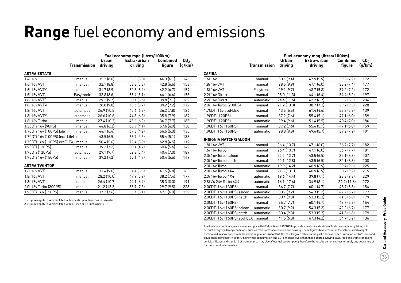## **Range** fuel economy and emissions

|                                 | Fuel economy mpg (litres/100km) |              |             |                 |                 |  |  |  |
|---------------------------------|---------------------------------|--------------|-------------|-----------------|-----------------|--|--|--|
|                                 |                                 | <b>Urban</b> | Extra-urban | <b>Combined</b> | CO <sub>2</sub> |  |  |  |
|                                 | <b>Transmission</b>             | driving      | driving     | figure          | (g/km)          |  |  |  |
| <b>ASTRA ESTATE</b>             |                                 |              |             |                 |                 |  |  |  |
| 1.4i 16v                        | manual                          | 35.3(8.0)    | 56.5(5.0)   | 46.3(6.1)       | 146             |  |  |  |
| 1.6i 16v VVT1                   | manual                          | 32.1(8.8)    | 53.3(5.3)   | 42.8(6.6)       | 158             |  |  |  |
| 1.6i 16v VVT <sup>2</sup>       | manual                          | 31.7(8.9)    | 52.3(5.4)   | 42.2(6.7)       | 159             |  |  |  |
| 1.6i 16v VVT                    | Easytronic                      | 32.8(8.6)    | 55.4(5.1)   | 44.1(6.4)       | 153             |  |  |  |
| 1.8i 16v VVT1                   | manual                          | 29.1(9.7)    | 50.4(5.6)   | 39.8(7.1)       | 169             |  |  |  |
| 1.8i 16v VVT <sup>2</sup>       | manual                          | 28.8 (9.8)   | 49.6 (5.7)  | 39.2(7.2)       | 172             |  |  |  |
| 1.8i 16v VVT1                   | automatic                       | 26.9(10.5)   | 45.6 (6.2)  | 36.2(7.8)       | 186             |  |  |  |
| 1.8i 16v VVT2                   | automatic                       | 26.6 (10.6)  | 44.8 (6.3)  | 35.8(7.9)       | 189             |  |  |  |
| 1.6i 16v Turbo                  | manual                          | 27.4 (10.3)  | 45.6 (6.2)  | 36.7(7.7)       | 185             |  |  |  |
| 1.3CDTi 16v (90PS)              | manual                          | 44.8(6.3)    | 68.9(4.1)   | 57.6 (4.9)      | 130             |  |  |  |
| 1.7CDTi 16v (100PS) Life        | manual                          | 44.1 (6.4)   | 67.3(4.2)   | 56.5(5.0)       | 135             |  |  |  |
| 1.7CDTi 16v (100PS) (exc. Life) | manual                          | 43.5(6.5)    | 65.7(4.3)   | 55.4(5.1)       | 138             |  |  |  |
| 1.7CDTi 16v (110PS) ecoFLEX     | manual                          | 50.4 (5.6)   | 72.4 (3.9)  | 62.8(4.5)       | 119             |  |  |  |
| 1.9CDTi (120PS)                 | manual                          | 39.2 (7.2)   | 60.1(4.7)   | 50.4(5.6)       | 149             |  |  |  |
| 1.9CDTi (120PS)                 | automatic                       | 29.1(9.7)    | 52.3(5.4)   | 40.4 (7.0)      | 189             |  |  |  |
| 1.9CDTi 16v (150PS)             | manual                          | 39.2(7.2)    | 60.1(4.7)   | 50.4(5.6)       | 149             |  |  |  |
| <b>ASTRA TWINTOP</b>            |                                 |              |             |                 |                 |  |  |  |
| 1.6i 16v VVT                    | manual                          | 31.4 (9.0)   | 51.4(5.5)   | 41.5(6.8)       | 163             |  |  |  |
| 1.8i 16v VVT                    | manual                          | 28.2 (10.0)  | 47.9 (5.9)  | 38.2 (7.4)      | 177             |  |  |  |
| 1.8i 16v VVT                    | automatic                       | 26.4 (10.7)  | 44.1(6.4)   | 35.3 (8.0)      | 191             |  |  |  |
| 2.0i 16y Turbo (200PS)          | manual                          | 21.2 (13.3)  | 38.7(7.3)   | 29.7(9.5)       | 228             |  |  |  |

1.9CDTi 16v (150PS) manual 37.2 (7.6) 55.4 (5.1) 47.1 (6.0) 159

1 = Figures apply to vehicles fitted with wheels up to 16 inches in diameter.

2 = Figures apply to vehicles fitted with 17-inch or 18-inch wheels.

|                              | Fuel economy mpg (litres/100km) |                  |                        |                    |                           |  |  |  |  |
|------------------------------|---------------------------------|------------------|------------------------|--------------------|---------------------------|--|--|--|--|
|                              | <b>Transmission</b>             | Urban<br>driving | Extra-urban<br>driving | Combined<br>figure | CO <sub>2</sub><br>(q/km) |  |  |  |  |
| <b>ZAFIRA</b>                |                                 |                  |                        |                    |                           |  |  |  |  |
| 1.6i 16v                     | manual                          | 30.1(9.4)        | 47.9(5.9)              | 39.2(7.2)          | 172                       |  |  |  |  |
| 1.8i 16v VVT                 | manual                          | 28.5(9.9)        | 47.1(6.0)              | 38.2(7.4)          | 177                       |  |  |  |  |
| 1.8i 16v VVT                 | Easytronic                      | 29.1(9.7)        | 48.7(5.8)              | 39.2(7.2)          | 172                       |  |  |  |  |
| 2.2i 16y Direct              | manual                          | 25.0(11.3)       | 44.1(6.4)              | 34.4(8.2)          | 197                       |  |  |  |  |
| 2.2i 16y Direct              | automatic                       | 24.4(11.6)       | 42.2(6.7)              | 33.2(8.5)          | 204                       |  |  |  |  |
| 2.0i 16v Turbo (200PS)       | manual                          | 21.2(13.3)       | 38.7(7.3)              | 29.7(9.5)          | 228                       |  |  |  |  |
| 1.7CDTi 16y ecoFLEX          | manual                          | 43.5(6.5)        | 61.4(4.6)              | 53.3(5.3)          | 139                       |  |  |  |  |
| 1.9CDTi (120PS)              | manual                          | 37.2(7.6)        | 55.4(5.1)              | 47.1(6.0)          | 159                       |  |  |  |  |
| 1.9CDTi (120PS)              | automatic                       | 29.4(9.6)        | 51.4(5.5)              | 40.4 (7.0)         | 186                       |  |  |  |  |
| 1.9CDTi 16v (150PS)          | manual                          | 37.2(7.6)        | 55.4(5.1)              | 47.1(6.0)          | 159                       |  |  |  |  |
| 1.9CDTi 16y (150PS)          | automatic                       | 28.8(9.8)        | 49.6(5.7)              | 39.2(7.2)          | 191                       |  |  |  |  |
| <b>INSIGNIA HATCH/SALOON</b> |                                 |                  |                        |                    |                           |  |  |  |  |
| 10116,107                    | manual                          | 26/107           | 1.71(6)                | 26 7 (7 7)         | 102                       |  |  |  |  |

| 1.8i 16v VVT                | manual    | 26.4(10.7)  | 47.1(6.0) | 36.7(7.7)  | 182 |
|-----------------------------|-----------|-------------|-----------|------------|-----|
| 1.6i 16v Turbo              | manual    | 26.4(10.7)  | 47.1(6.0) | 36.7(7.7)  | 181 |
| 2.0i 16v Turbo saloon       | manual    | 22.2(12.7)  | 43.5(6.5) | 32.1(8.8)  | 207 |
| 2.0i 16v Turbo hatch        | manual    | 22.1(12.8)  | 43.5(6.5) | 32.1(8.8)  | 208 |
| 2.0i 16v Turbo              | automatic | 19.9 (14.2) | 40.9(6.9) | 29.4(9.6)  | 225 |
| 2.0i 16y Turbo 4X4          | manual    | 21.6(13.1)  | 40.9(6.9) | 30.7(9.2)  | 215 |
| 2.0i 16v Turbo 4X4          | automatic | 19.6 (14.4) | 39.8(7.1) | 28.8(9.8)  | 229 |
| 2.8i V6 24v Turbo 4X4       | automatic | 16.1 (17.6) | 34.9(8.1) | 24.4(11.6) | 272 |
| 2.0CDTi 16v (130PS)         | manual    | 36.7(7.7)   | 60.1(4.7) | 48.7(5.8)  | 154 |
| 2.0CDTi 16v (130PS) saloon  | automatic | 30.7(9.2)   | 54.3(5.2) | 42.2(6.7)  | 177 |
| 2.0CDTi 16v (130PS) hatch   | automatic | 30.4(9.3)   | 53.3(5.3) | 41.5(6.8)  | 179 |
| 2.0CDTi 16v (160PS)         | manual    | 36.7(7.7)   | 60.1(4.7) | 48.7(5.8)  | 154 |
| 2.0CDTi 16v (160PS) saloon  | automatic | 30.7(9.2)   | 54.3(5.2) | 42.2(6.7)  | 177 |
| 2.0CDTi 16v (160PS) hatch   | automatic | 30.4(9.3)   | 53.3(5.3) | 41.5(6.8)  | 179 |
| 2.0CDTi 16v (160PS) ecoFLEX | manual    | 41.5(6.8)   | 67.3(4.2) | 54.7(5.2)  | 136 |

The fuel consumption figures shown comply with EC directive 1999/100 to provide a realistic indication of fuel consumption by taking into account everyday driving conditions, such as cold starts, acceleration and braking. These figures take account of the vehicle's kerbweight, ascertained in accordance with the above regulation. Important: the results given relate to the particular car tested. Variations in trim level and equipment may result in slightly higher fuel consumption and CO<sub>2</sub> emission levels than those quoted. Driving style, road and traffic conditions, vehicle mileage and standard of maintenance may also affect fuel consumption; therefore the results do not express or imply any guarantee of fuel consumption attainable.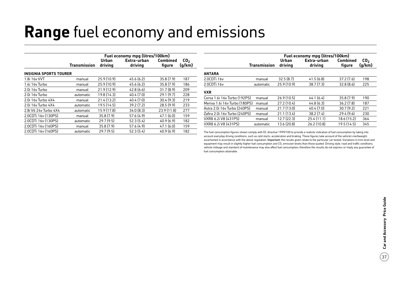## **Range** fuel economy and emissions

|                               | Fuel economy mpg (litres/100km) |                  |                        |                           |                           |  |
|-------------------------------|---------------------------------|------------------|------------------------|---------------------------|---------------------------|--|
|                               | <b>Transmission</b>             | Urban<br>driving | Extra-urban<br>driving | <b>Combined</b><br>figure | CO <sub>2</sub><br>(g/km) |  |
| <b>INSIGNIA SPORTS TOURER</b> |                                 |                  |                        |                           |                           |  |
| 1.8i 16v VVT                  | manual                          | 25.9(10.9)       | 45.6(6.2)              | 35.8(7.9)                 | 187                       |  |
| 1.6i 16y Turbo                | manual                          | 25.9(10.9)       | 45.6(6.2)              | 35.8(7.9)                 | 186                       |  |
| 2.0i 16y Turbo                | manual                          | 21.9(12.9)       | 42.8(6.6)              | 31.7(8.9)                 | 209                       |  |
| 2.0i 16y Turbo                | automatic                       | 19.8 (14.3)      | 40.4(7.0)              | 29.1(9.7)                 | 228                       |  |
| 2.0i 16y Turbo 4X4            | manual                          | 21.4 (13.2)      | 40.4 (7.0)             | 30.4(9.3)                 | 219                       |  |
| 2.0i 16y Turbo 4X4            | automatic                       | 19.5 (14.5)      | 39.2(7.2)              | 28.5(9.9)                 | 233                       |  |
| 2.8i V6 24y Turbo 4X4         | automatic                       | 15.9 (17.8)      | 34.0(8.3)              | 23.9(11.8)                | 277                       |  |
| 2.0CDTi 16y (130PS)           | manual                          | 35.8(7.9)        | 57.6(4.9)              | 47.1(6.0)                 | 159                       |  |
| 2.0CDTi 16v (130PS)           | automatic                       | 29.7(9.5)        | 52.3(5.4)              | 40.9(6.9)                 | 182                       |  |
| 2.0CDTi 16y (160PS)           | manual                          | 35.8(7.9)        | 57.6(4.9)              | 47.1(6.0)                 | 159                       |  |
| 2.0CDTi 16y (160PS)           | automatic                       | 29.7(9.5)        | 52.3(5.4)              | 40.9(6.9)                 | 182                       |  |

|                               | Fuel economy mpg (litres/100km) |                  |                        |                    |                           |  |
|-------------------------------|---------------------------------|------------------|------------------------|--------------------|---------------------------|--|
|                               | <b>Transmission</b>             | Urban<br>drivina | Extra-urban<br>driving | Combined<br>figure | CO <sub>2</sub><br>(g/km) |  |
| <b>ANTARA</b>                 |                                 |                  |                        |                    |                           |  |
| 2.0CDTi 16v                   | manual                          | 32.5(8.7)        | 41.5(6.8)              | 37.2(7.6)          | 198                       |  |
| 2.0CDTi 16v                   | automatic                       | 25.9(10.9)       | 38.7(7.3)              | 32.8(8.6)          | 225                       |  |
| <b>VXR</b>                    |                                 |                  |                        |                    |                           |  |
| Corsa 1.6i 16v Turbo (192PS)  | manual                          | 26.9(10.5)       | 44.1(6.4)              | 35.8(7.9)          | 190                       |  |
| Meriva 1.6i 16y Turbo (180PS) | manual                          | 27.2(10.4)       | 44.8(6.3)              | 36.2(7.8)          | 187                       |  |
| Astra 2.0i 16y Turbo (240PS)  | manual                          | 21.7(13.0)       | 40.4(7.0)              | 30.7(9.2)          | 221                       |  |
| Zafira 2.0i 16v Turbo (240PS) | manual                          | 21.1(13.4)       | 38.2(7.4)              | 29.4(9.6)          | 230                       |  |
| VXR8 6.2i V8 (431PS)          | manual                          | 12.7(22.3)       | 25.4(11.1)             | 18.6 (15.2)        | 364                       |  |
| VXR8 6.2i V8 (431PS)          | automatic                       | 13.6 (20.8)      | 26.2(10.8)             | 19.5(14.5)         | 345                       |  |

The fuel consumption figures shown comply with EC directive 1999/100 to provide a realistic indication of fuel consumption by taking into account everyday driving conditions, such as cold starts, acceleration and braking. These figures take account of the vehicle's kerbweight, ascertained in accordance with the above regulation. Important: the results given relate to the particular car tested. Variations in trim level and equipment may result in slightly higher fuel consumption and CO<sub>2</sub> emission levels than those quoted. Driving style, road and traffic conditions, vehicle mileage and standard of maintenance may also affect fuel consumption; therefore the results do not express or imply any guarantee of fuel consumption attainable.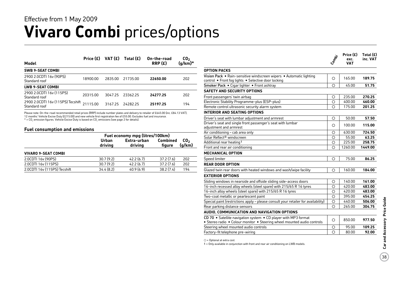### **Vivaro Combi** prices/options Effective from 1 May 2009

| Model                                              | Price $(E)$ | VAT (£) | Total $(E)$ | On-the-road<br>RRP(E) | CO <sub>2</sub><br>$(g/km)^*$ |
|----------------------------------------------------|-------------|---------|-------------|-----------------------|-------------------------------|
| <b>SWB 9-SEAT COMBI</b>                            |             |         |             |                       |                               |
| 2900 2.0CDTI 16y (90PS)<br>Standard roof           | 18900.00    | 2835.00 | 21735.00    | 22650.00              | 202                           |
| LWB 9-SEAT COMBI                                   |             |         |             |                       |                               |
| 2900 2.0CDTI 16y (115PS)<br>Standard roof          | 20315.00    | 3047.25 | 23362.25    | 24277.25              | 202                           |
| 2900 2.0CDTI 16v (115PS) Tecshift<br>Standard roof | 21115.00    | 3167.25 | 2428225     | 25197.25              | 194                           |

Please note: On-the-road recommended retail prices (RRP) include number plates and delivery to retailer of £645.00 (inc. £84.13 VAT), 12 months' Vehicle Excise Duty (£215.00) and new vehicle first registration fee of £55.00. Excludes fuel and insurance.

 $*$  = CO<sub>2</sub> emission figures. Vehicle Excise Duty is based on CO<sub>3</sub> emissions (see page 2 for details).

#### **Fuel consumption and emissions**

| Urban<br>driving | Extra-urban<br>driving | <b>Combined</b><br>figure | CO <sub>2</sub><br>(g/km)       |  |
|------------------|------------------------|---------------------------|---------------------------------|--|
|                  |                        |                           |                                 |  |
| 30.7(9.2)        | 42.2(6.7)              | 37.2(7.6)                 | 202                             |  |
| 30.7(9.2)        | 42.2(6.7)              | 37.2(7.6)                 | 202                             |  |
| 34.4(8.2)        | 40.9(6.9)              | 38.2(7.4)                 | 194                             |  |
|                  |                        |                           | Fuel economy mpg (litres/100km) |  |

|                                                                                                                                            | Compai     | Price $(E)$<br>exc.<br><b>VAT</b> | Total $(E)$<br>inc. VAT |
|--------------------------------------------------------------------------------------------------------------------------------------------|------------|-----------------------------------|-------------------------|
| <b>OPTION PACKS</b>                                                                                                                        |            |                                   |                         |
| Vision Pack • Rain-sensitive windscreen wipers • Automatic lighting<br>control . Front fog lights . Selective door locking                 | $\circ$    | 165.00                            | 189.75                  |
| Smoker Pack . Cigar lighter . Front ashtray                                                                                                | ◯          | 45.00                             | 51.75                   |
| <b>SAFETY AND SECURITY OPTIONS</b>                                                                                                         |            |                                   |                         |
| Front passengers' twin airbag                                                                                                              | О          | 235.00                            | 270.25                  |
| Electronic Stability Programme-plus (ESP-plus)                                                                                             | $\bigcirc$ | 400.00                            | 460.00                  |
| Remote control ultrasonic security alarm system                                                                                            | $\circ$    | 175.00                            | 201.25                  |
| <b>INTERIOR AND SEATING OPTIONS</b>                                                                                                        |            |                                   |                         |
| Driver's seat with lumbar adjustment and armrest                                                                                           | O          | 50.00                             | 57.50                   |
| Driver's seat and single front passenger's seat with lumbar<br>adiustment and armrest                                                      | Ω          | 100.00                            | 115.00                  |
| Air conditioning - cab area only                                                                                                           | О          | 630.00                            | 724.50                  |
| Solar Reflect <sup>®</sup> windscreen                                                                                                      | ◯          | 55.00                             | 63.25                   |
| Additional rear heating 1                                                                                                                  | О          | 225.00                            | 258.75                  |
| Front and rear air conditioning                                                                                                            | Ω          | 1260.00                           | 1449.00                 |
| <b>MECHANICAL OPTION</b>                                                                                                                   |            |                                   |                         |
| Speed limiter                                                                                                                              | O          | 75.00                             | 86.25                   |
| <b>REAR DOOR OPTION</b>                                                                                                                    |            |                                   |                         |
| Glazed twin rear doors with heated windows and wash/wipe facility                                                                          | Ο          | 160.00                            | 184.00                  |
| <b>EXTERIOR OPTIONS</b>                                                                                                                    |            |                                   |                         |
| Sliding windows in nearside and offside sliding side-access doors                                                                          | $\circ$    | 140.00                            | 161.00                  |
| 16-inch recessed alloy wheels (steel spare) with 215/65 R 16 tyres                                                                         | $\circ$    | 420.00                            | 483.00                  |
| 16-inch alloy wheels (steel spare) with 215/65 R 16 tyres                                                                                  | Ο          | 420.00                            | 483.00                  |
| Two-coat metallic or pearlescent paint                                                                                                     | Ο          | 395.00                            | 454.25                  |
| Special paint (restrictions apply - please consult your retailer for availability)                                                         | $\bigcirc$ | 440.00                            | 506.00                  |
| Rear parking distance sensors                                                                                                              | ◯          | 265.00                            | 304.75                  |
| AUDIO, COMMUNICATION AND NAVIGATION OPTIONS                                                                                                |            |                                   |                         |
| CD 70 • Satellite navigation system • CD player with MP3 format<br>• Stereo radio • Colour monitor • Steering wheel mounted audio controls | O          | 850.00                            | 977.50                  |
| Steering wheel mounted audio controls                                                                                                      | О          | 95.00                             | 109.25                  |
| Factory-fit telephone pre-wiring                                                                                                           | ∩          | 80.00                             | 92.00                   |
|                                                                                                                                            |            |                                   |                         |

 $O =$  Optional at extra cost.

1 = Only available in conjunction with front and rear air conditioning on LWB models.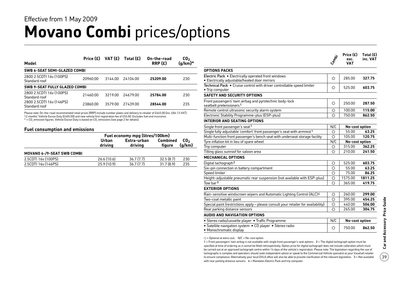### **Movano Combi** prices/options Effective from 1 May 2009

|                                              | Price $(E)$ | VAT (£) | Total $(E)$ | On-the-road | CO <sub>2</sub><br>$(g/km)^*$ |
|----------------------------------------------|-------------|---------|-------------|-------------|-------------------------------|
| Model                                        |             |         |             | RRP(E)      |                               |
| SWB 6-SEAT SEMI-GLAZED COMBI                 |             |         |             |             |                               |
| 2800 2.5CDTI 16y (100PS)<br>Standard roof    | 20960.00    | 3144 00 | 2410400     | 25209.00    | 230                           |
| SWB 9-SEAT FULLY GLAZED COMBI                |             |         |             |             |                               |
| 2800 2.5CDTI 16y (100PS)<br>Standard roof    | 21460.00    | 3219.00 | 24679.00    | 25784.00    | 230                           |
| 2800 2.5 CDTI 16 v (146 PS)<br>Standard roof | 23860.00    | 3579.00 | 27439.00    | 28544.00    | 235                           |

Please note: On-the-road recommended retail prices (RRP) include number plates and delivery to retailer of £645.00 (inc. £84.13 VAT), 12 months' Vehicle Excise Duty (£405.00) and new vehicle first registration fee of £55.00. Excludes fuel and insurance.

 $*$  = CO<sub>2</sub> emission figures. Vehicle Excise Duty is based on CO<sub>3</sub> emissions (see page 2 for details).

#### **Fuel consumption and emissions**

| Urban<br>driving | Extra-urban<br>driving | figure    | CO <sub>2</sub><br>(g/km)                          |  |
|------------------|------------------------|-----------|----------------------------------------------------|--|
|                  |                        |           |                                                    |  |
| 26.6(10.6)       | 36.7(7.7)              | 32.5(8.7) | 230                                                |  |
| 25.9(10.9)       | 36.7(7.7)              | 31.7(8.9) | 235                                                |  |
|                  |                        |           | Fuel economy mpg (litres/100km)<br><b>Combined</b> |  |

|                                                                                                                                                                                                                                                                                                                                                             | Compi   | Price $(E)$<br>exc.<br>VAT | Total $(E)$<br>inc. VAT |
|-------------------------------------------------------------------------------------------------------------------------------------------------------------------------------------------------------------------------------------------------------------------------------------------------------------------------------------------------------------|---------|----------------------------|-------------------------|
| <b>OPTIONS PACKS</b>                                                                                                                                                                                                                                                                                                                                        |         |                            |                         |
| Electric Pack . Electrically operated front windows                                                                                                                                                                                                                                                                                                         | Ο       | 285.00                     | 327.75                  |
| • Electrically adjustable/heated door mirrors                                                                                                                                                                                                                                                                                                               |         |                            |                         |
| Technical Pack . Cruise control with driver controllable speed limiter<br>• Trip computer                                                                                                                                                                                                                                                                   | Ο       | 525.00                     | 603.75                  |
| <b>SAFETY AND SECURITY OPTIONS</b>                                                                                                                                                                                                                                                                                                                          |         |                            |                         |
| Front passengers' twin airbag and pyrotechnic body-lock<br>seatbelt pretensioners <sup>1</sup>                                                                                                                                                                                                                                                              | О       | 250.00                     | 287.50                  |
| Remote control ultrasonic security alarm system                                                                                                                                                                                                                                                                                                             | О       | 100.00                     | 115.00                  |
| Electronic Stability Programme-plus (ESP-plus)                                                                                                                                                                                                                                                                                                              | Ω       | 750.00                     | 862.50                  |
| <b>INTERIOR AND SEATING OPTIONS</b>                                                                                                                                                                                                                                                                                                                         |         |                            |                         |
| Single front passenger's seat 1                                                                                                                                                                                                                                                                                                                             | N/C     | No-cost option             |                         |
| Single fully adjustable 'comfort' front passenger's seat with armrest <sup>1</sup>                                                                                                                                                                                                                                                                          | О       | 55.00                      | 63.25                   |
| Multi-function front passenger's bench seat with underseat storage facility                                                                                                                                                                                                                                                                                 | О       | 105.00                     | 120.75                  |
| Tyre inflation kit in lieu of spare wheel                                                                                                                                                                                                                                                                                                                   | N/C     | No-cost option             |                         |
| Trip computer                                                                                                                                                                                                                                                                                                                                               | О       | 315.00                     | 362.25                  |
| Tilting glass sunroof for saloon area                                                                                                                                                                                                                                                                                                                       | O       | 210.00                     | 241.50                  |
| <b>MECHANICAL OPTIONS</b>                                                                                                                                                                                                                                                                                                                                   |         |                            |                         |
| Digital tachograph <sup>2</sup>                                                                                                                                                                                                                                                                                                                             | О       | 525.00                     | 603.75                  |
| Six-pin connection in battery compartment                                                                                                                                                                                                                                                                                                                   | O       | 55.00                      | 63.25                   |
| Speed limiter                                                                                                                                                                                                                                                                                                                                               | Ω       | 75.00                      | 86.25                   |
| Height-adjustable pneumatic rear suspension (not available with ESP-plus)                                                                                                                                                                                                                                                                                   | $\circ$ | 1575.00                    | 1811.25                 |
| Tow bar <sup>3</sup>                                                                                                                                                                                                                                                                                                                                        | Ω       | 365.00                     | 419.75                  |
| <b>EXTERIOR OPTIONS</b>                                                                                                                                                                                                                                                                                                                                     |         |                            |                         |
| Rain-sensitive windscreen wipers and Automatic Lighting Control (ALC) <sup>4</sup>                                                                                                                                                                                                                                                                          | О       | 260.00                     | 299.00                  |
| Two-coat metallic paint                                                                                                                                                                                                                                                                                                                                     | О       | 395.00                     | 454.25                  |
| Special paint (restrictions apply - please consult your retailer for availability)                                                                                                                                                                                                                                                                          | O       | 440.00                     | 506.00                  |
| Rear parking distance sensors                                                                                                                                                                                                                                                                                                                               | Ο       | 265.00                     | 304.75                  |
| <b>AUDIO AND NAVIGATION OPTIONS</b>                                                                                                                                                                                                                                                                                                                         |         |                            |                         |
| • Stereo radio/cassette player • Traffic Programme                                                                                                                                                                                                                                                                                                          | N/C     | No-cost option             |                         |
| • Satellite navigation system • CD player • Stereo radio<br>• Monochromatic display                                                                                                                                                                                                                                                                         | О       | 750.00                     | 862.50                  |
| $\bigcirc$ = Optional at extra cost. N/C = No-cost option.<br>1 = Front passengers' twin airbag is not available with single front passenger's seat options. 2 = The digital tachograph option must be<br>specified at time of ordering as it cannot be fitted retrospectively. Option price for digital tachograph does not include calibration which must |         |                            |                         |

specified at time of ordering as it cannot be fitted retrospectively. Option price for digital tachograph does not include calibration which must be carried out at an approved tachograph centre within 14 days of the vehicle's registration. Please note: The legislation regarding the use of tachographs is complex and operators should seek independent advice or speak to the Commercial Vehicle specialist at your Vauxhall retailer to ensure compliance. Alternatively your local DVLA office will also be able to provide clarification of the relevant legislation. 3 = Not available with rear parking distance sensors.  $4$  = Mandates Electric Pack and trip computer.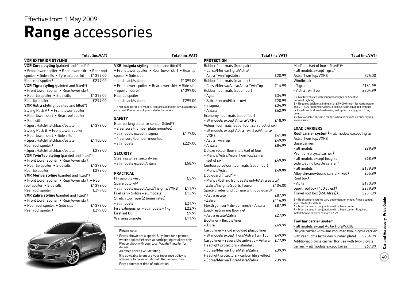## **Range** accessories

|                                                      | Total (inc.VAT) |                                 |
|------------------------------------------------------|-----------------|---------------------------------|
| <b>VXR EXTERIOR STYLING</b>                          |                 |                                 |
| VXR Corsa styling (painted and fitted*)1             |                 | <b>VXR Insignia</b>             |
| • Front lower spoiler • Rear lower skirt • Rear roof |                 | · Front lower                   |
| spoiler . Side sills . Tyre inflation kit            | £1399.00        | spoiler · Sid                   |
| Rear roof spoiler <sup>1</sup>                       | £299.00         | - hatchback/s                   |
| <b>VXR Tigra styling</b> (painted and fitted*)       |                 | • Front lower                   |
| • Front lower spoiler • Rear lower skirt             |                 | - Sports Tou                    |
| · Rear lip spoiler · Side sills                      | £1399.00        | Rear lip spoil                  |
| Rear lip spoiler                                     | £299.00         | - hatchback/s                   |
| VXR Astra styling (painted and fitted*)              |                 | $1 = Not suitable f$            |
| Styling Pack A <sup>1</sup> . Front lower spoiler    |                 | extra cost. Please              |
| • Rear lower skirt • Rear roof spoiler               |                 |                                 |
| • Side sills                                         |                 | <b>SAFETY</b>                   |
| - Sport Hatch/hatchback/estate                       | £1399.00        | Rear parking                    |
| Styling Pack B . Front lower spoiler                 |                 | – 2 sensors (                   |
| • Rear lower skirt • Side sills                      |                 | - all models                    |
| - Sport Hatch/hatchback/estate                       | £1150.00        | – 4 sensors (                   |
| Rear roof spoiler <sup>1</sup>                       |                 | - all models                    |
| - Sport Hatch/hatchback/estate                       | £299.00         |                                 |
| <b>VXR TwinTop styling</b> (painted and fitted*)     |                 | <b>SECURITY</b>                 |
| • Front lower spoiler • Rear lower skirt             |                 | Steering whe                    |
| • Rear lip spoiler • Side sills                      | £1399.00        | - all models                    |
| Rear lip spoiler                                     | £299.00         |                                 |
| <b>VXR Meriva styling</b> (painted and fitted*)      |                 | <b>PRACTICAL</b>                |
| • Front lower spoiler • Rear lower skirt • Rear      |                 | Hi-visibility v                 |
| roof spoiler . Side sills                            | £1399.00        | Spare bulb ki                   |
| Rear roof spoiler                                    | £299.00         | - all models                    |
| VXR Zafira styling (painted and fitted*)1            |                 | Fuel can - 5-                   |
| • Front lower spoiler • Rear lower skirt             |                 | Stretch tow r                   |
| • Rear roof spoiler • Side sills                     | £1399.00        | – all models                    |
| Rear roof spoiler <sup>1</sup>                       | £299.00         | Fire extinguis<br>First aid lit |
|                                                      |                 |                                 |



|                                                                                                                                 | . vuonnen kunnan kuten ku |
|---------------------------------------------------------------------------------------------------------------------------------|---------------------------|
|                                                                                                                                 |                           |
| VXR Insignia styling (painted and fitted*)                                                                                      |                           |
| • Front lower spoiler • Rear lower skirt • Rear lip                                                                             |                           |
| spoiler · Side sills                                                                                                            |                           |
| - hatchback/saloon                                                                                                              | £1399.00                  |
| • Front lower spoiler • Rear lower skirt • Side sills                                                                           |                           |
| - Sports Tourer                                                                                                                 | £1399.00                  |
| Rear lip spoiler                                                                                                                |                           |
| - hatchback/saloon                                                                                                              | £299.00                   |
| 1 = Not suitable for SRi models. Requires additional aerial adaptor at<br>extra cost. Please consult your retailer for details. |                           |
| <b>SAFETY</b>                                                                                                                   |                           |
| Rear parking distance sensor (fitted*)                                                                                          |                           |
| – 2 sensors (number plate mounted)                                                                                              |                           |
| – all models except Insignia                                                                                                    | £179.00                   |
| -4 sensors (bumper mounted)                                                                                                     |                           |
| - all models                                                                                                                    | £229.00                   |
|                                                                                                                                 |                           |
| <b>SECURITY</b>                                                                                                                 |                           |
| Steering wheel security bar                                                                                                     |                           |
| - all models except Antara                                                                                                      | £58.99                    |
|                                                                                                                                 |                           |
| <b>PRACTICAL</b>                                                                                                                |                           |
| Hi-visibility vest                                                                                                              | £5.99                     |
| Spare bulb kit <sup>2</sup>                                                                                                     |                           |
| – all models except Agila/Insignia/VXR8                                                                                         | £11.99                    |
| Fuel can - 5-litre - all models                                                                                                 | £13.99                    |
| Stretch tow rope (2 tonne rated)                                                                                                |                           |
| - all models                                                                                                                    | £21.99                    |
| Fire extinguisher - all models - 1 kg                                                                                           | £22.99                    |
| First aid kit                                                                                                                   | £9.99                     |
| Warning triangle                                                                                                                | £11.99                    |
|                                                                                                                                 |                           |

#### Please note:

It is advisable to ensure your insurance policy is adequate to cover additional fitted accessories. Prices correct at time of publication.

| Total (inc.VAT)  | Total (inc.VAT)                                                                                |                                                    | Total (inc.VAT) |                                                                                                                                                   | Total (inc.VAT)    |
|------------------|------------------------------------------------------------------------------------------------|----------------------------------------------------|-----------------|---------------------------------------------------------------------------------------------------------------------------------------------------|--------------------|
|                  |                                                                                                | <b>PROTECTION</b>                                  |                 |                                                                                                                                                   |                    |
| $ed*$ )1         | VXR Insignia styling (painted and fitted*)                                                     | Rubber floor mats (front pair)                     |                 | Mudflaps (set of four - fitted*) <sup>4</sup>                                                                                                     |                    |
| kirt • Rear roof | • Front lower spoiler • Rear lower skirt • Rear lip                                            | - Corsa/Meriva/Tigra/Astra/                        |                 | - all models except Tigra/                                                                                                                        |                    |
| £1399.00<br>it   | spoiler • Side sills                                                                           | Astra TwinTop/Zafira                               | £20.99          | Astra TwinTop/VXR8                                                                                                                                | £75.00             |
| £299.00          | - hatchback/saloon<br>£1399.00                                                                 | Rubber floor mats (rear pair)                      |                 | Windbreak                                                                                                                                         |                    |
| $\overline{d^*}$ | • Front lower spoiler • Rear lower skirt • Side sills                                          | - Corsa/Meriva/Astra/Astra TwinTop                 | £14.99          | - Tigra                                                                                                                                           | £161.99            |
| skirt            | - Sports Tourer<br>£1399.00                                                                    | Rubber floor mats (set of four)                    |                 | - Astra TwinTop                                                                                                                                   | £204.99            |
| £1399.00         | Rear lip spoiler                                                                               | - Agila                                            | £34.99          | 2 = Not for vehicles with xenon headlights or Adaptive                                                                                            |                    |
| £299.00          | - hatchback/saloon<br>£299.00                                                                  | - Zafira (second/third row)                        | £20.99          | Forward Lighting.                                                                                                                                 |                    |
| d*)              | 1 = Not suitable for SRi models. Requires additional aerial adaptor at                         | - Insignia                                         | £34.99          | 3 = Requires additional fitting kit at £99.00 (fitted*) for Astra estate<br>and £117.00 (fitted*) for Zafira, if vehicle is not equipped with the |                    |
| er               | extra cost. Please consult your retailer for details.                                          | – Antara                                           | £62.99          | factory-fit vertical load restraining net option or dog guard fixing                                                                              |                    |
| er               | <b>SAFETY</b>                                                                                  | Economy floor mats (set of four)                   |                 | points.<br>4 = Not available on some models when fitted with exterior styling                                                                     |                    |
|                  |                                                                                                | - all models except Antara/VXR8                    | £18.99          | accessories.                                                                                                                                      |                    |
| £1399.00         | Rear parking distance sensor (fitted*)                                                         | Velour floor mats (set of four, Zafira set of six) |                 |                                                                                                                                                   |                    |
|                  | - 2 sensors (number plate mounted)                                                             | - all models except Astra TwinTop/Antara/          |                 | <b>LOAD CARRIERS</b>                                                                                                                              |                    |
|                  | - all models except Insignia<br>£179.00                                                        | VXR8                                               | £41.99          | Roof carrier system <sup>5</sup> - all models except Tigra/                                                                                       |                    |
| £1150.00         | -4 sensors (bumper mounted)                                                                    | - Astra TwinTop                                    | £49.99          | Astra TwinTop/VXR8                                                                                                                                |                    |
|                  | £229.00<br>– all models                                                                        | – Antara                                           | £84.99          | Base carrier                                                                                                                                      |                    |
| £299.00          |                                                                                                | Deluxe velour floor mats (set of four)             |                 | - all models                                                                                                                                      | £99.99             |
| fitted*)         | <b>SECURITY</b>                                                                                | - Meriva/Astra/Astra TwinTop/Zafira                |                 | Premium bicycle carrier <sup>6</sup>                                                                                                              |                    |
| skirt            | Steering wheel security bar                                                                    | (set of six)                                       | £49.99          | - all models except Insignia                                                                                                                      | £68.99             |
| £1399.00         | - all models except Antara<br>£58.99                                                           | Contoured velour floor mats (set of four)          |                 | Side loading bicycle carrier7                                                                                                                     |                    |
| £299.00          | <b>PRACTICAL</b>                                                                               | - Meriva/Astra                                     | £49.99          | - all models                                                                                                                                      | £179.99            |
| ted*)            |                                                                                                | Dog guard (fitted*) 3                              |                 | Alloy ski/snowboard carrier-fixed <sup>6</sup><br>Roof box <sup>6</sup>                                                                           | £55.99             |
| skirt • Rear     | £5.99<br>Hi-visibility vest                                                                    | - Meriva (behind front seats only)/Astra estate/   |                 |                                                                                                                                                   |                    |
| £1399.00         | Spare bulb kit <sup>2</sup>                                                                    | Zafira/Insignia Sports Tourer                      | £104.00         | - Agila                                                                                                                                           | £170.99            |
| £299.00          | - all models except Agila/Insignia/VXR8<br>£11.99<br>Fuel can - 5-litre - all models<br>£13.99 | Space divider grid (for use with dog guard)        |                 | Sport roof box (450 litres) <sup>6</sup><br>Travel roof box (450 litres) <sup>6</sup>                                                             | £279.99<br>£251.99 |
| $ed^*$ ) 1       |                                                                                                | - Astra estate                                     | £87.99          |                                                                                                                                                   |                    |
| skirt            | Stretch tow rope (2 tonne rated)                                                               | – Zafira                                           | £116.99         | 5 = Roof carrier systems vary dependent on model. Please consult<br>your retailer for details.                                                    |                    |
| £1399.00         | £21.99<br>– all models<br>£22.99                                                               | FlexOrganiser® divider mesh - Antara               | £87.99          | 6 = Must be used in conjunction with a base carrier.                                                                                              |                    |
| £299.00          | Fire extinguisher - all models - 1kg<br>£9.99<br>First aid kit                                 | Load-restraining floor net                         |                 | 7 = Must be used in conjunction with a base carrier. Requires<br>installation kit at extra cost of £17.99.                                        |                    |
|                  | £11.99                                                                                         | - Astra estate/Zafira                              | £27.99          |                                                                                                                                                   |                    |
|                  | Warning triangle                                                                               | Bootliner - flexible liner                         |                 | Tow bar carrier system                                                                                                                            |                    |
|                  |                                                                                                | – Tigra                                            | £49.99          | - all models except Agila/Tigra/VXR8                                                                                                              |                    |
|                  | Please note:                                                                                   | Cargo liner - rigid moulded plastic liner          |                 | Bicycle carrier - tow bar mounted two-bicycle carrier                                                                                             |                    |
|                  | * Prices shown are a special fully fitted (and painted,                                        | - all models except Tigra/Astra TwinTop            | £49.99          | with rear lights (excludes number plate)                                                                                                          | £254.99            |
|                  | where applicable) price at participating retailers only.                                       | Cargo liner - reversible anti-slip - Antara        | £77.99          | Additional bicycle carrier (for use with two-bicycle                                                                                              |                    |
|                  | Please check with your local Vauxhall retailer for<br>details.                                 | Headlight protectors - standard                    |                 | carrier) - all models except Corsa                                                                                                                | £67.99             |
|                  | All other prices exclude fitting.                                                              | - Corsa/Meriva/Tigra/Astra/Zafira                  | £39.99          |                                                                                                                                                   |                    |
|                  | It is advisable to ensure your insurance policy is                                             | Headlight protectors - carbon fibre-effect         |                 |                                                                                                                                                   |                    |
|                  | adequate to cover additional fitted accessories.                                               | - Corsa/Meriva/Tigra/Astra/Zafira                  | £39.99          |                                                                                                                                                   |                    |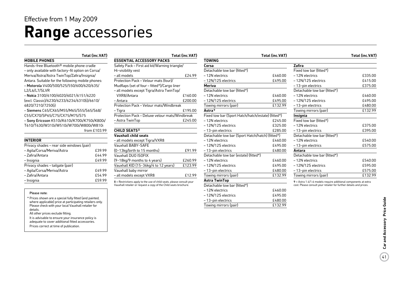## **Range** accessories

|                                                       | Total (inc.VAT) |                                                                       | Total (inc.VAT) |                                                    | Total (inc.VAT) |                                                                    | Total (inc.VAT) |
|-------------------------------------------------------|-----------------|-----------------------------------------------------------------------|-----------------|----------------------------------------------------|-----------------|--------------------------------------------------------------------|-----------------|
| <b>MOBILE PHONES</b>                                  |                 | <b>ESSENTIAL ACCESSORY PACKS</b>                                      |                 | <b>TOWING</b>                                      |                 |                                                                    |                 |
| Hands-free Bluetooth <sup>®</sup> mobile phone cradle |                 | Safety Pack - First aid kit/Warning triangle/                         |                 | Corsa                                              |                 | <b>Zafira</b>                                                      |                 |
| - only available with factory-fit option on Corsa/    |                 | Hi-visibility vest                                                    |                 | Detachable tow bar (fitted*)                       |                 | Fixed tow bar (fitted*)                                            |                 |
| Meriva/Astra/Astra TwinTop/Zafira/Insignia/           |                 | - all models                                                          | £24.99          | -12N electrics                                     | £460.00         | -12N electrics                                                     | £335.00         |
| Antara. Suitable for the following mobile phones:     |                 | Protection Pack - Velour mats (four)/                                 |                 | -12N/12S electrics                                 | £495.00         | -12N/12S electrics                                                 | £415.00         |
| - Motorola V400/500/525/550/600/620/635/              |                 | Mudflaps (set of four - fitted*)/Cargo liner                          |                 | <b>Meriva</b>                                      |                 | -13-pin electrics                                                  | £375.00         |
| L2/L6/L7/SLVR                                         |                 | - all models except Tigra/Astra TwinTop/                              |                 | Detachable tow bar (fitted*)                       |                 | Detachable tow bar (fitted*)                                       |                 |
| - Nokia 3100/6100/6020/6021/6151/6220                 |                 | VXR8/Antara                                                           | £160.00         | -12N electrics                                     | £460.00         | -12N electrics                                                     | £460.00         |
| (excl. Classic)/6230/6233/6234/6310(i)/6610/          |                 | - Antara                                                              | £200.00         | -12N/12S electrics                                 | £495.00         | -12N/12S electrics                                                 | £495.00         |
| 6820/7210/7250(i)                                     |                 | Protection Pack - Velour mats/Windbreak                               |                 | Towing mirrors (pair)                              | £132.99         | -13-pin electrics                                                  | £480.00         |
| - Siemens C65/CX65/M55/M65/S55/S65/S68/               |                 | - Tigra                                                               | £195.00         | Astra <sup>9</sup>                                 |                 | Towing mirrors (pair)                                              | £132.99         |
| C55/CX70/SP65/C75/CX75/M75/S75                        |                 | Protection Pack - Deluxe velour mats/Windbreak                        |                 | Fixed tow bar (Sport Hatch/hatch/estate) (fitted*) |                 | <b>Insignia</b>                                                    |                 |
| - Sony Ericsson K510i/K610i/K700i/K750i/K800i/        |                 | - Astra TwinTop                                                       | £245.00         | -12N electrics                                     | £245.00         | Fixed tow bar (fitted*)                                            |                 |
| T610/T630/W310i/W510i/W700i/W800i/W810i               |                 |                                                                       |                 | -12N/12S electrics                                 | £325.00         | -12N electrics                                                     | £375.00         |
|                                                       | from £103.99    | <b>CHILD SEATS8</b>                                                   |                 | -13-pin electrics                                  | £285.00         | - 13-pin electrics                                                 | £395.00         |
|                                                       |                 | <b>Vauxhall child seats</b>                                           |                 | Detachable tow bar (Sport Hatch/hatch) (fitted*)   |                 | Detachable tow bar (fitted*)                                       |                 |
| <b>INTERIOR</b>                                       |                 | - all models except Tigra/VXR8                                        |                 | -12N electrics                                     | £460.00         | -12N electrics                                                     | £540.00         |
| Privacy shades - rear side windows (pair)             |                 | Vauxhall BABY-SAFE                                                    |                 | -12N/12S electrics                                 | £495.00         | -13-pin electrics                                                  | £575.00         |
| - Agila/Corsa/Meriva/Astra                            | £39.99          | (0-13kg/birth to 15 months)                                           | £91.99          | -13-pin electrics                                  | £480.00         | Antara                                                             |                 |
| - Zafira/Antara                                       | £44.99          | Vauxhall DUO ISOFIX                                                   |                 | Detachable tow bar (estate) (fitted*)              |                 | Detachable tow bar (fitted*)                                       |                 |
| – Insignia                                            | £49.99          | $(9-18$ kg/9 months to 4 years)                                       | £260.99         | -12N electrics                                     | £460.00         | -12N electrics                                                     | £540.00         |
| Privacy shades - tailgate (pair)                      |                 | Vauxhall KID (15-36kg/4 to 12 years)                                  | £123.99         | -12N/12S electrics                                 | £495.00         | -12N/12S electrics                                                 | £595.00         |
| - Agila/Corsa/Meriva/Astra                            | £49.99          | Vauxhall baby mirror                                                  |                 | -13-pin electrics                                  | £480.00         | -13-pin electrics                                                  | £575.00         |
| - Zafira/Antara                                       | £54.99          | - all models except VXR8                                              | £12.99          | Towing mirrors (pair)                              | £132.99         | Towing mirrors (pair)                                              | £132.99         |
| – Insignia                                            | £59.99          | 8 = Restrictions apply to the use of child seats, please consult your |                 | <b>Astra TwinTop</b>                               |                 | $9$ = Astra 1.4/1.6 models require additional components at extra  |                 |
|                                                       |                 | Vauxhall retailer or request a copy of the Child seats brochure.      |                 | Detachable tow bar (fitted*)                       |                 | cost. Please consult your retailer for further details and prices. |                 |
|                                                       |                 |                                                                       |                 | -12N electrics                                     | £460.00         |                                                                    |                 |

– 12N/12S electrics £495.00 – 13-pin electrics £480.00 Towing mirrors (pair) E132.99

#### Please note:

\* Prices shown are a special fully fitted (and painted, where applicable) price at participating retailers only. Please check with your local Vauxhall retailer for details. All other prices exclude fitting. It is advisable to ensure your insurance policy is

adequate to cover additional fitted accessories. Prices correct at time of publication.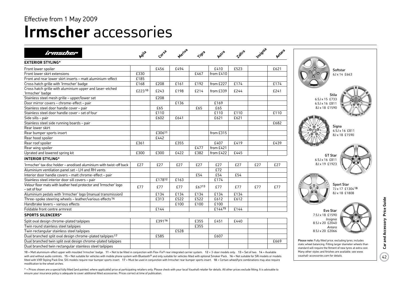## **Irmscher** accessories

| irmscher                                                                           | Agila  | Corsa  |      |       | Astra     | Zaira | Insignia | Antara |                                                                                                                   |
|------------------------------------------------------------------------------------|--------|--------|------|-------|-----------|-------|----------|--------|-------------------------------------------------------------------------------------------------------------------|
| <b>EXTERIOR STYLING*</b>                                                           |        |        |      |       |           |       |          |        |                                                                                                                   |
| Front lower spoiler                                                                |        | £456   | £494 |       | £410      | £523  |          | £621   | Softstar                                                                                                          |
| Front lower skirt extensions                                                       | £330   |        |      | £467  | from £410 |       |          |        | 6J x 14 £663                                                                                                      |
| Front and rear lower skirt inserts - matt aluminium-effect                         | £185   |        |      |       |           |       |          |        |                                                                                                                   |
| Cross hatch grille with 'Irmscher' badge                                           | £168   | £208   | £161 | £192  | from £227 | £174  |          | £174   |                                                                                                                   |
| Cross hatch grille with aluminium upper and laser-etched<br>'Irmscher' badge       | £22310 | £243   | £198 | £214  | from £339 | £244  |          | £241   | Stila                                                                                                             |
| Stainless steel mesh grille - upper/lower set                                      |        | £208   |      |       |           |       |          |        | 6.5J $\times$ 15 £733                                                                                             |
| Door mirror covers - chrome-effect - pair                                          |        |        | £136 |       | £169      |       |          |        | 6.5J x 16 £811                                                                                                    |
| Stainless steel door handle cover - pair                                           |        | £65    |      | £65   | £65       |       |          |        | 8J x 18 £1590                                                                                                     |
| Stainless steel door handle cover - set of four                                    |        | £110   |      |       | £110      | £110  |          | £110   |                                                                                                                   |
| Side sills - pair                                                                  |        | £602   | £641 |       | £621      | £621  |          |        |                                                                                                                   |
| Stainless steel side running boards - pair                                         |        |        |      |       |           |       |          | £682   |                                                                                                                   |
| Rear lower skirt                                                                   |        |        |      |       |           |       |          |        | Signa                                                                                                             |
| Rear bumper sports insert                                                          |        | £30611 |      |       | from £315 |       |          |        | 6.5J x 16 £811<br>8J x 18 £1590                                                                                   |
| Rear hood spoiler                                                                  |        | £442   |      |       |           |       |          |        |                                                                                                                   |
| Rear roof spoiler                                                                  | £361   |        | £355 |       | £407      | £419  |          | £439   |                                                                                                                   |
| Rear wing spoiler                                                                  |        |        |      | £477  | from £421 |       |          |        |                                                                                                                   |
| Uprated and lowered spring kit                                                     | £300   | £300   | £422 | £382  | from £422 | £445  |          |        |                                                                                                                   |
| <b>INTERIOR STYLING*</b>                                                           |        |        |      |       |           |       |          |        | <b>GT Star</b><br>6.5J x 16 £811                                                                                  |
| 'Irmscher' tax disc holder – anodised aluminium with twist-off back                | £27    | £27    | £27  | £27   | £27       | £27   | £27      | £27    | 8J x 19 £1923                                                                                                     |
| Aluminium ventilation panel set - LH and RH vents                                  |        |        |      |       | £72       |       |          |        |                                                                                                                   |
| Interior door handle covers - matt chrome-effect - pair                            |        |        |      | £54   | £54       | £54   |          |        |                                                                                                                   |
| Stainless steel interior door sill covers - pair                                   |        | £17812 | £163 |       | £174      |       |          |        |                                                                                                                   |
| Velour floor mats with leather heel protector and 'Irmscher' logo<br>- set of four | £77    | £77    | £77  | £6713 | £77       | £77   | £77      | £77    | <b>Sport Star</b><br>7J x 17 £1304 <sup>18</sup>                                                                  |
| Aluminium pedals with 'Irmscher' logo (manual transmission)                        |        | £134   | £134 | £134  | £134      | £134  |          |        | 8J x 18 £1808                                                                                                     |
| Three-spoke steering wheels - leather/various effects <sup>14</sup>                |        | £313   | £522 | £522  | £612      | £612  |          |        |                                                                                                                   |
| Handbrake levers - various effects                                                 |        |        | £100 | £100  | £100      |       |          |        |                                                                                                                   |
| Foldable front centre armrest                                                      |        | £144   |      |       | £14415    | £144  |          |        | Evo Star                                                                                                          |
| <b>SPORTS SILENCERS*</b>                                                           |        |        |      |       |           |       |          |        | 7.5J x 18 £1590                                                                                                   |
| Split oval design chrome-plated tailpipes                                          |        | £39116 |      | £355  | £451      | £440  |          |        | Insignia<br>8.5J x 20 £2040                                                                                       |
| Twin round stainless steel tailpipes                                               |        |        |      | £355  |           |       |          |        | Antara                                                                                                            |
| Twin rectangular stainless steel tailpipes                                         |        |        | £528 |       |           |       |          |        | 8.5J x 20 £2066                                                                                                   |
| Dual branched split oval design chrome-plated tailpipes 17                         |        | £585   |      |       | £607      |       |          |        |                                                                                                                   |
| Dual branched twin split oval design chrome-plated tailpipes                       |        |        |      |       |           |       |          | £669   | Please note: Fully fitted price, excluding tyres, include                                                         |
| Dual branched twin rectangular stainless steel tailpipes                           |        |        |      |       |           |       |          |        | static wheel balancing. Fitting larger diameter wheels<br>standard will require the fitment of new tyres at extra |

10 = Matt aluminium-effect upper with moulded 'Irmscher' badge. 11 = Not to be fitted in conjunction with Flex-Fix® rear integrated carrier system. 12 = 3-door models only. 13 = Set of two. 14 = Available with and without audio controls. 15 = Not suitable for vehicles with mobile phone system with Bluetooth® and only suitable for vehicles fitted with optional Smoker Pack. 16 = Not suitable for SRi models or models fitted with VXR Styling Pack One. SXi models require rear bumper sports insert. 17 = Must be used in conjunction with Irmscher rear bumper sports insert. 18 = Certain wheel/tyre combinations may also require modification to the wheel arches.

\* = Prices shown are a special fully fitted (and painted, where applicable) price at participating retailers only. Please check with your local Vauxhall retailer for details. All other prices exclude fitting. It is advisab ensure your insurance policy is adequate to cover additional fitted accessories. Prices correct at time of publication.

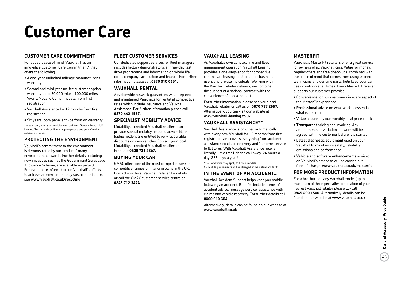# **Customer Care**

#### **Customer Care Commitment**

For added peace of mind, Vauxhall has an innovative Customer Care Commitment\* that offers the following:

- A one-year unlimited mileage manufacturer's warranty
- Second and third year no-fee customer option warranty up to 60,000 miles (100,000 miles Vivaro/Movano Combi models) from first registration
- Vauxhall Assistance for 12 months from first registration
- Six years' body panel anti-perforation warranty
- \* = Warranty is only on vehicles sourced from General Motors UK Limited. Terms and conditions apply – please see your Vauxhall retailer for details.

#### **Protecting the environment**

Vauxhall's commitment to the environment is demonstrated by our products' many environmental awards. Further details, including new initiatives such as the Governmant Scrappage Allowance Scheme, are available on page 3. For even more information on Vauxhall's efforts to achieve an environmentally sustainable future, see www.vauxhall.co.uk/recycling

#### **Fleet Customer Services**

Our dedicated support services for fleet managers includes factory demonstrators, a three-day test drive programme and information on whole life costs, company car taxation and finance. For further information please call **0870 010 0651.**

#### **Vauxhall Rental**

A nationwide network guarantees well prepared and maintained Vauxhalls for rental at competitive rates which include insurance and Vauxhall Assistance. For further information please call **0870 442 1567.**

#### **Specialist Mobility advice**

Motability accredited Vauxhall retailers can provide special mobility help and advice. Blue badge holders are entitled to very favourable discounts on new vehicles. Contact your local Motability accredited Vauxhall retailer or Freefone **0800 731 5267.**

#### **Buying your car**

GMAC offers one of the most comprehensive and competitive ranges of financing plans in the UK. Contact your local Vauxhall retailer for details or call the GMAC customer service centre on **0845 712 3444**.

#### **Vauxhall Leasing**

As Vauxhall's own contract hire and fleet management operation, Vauxhall Leasing provides a one-stop-shop for competitive car and van leasing solutions – for business users and private individuals. Working with the Vauxhall retailer network, we combine the support of a national contract with the convenience of a local contact.

For further information, please see your local Vauxhall retailer or call us on **0870 737 2557.** Alternatively, you can visit our website at www.vauxhall-leasing.co.uk

### **Vauxhall Assistance\*\***

Vauxhall Assistance is provided automatically with every new Vauxhall for 12 months from first registration and covers everything from accident assistance, roadside recovery and 'at home' service to flat tyres. With Vauxhall Assistance help is literally just a free† phone call away, 24 hours a day, 365 days a year!

- \*\* = Conditions may apply to Combi models.
- † = Mobile phone users will be charged at their standard tariff.

#### **In the event of an accident...**

Vauxhall Accident Support helps keep you mobile following an accident. Benefits include scene-ofaccident advice, message service, assistance with claims and vehicle recovery. For further details call **0800 010 304.**

Alternatively, details can be found on our website at www.vauxhall.co.uk

#### **MasterFit**

Vauxhall's MasterFit retailers offer a great service for owners of all Vauxhall cars. Value for money, regular offers and free check-ups, combined with the peace of mind that comes from using trained technicians and genuine parts, help keep your car in peak condition at all times. Every MasterFit retailer supports our customer promise:

- Convenience for our customers in every aspect of the MasterFit experience
- Professional advice on what work is essential and what is desirable
- Value assured by our monthly local price check
- Transparent pricing and invoicing. Any amendments or variations to work will be agreed with the customer before it is started
- Latest diagnostic equipment used on your Vauxhall to maintain its safety, reliability, emissions and performance
- Vehicle and software enhancements advised on Vauxhall's database will be carried out free-of-charge, www.vauxhall.co.uk/masterfit

#### **For more product information**

For a brochure on any Vauxhall model (up to a maximum of three per caller) or location of your nearest Vauxhall retailer please Lo-call **0845 600 1500.** Alternatively, details can be found on our website at www.vauxhall.co.uk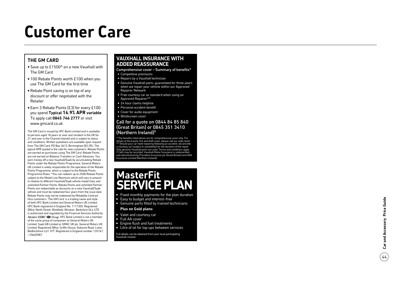## **Customer Care**

### **The G M Ca r d**

- •Save up to £1500\* on a new Vauxhall with The GM Card
- •100 Rebate Points worth £100 when you use The GM Card for the first time
- •Rebate Point saving is on top of any discount or offer negotiated with the Retailer
- •Earn 3 Rebate Points (£3) for every £100 you spend **Typical 14.9% AP R variable** To apply call **0845 746 2777** or visit www.gmcard.co.uk

The GM Card is issued by HFC Bank Limited and is available to persons aged 18 years or over and resident in the UK (or 21 and over in the Channel Islands) and is subject to status and conditions. Written quotations are available upon request from The GM Card, PO Box 3615, Birmingham B3 2RJ. The typical APR quoted is the rate for new customers. Rebate Points are earned on purchases using The GM Card. Rebate Points are not earned on Balance Transfers or Cash Advances. You earn money off a new Vauxhall/Saab by accumulating Rebate Points under the Rebate Points Programme. General Motors UK Limited is solely responsible for the operation of the Rebate Points Programme, which is subject to the Rebate Points Programme Rules. \*You can redeem up to 2500 Rebate Points subject to the Model Line Maximum which will vary in amount in relation to different Vauxhall/Saab vehicle model lines and unlimited Partner Points. Rebate Points and unlimited Partner Points are redeemable as discounts on a new Vauxhall/Saab vehicle and must be redeemed four years from the issue date. Rebate Points may not be redeemed by Motability Contract Hire customers. 'The GM Card' is a trading name and style of both HFC Bank Limited and General Motors UK Limited. HFC Bank registered in England No. 1117305. Registered Office: North Street, Winkfield, Windsor, Berkshire SL4 4TD is authorised and regulated by the Financial Services Authority *Member*  $HSPC \n\blacktriangleleft \n\widetilde{G}$  *Group*. HFC Bank Limited is not a member of the same group of companies as General Motors UK Limited, Saab GB Limited or GMAC UK plc. General Motors UK Limited, Registered Office: Griffin House, Osborne Road, Luton, Bedfordshire LU1 3YT. Registered in England number 135767. – CN6/0987.

### **Vauxhall I n s u ran ce with added reass u ran c e**

- Comprehensive cover Summary of benefits\* • Competitive premiums
- Repairs by a Vauxhall technician
- Genuine Vauxhall parts, guaranteed for three years when we repair your vehicle within our Approved Repairer Network
- Free courtesy car as standard when using an Approved Repairer\*\*
- 24 hour claims helpline
- Personal accident benefit
- Cover for audio equipment
- Windscreen cover

#### Call for a quote on 0844 84 85 840 (Great Britain) or 0845 351 3410 (Northern Ireland) †

\* The benefits listed above are for comprehensive cover only. For The benefits used above are for comprehensive team. \*\* Should your car need repairing following an accident, we provide a courtesy car (subject to availability) for the duration of the repair. Only genuine Vauxhall parts are used. Terms and conditions apply. † Calls may be recorded. Vauxhall Motor Insurance is underwritten and administered by Provident Insurance plc (Great Britain) and AXA Insurance Limited (Northern Ireland).

### **MasterFit SERVICE PLAN**

- Fixed monthly payments for the plan duration
- Easy to budget and interest-free
- Genuine parts fitted by trained technicians

#### **Plus on Gold plans:**

- Valet and courtesy car
- Full AA cover
- Engine flush and fuel treatments
- Litre of oil for top ups between services

Full details can be obtained from your local participating Vauxhall retailer.